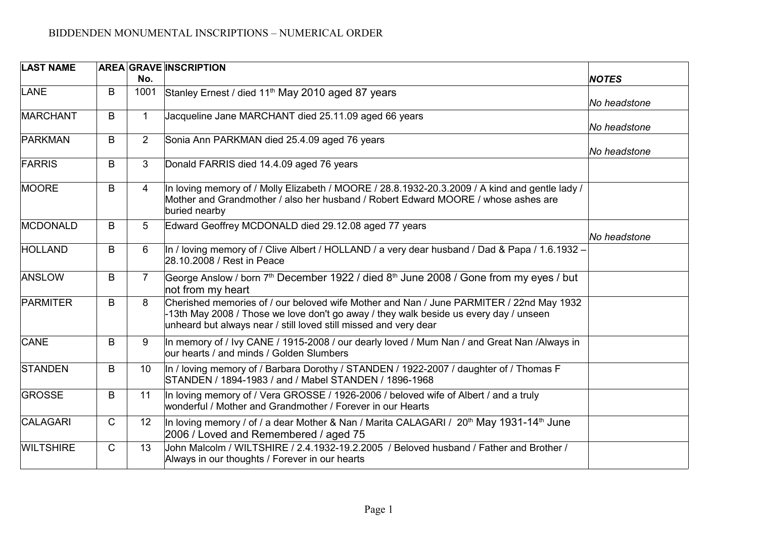| <b>LAST NAME</b> |              |                 | <b>AREA GRAVE INSCRIPTION</b>                                                                                                                                                                                                                        |              |
|------------------|--------------|-----------------|------------------------------------------------------------------------------------------------------------------------------------------------------------------------------------------------------------------------------------------------------|--------------|
|                  |              | No.             |                                                                                                                                                                                                                                                      | <b>NOTES</b> |
| LANE             | B            | 1001            | Stanley Ernest / died 11 <sup>th</sup> May 2010 aged 87 years                                                                                                                                                                                        | No headstone |
| MARCHANT         | B            | $\mathbf 1$     | Jacqueline Jane MARCHANT died 25.11.09 aged 66 years                                                                                                                                                                                                 | No headstone |
| PARKMAN          | B            | $\overline{2}$  | Sonia Ann PARKMAN died 25.4.09 aged 76 years                                                                                                                                                                                                         | No headstone |
| FARRIS           | B            | 3               | Donald FARRIS died 14.4.09 aged 76 years                                                                                                                                                                                                             |              |
| MOORE            | B            | $\overline{4}$  | In loving memory of / Molly Elizabeth / MOORE / 28.8.1932-20.3.2009 / A kind and gentle lady /<br>Mother and Grandmother / also her husband / Robert Edward MOORE / whose ashes are<br>buried nearby                                                 |              |
| MCDONALD         | B            | $5\overline{)}$ | Edward Geoffrey MCDONALD died 29.12.08 aged 77 years                                                                                                                                                                                                 | No headstone |
| HOLLAND          | B            | $6\phantom{1}$  | In / loving memory of / Clive Albert / HOLLAND / a very dear husband / Dad & Papa / 1.6.1932 -<br>28.10.2008 / Rest in Peace                                                                                                                         |              |
| ANSLOW           | B            | $\overline{7}$  | George Anslow / born 7 <sup>th</sup> December 1922 / died 8 <sup>th</sup> June 2008 / Gone from my eyes / but<br>not from my heart                                                                                                                   |              |
| PARMITER         | B            | 8               | Cherished memories of / our beloved wife Mother and Nan / June PARMITER / 22nd May 1932<br>-13th May 2008 / Those we love don't go away / they walk beside us every day / unseen<br>unheard but always near / still loved still missed and very dear |              |
| <b>CANE</b>      | B            | 9               | In memory of / Ivy CANE / 1915-2008 / our dearly loved / Mum Nan / and Great Nan /Always in<br>our hearts / and minds / Golden Slumbers                                                                                                              |              |
| <b>STANDEN</b>   | B            | 10              | In / loving memory of / Barbara Dorothy / STANDEN / 1922-2007 / daughter of / Thomas F<br>STANDEN / 1894-1983 / and / Mabel STANDEN / 1896-1968                                                                                                      |              |
| <b>GROSSE</b>    | B            | 11              | In loving memory of / Vera GROSSE / 1926-2006 / beloved wife of Albert / and a truly<br>wonderful / Mother and Grandmother / Forever in our Hearts                                                                                                   |              |
| CALAGARI         | $\mathsf{C}$ | 12              | In loving memory / of / a dear Mother & Nan / Marita CALAGARI / 20 <sup>th</sup> May 1931-14 <sup>th</sup> June<br>2006 / Loved and Remembered / aged 75                                                                                             |              |
| <b>WILTSHIRE</b> | $\mathsf{C}$ | 13              | John Malcolm / WILTSHIRE / 2.4.1932-19.2.2005 / Beloved husband / Father and Brother /<br>Always in our thoughts / Forever in our hearts                                                                                                             |              |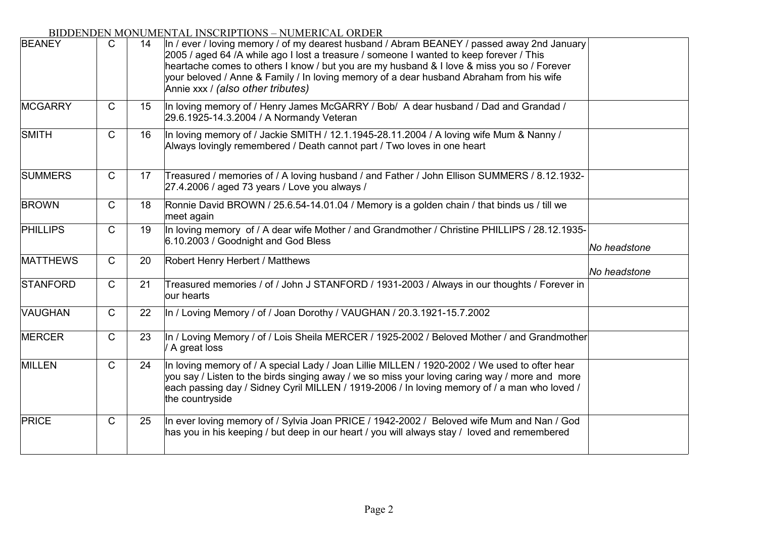| <b>BEANEY</b>   | $\mathsf{C}$ | 14 | In / ever / loving memory / of my dearest husband / Abram BEANEY / passed away 2nd January<br>2005 / aged 64 /A while ago I lost a treasure / someone I wanted to keep forever / This<br>heartache comes to others I know / but you are my husband & I love & miss you so / Forever<br>your beloved / Anne & Family / In loving memory of a dear husband Abraham from his wife<br>Annie xxx / (also other tributes) |              |
|-----------------|--------------|----|---------------------------------------------------------------------------------------------------------------------------------------------------------------------------------------------------------------------------------------------------------------------------------------------------------------------------------------------------------------------------------------------------------------------|--------------|
| <b>MCGARRY</b>  | $\mathsf{C}$ | 15 | In loving memory of / Henry James McGARRY / Bob/ A dear husband / Dad and Grandad /<br>29.6.1925-14.3.2004 / A Normandy Veteran                                                                                                                                                                                                                                                                                     |              |
| <b>SMITH</b>    | $\mathsf{C}$ | 16 | In loving memory of / Jackie SMITH / 12.1.1945-28.11.2004 / A loving wife Mum & Nanny /<br>Always lovingly remembered / Death cannot part / Two loves in one heart                                                                                                                                                                                                                                                  |              |
| <b>SUMMERS</b>  | $\mathsf{C}$ | 17 | Treasured / memories of / A loving husband / and Father / John Ellison SUMMERS / 8.12.1932-<br>27.4.2006 / aged 73 years / Love you always /                                                                                                                                                                                                                                                                        |              |
| <b>BROWN</b>    | $\mathsf{C}$ | 18 | Ronnie David BROWN / 25.6.54-14.01.04 / Memory is a golden chain / that binds us / till we<br>meet again                                                                                                                                                                                                                                                                                                            |              |
| <b>PHILLIPS</b> | $\mathsf{C}$ | 19 | In loving memory of / A dear wife Mother / and Grandmother / Christine PHILLIPS / 28.12.1935-<br>6.10.2003 / Goodnight and God Bless                                                                                                                                                                                                                                                                                | No headstone |
| <b>MATTHEWS</b> | $\mathsf{C}$ | 20 | Robert Henry Herbert / Matthews                                                                                                                                                                                                                                                                                                                                                                                     | No headstone |
| <b>STANFORD</b> | $\mathsf C$  | 21 | Treasured memories / of / John J STANFORD / 1931-2003 / Always in our thoughts / Forever in<br>lour hearts                                                                                                                                                                                                                                                                                                          |              |
| <b>VAUGHAN</b>  | C            | 22 | In / Loving Memory / of / Joan Dorothy / VAUGHAN / 20.3.1921-15.7.2002                                                                                                                                                                                                                                                                                                                                              |              |
| <b>MERCER</b>   | $\mathsf{C}$ | 23 | In / Loving Memory / of / Lois Sheila MERCER / 1925-2002 / Beloved Mother / and Grandmother<br>/ A great loss                                                                                                                                                                                                                                                                                                       |              |
| MILLEN          | $\mathsf{C}$ | 24 | In loving memory of / A special Lady / Joan Lillie MILLEN / 1920-2002 / We used to ofter hear<br>you say / Listen to the birds singing away / we so miss your loving caring way / more and more<br>each passing day / Sidney Cyril MILLEN / 1919-2006 / In loving memory of / a man who loved /<br>the countryside                                                                                                  |              |
| PRICE           | $\mathsf{C}$ | 25 | In ever loving memory of / Sylvia Joan PRICE / 1942-2002 / Beloved wife Mum and Nan / God<br>has you in his keeping / but deep in our heart / you will always stay / loved and remembered                                                                                                                                                                                                                           |              |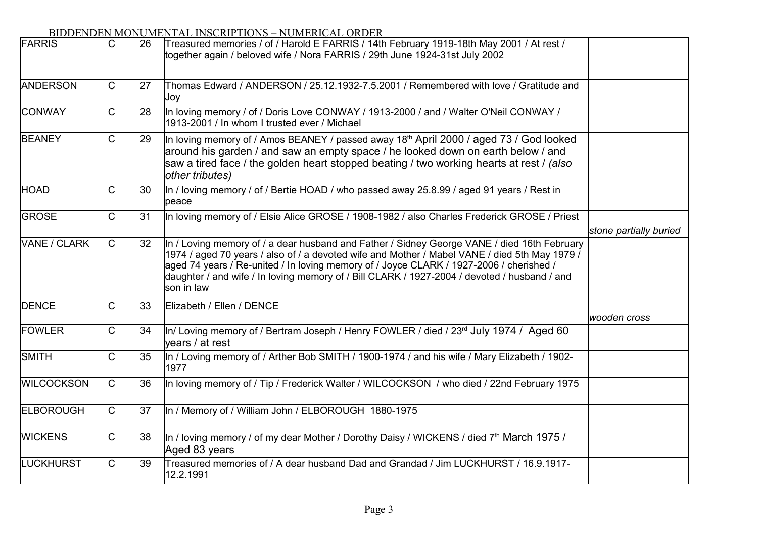| FARRIS            | C            | 26 | Treasured memories / of / Harold E FARRIS / 14th February 1919-18th May 2001 / At rest /<br>together again / beloved wife / Nora FARRIS / 29th June 1924-31st July 2002                                                                                                                                                                                                                               |                        |
|-------------------|--------------|----|-------------------------------------------------------------------------------------------------------------------------------------------------------------------------------------------------------------------------------------------------------------------------------------------------------------------------------------------------------------------------------------------------------|------------------------|
| <b>ANDERSON</b>   | $\mathsf{C}$ | 27 | Thomas Edward / ANDERSON / 25.12.1932-7.5.2001 / Remembered with love / Gratitude and<br>Joy                                                                                                                                                                                                                                                                                                          |                        |
| <b>CONWAY</b>     | $\mathsf{C}$ | 28 | In loving memory / of / Doris Love CONWAY / 1913-2000 / and / Walter O'Neil CONWAY /<br>1913-2001 / In whom I trusted ever / Michael                                                                                                                                                                                                                                                                  |                        |
| <b>BEANEY</b>     | $\mathsf{C}$ | 29 | In loving memory of / Amos BEANEY / passed away 18th April 2000 / aged 73 / God looked<br>around his garden / and saw an empty space / he looked down on earth below / and<br>saw a tired face / the golden heart stopped beating / two working hearts at rest / (also<br>other tributes)                                                                                                             |                        |
| HOAD              | C            | 30 | In / loving memory / of / Bertie HOAD / who passed away 25.8.99 / aged 91 years / Rest in<br>peace                                                                                                                                                                                                                                                                                                    |                        |
| <b>GROSE</b>      | $\mathsf{C}$ | 31 | In loving memory of / Elsie Alice GROSE / 1908-1982 / also Charles Frederick GROSE / Priest                                                                                                                                                                                                                                                                                                           | stone partially buried |
| VANE / CLARK      | $\mathsf{C}$ | 32 | In / Loving memory of / a dear husband and Father / Sidney George VANE / died 16th February<br>1974 / aged 70 years / also of / a devoted wife and Mother / Mabel VANE / died 5th May 1979 /<br>aged 74 years / Re-united / In loving memory of / Joyce CLARK / 1927-2006 / cherished /<br>daughter / and wife / In loving memory of / Bill CLARK / 1927-2004 / devoted / husband / and<br>son in law |                        |
| <b>DENCE</b>      | $\mathsf{C}$ | 33 | Elizabeth / Ellen / DENCE                                                                                                                                                                                                                                                                                                                                                                             | wooden cross           |
| FOWLER            | $\mathsf{C}$ | 34 | In/ Loving memory of / Bertram Joseph / Henry FOWLER / died / 23rd July 1974 / Aged 60<br>years / at rest                                                                                                                                                                                                                                                                                             |                        |
| SMITH             | $\mathsf{C}$ | 35 | In / Loving memory of / Arther Bob SMITH / 1900-1974 / and his wife / Mary Elizabeth / 1902-<br>1977                                                                                                                                                                                                                                                                                                  |                        |
| <b>WILCOCKSON</b> | $\mathsf{C}$ | 36 | In loving memory of / Tip / Frederick Walter / WILCOCKSON / who died / 22nd February 1975                                                                                                                                                                                                                                                                                                             |                        |
| <b>ELBOROUGH</b>  | $\mathsf{C}$ | 37 | In / Memory of / William John / ELBOROUGH 1880-1975                                                                                                                                                                                                                                                                                                                                                   |                        |
| <b>WICKENS</b>    | $\mathsf C$  | 38 | In / loving memory / of my dear Mother / Dorothy Daisy / WICKENS / died 7 <sup>th</sup> March 1975 /<br>Aged 83 years                                                                                                                                                                                                                                                                                 |                        |
| LUCKHURST         | C            | 39 | Treasured memories of / A dear husband Dad and Grandad / Jim LUCKHURST / 16.9.1917-<br>12.2.1991                                                                                                                                                                                                                                                                                                      |                        |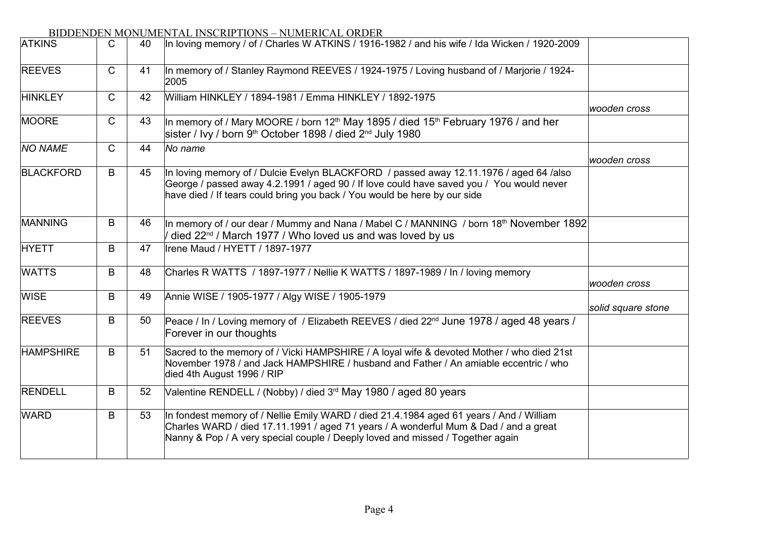| <b>ATKINS</b>    | C            | 40 | In loving memory / of / Charles W ATKINS / 1916-1982 / and his wife / Ida Wicken / 1920-2009                                                                                                                                                                      |                    |
|------------------|--------------|----|-------------------------------------------------------------------------------------------------------------------------------------------------------------------------------------------------------------------------------------------------------------------|--------------------|
| <b>REEVES</b>    | C            | 41 | In memory of / Stanley Raymond REEVES / 1924-1975 / Loving husband of / Marjorie / 1924-<br>2005                                                                                                                                                                  |                    |
| <b>HINKLEY</b>   | C            | 42 | William HINKLEY / 1894-1981 / Emma HINKLEY / 1892-1975                                                                                                                                                                                                            | wooden cross       |
| <b>MOORE</b>     | $\mathsf{C}$ | 43 | In memory of / Mary MOORE / born 12 <sup>th</sup> May 1895 / died 15 <sup>th</sup> February 1976 / and her<br>sister / Ivy / born 9 <sup>th</sup> October 1898 / died 2 <sup>nd</sup> July 1980                                                                   |                    |
| <b>NO NAME</b>   | $\mathsf{C}$ | 44 | No name                                                                                                                                                                                                                                                           | wooden cross       |
| <b>BLACKFORD</b> | B            | 45 | In loving memory of / Dulcie Evelyn BLACKFORD / passed away 12.11.1976 / aged 64 /also<br>George / passed away 4.2.1991 / aged 90 / If love could have saved you / You would never<br>have died / If tears could bring you back / You would be here by our side   |                    |
| <b>MANNING</b>   | B            | 46 | In memory of / our dear / Mummy and Nana / Mabel C / MANNING / born 18th November 1892<br>died 22 <sup>nd</sup> / March 1977 / Who loved us and was loved by us                                                                                                   |                    |
| <b>HYETT</b>     | B            | 47 | Irene Maud / HYETT / 1897-1977                                                                                                                                                                                                                                    |                    |
| <b>WATTS</b>     | B            | 48 | Charles R WATTS / 1897-1977 / Nellie K WATTS / 1897-1989 / In / loving memory                                                                                                                                                                                     | wooden cross       |
| <b>WISE</b>      | B            | 49 | Annie WISE / 1905-1977 / Algy WISE / 1905-1979                                                                                                                                                                                                                    | solid square stone |
| <b>REEVES</b>    | B            | 50 | Peace / In / Loving memory of / Elizabeth REEVES / died 22 <sup>nd</sup> June 1978 / aged 48 years /<br>Forever in our thoughts                                                                                                                                   |                    |
| <b>HAMPSHIRE</b> | B            | 51 | Sacred to the memory of / Vicki HAMPSHIRE / A loyal wife & devoted Mother / who died 21st<br>November 1978 / and Jack HAMPSHIRE / husband and Father / An amiable eccentric / who<br>died 4th August 1996 / RIP                                                   |                    |
| <b>RENDELL</b>   | B            | 52 | Valentine RENDELL / (Nobby) / died 3 <sup>rd</sup> May 1980 / aged 80 years                                                                                                                                                                                       |                    |
| <b>WARD</b>      | B            | 53 | In fondest memory of / Nellie Emily WARD / died 21.4.1984 aged 61 years / And / William<br>Charles WARD / died 17.11.1991 / aged 71 years / A wonderful Mum & Dad / and a great<br>Nanny & Pop / A very special couple / Deeply loved and missed / Together again |                    |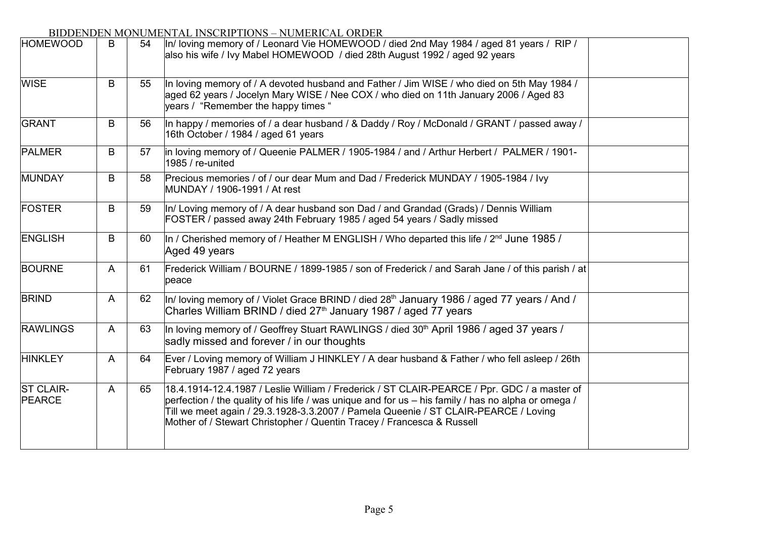| DIDDELIDELI INO<br><b>HOMEWOOD</b> | B | 54 | TOMERTIAL HYDONII TIONO TYÖMENICIAL ONDEN<br>In/ loving memory of / Leonard Vie HOMEWOOD / died 2nd May 1984 / aged 81 years / RIP /<br>also his wife / Ivy Mabel HOMEWOOD / died 28th August 1992 / aged 92 years                                                                                                                                                  |  |
|------------------------------------|---|----|---------------------------------------------------------------------------------------------------------------------------------------------------------------------------------------------------------------------------------------------------------------------------------------------------------------------------------------------------------------------|--|
| <b>WISE</b>                        | B | 55 | In loving memory of / A devoted husband and Father / Jim WISE / who died on 5th May 1984 /<br>aged 62 years / Jocelyn Mary WISE / Nee COX / who died on 11th January 2006 / Aged 83<br>years / "Remember the happy times"                                                                                                                                           |  |
| GRANT                              | B | 56 | In happy / memories of / a dear husband / & Daddy / Roy / McDonald / GRANT / passed away /<br>16th October / 1984 / aged 61 years                                                                                                                                                                                                                                   |  |
| <b>PALMER</b>                      | B | 57 | in loving memory of / Queenie PALMER / 1905-1984 / and / Arthur Herbert / PALMER / 1901-<br>1985 / re-united                                                                                                                                                                                                                                                        |  |
| MUNDAY                             | B | 58 | Precious memories / of / our dear Mum and Dad / Frederick MUNDAY / 1905-1984 / Ivy<br>MUNDAY / 1906-1991 / At rest                                                                                                                                                                                                                                                  |  |
| FOSTER                             | B | 59 | In/ Loving memory of / A dear husband son Dad / and Grandad (Grads) / Dennis William<br>FOSTER / passed away 24th February 1985 / aged 54 years / Sadly missed                                                                                                                                                                                                      |  |
| <b>ENGLISH</b>                     | B | 60 | In / Cherished memory of / Heather M ENGLISH / Who departed this life / 2 <sup>nd</sup> June 1985 /<br>Aged 49 years                                                                                                                                                                                                                                                |  |
| <b>BOURNE</b>                      | A | 61 | Frederick William / BOURNE / 1899-1985 / son of Frederick / and Sarah Jane / of this parish / at<br>peace                                                                                                                                                                                                                                                           |  |
| <b>BRIND</b>                       | A | 62 | In/ loving memory of / Violet Grace BRIND / died 28 <sup>th</sup> January 1986 / aged 77 years / And /<br>Charles William BRIND / died 27 <sup>th</sup> January 1987 / aged 77 years                                                                                                                                                                                |  |
| <b>RAWLINGS</b>                    | A | 63 | In loving memory of / Geoffrey Stuart RAWLINGS / died 30 <sup>th</sup> April 1986 / aged 37 years /<br>sadly missed and forever / in our thoughts                                                                                                                                                                                                                   |  |
| <b>HINKLEY</b>                     | A | 64 | Ever / Loving memory of William J HINKLEY / A dear husband & Father / who fell asleep / 26th<br>February 1987 / aged 72 years                                                                                                                                                                                                                                       |  |
| <b>ST CLAIR-</b><br><b>PEARCE</b>  | A | 65 | 18.4.1914-12.4.1987 / Leslie William / Frederick / ST CLAIR-PEARCE / Ppr. GDC / a master of<br>perfection / the quality of his life / was unique and for us – his family / has no alpha or omega /<br>Till we meet again / 29.3.1928-3.3.2007 / Pamela Queenie / ST CLAIR-PEARCE / Loving<br>Mother of / Stewart Christopher / Quentin Tracey / Francesca & Russell |  |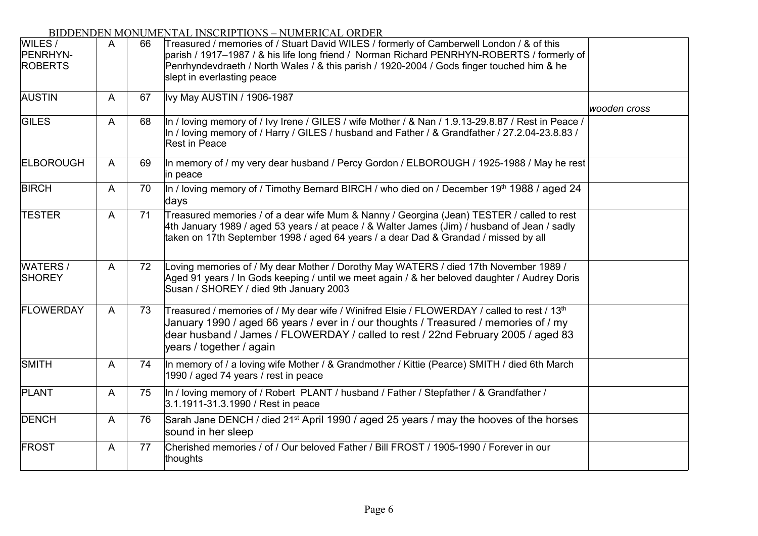| WILES /<br>PENRHYN-<br><b>ROBERTS</b> | A | 66 | Treasured / memories of / Stuart David WILES / formerly of Camberwell London / & of this<br>parish / 1917–1987 / & his life long friend / Norman Richard PENRHYN-ROBERTS / formerly of<br>Penrhyndevdraeth / North Wales / & this parish / 1920-2004 / Gods finger touched him & he<br>slept in everlasting peace |              |
|---------------------------------------|---|----|-------------------------------------------------------------------------------------------------------------------------------------------------------------------------------------------------------------------------------------------------------------------------------------------------------------------|--------------|
| <b>AUSTIN</b>                         | A | 67 | Ivy May AUSTIN / 1906-1987                                                                                                                                                                                                                                                                                        | wooden cross |
| <b>GILES</b>                          | A | 68 | In / loving memory of / Ivy Irene / GILES / wife Mother / & Nan / 1.9.13-29.8.87 / Rest in Peace /<br>In / loving memory of / Harry / GILES / husband and Father / & Grandfather / 27.2.04-23.8.83 /<br>Rest in Peace                                                                                             |              |
| <b>ELBOROUGH</b>                      | A | 69 | In memory of / my very dear husband / Percy Gordon / ELBOROUGH / 1925-1988 / May he rest<br>in peace                                                                                                                                                                                                              |              |
| <b>BIRCH</b>                          | A | 70 | In / loving memory of / Timothy Bernard BIRCH / who died on / December 19 <sup>th</sup> 1988 / aged 24<br>days                                                                                                                                                                                                    |              |
| <b>TESTER</b>                         | A | 71 | Treasured memories / of a dear wife Mum & Nanny / Georgina (Jean) TESTER / called to rest<br>4th January 1989 / aged 53 years / at peace / & Walter James (Jim) / husband of Jean / sadly<br>taken on 17th September 1998 / aged 64 years / a dear Dad & Grandad / missed by all                                  |              |
| <b>WATERS/</b><br><b>SHOREY</b>       | A | 72 | Loving memories of / My dear Mother / Dorothy May WATERS / died 17th November 1989 /<br>Aged 91 years / In Gods keeping / until we meet again / & her beloved daughter / Audrey Doris<br>Susan / SHOREY / died 9th January 2003                                                                                   |              |
| <b>FLOWERDAY</b>                      | A | 73 | Treasured / memories of / My dear wife / Winifred Elsie / FLOWERDAY / called to rest / 13 <sup>th</sup><br>January 1990 / aged 66 years / ever in / our thoughts / Treasured / memories of / my<br>dear husband / James / FLOWERDAY / called to rest / 22nd February 2005 / aged 83<br>years / together / again   |              |
| SMITH                                 | A | 74 | In memory of / a loving wife Mother / & Grandmother / Kittie (Pearce) SMITH / died 6th March<br>1990 / aged 74 years / rest in peace                                                                                                                                                                              |              |
| <b>PLANT</b>                          | A | 75 | In / loving memory of / Robert PLANT / husband / Father / Stepfather / & Grandfather /<br>3.1.1911-31.3.1990 / Rest in peace                                                                                                                                                                                      |              |
| <b>DENCH</b>                          | A | 76 | Sarah Jane DENCH / died 21 <sup>st</sup> April 1990 / aged 25 years / may the hooves of the horses<br>sound in her sleep                                                                                                                                                                                          |              |
| <b>FROST</b>                          | A | 77 | Cherished memories / of / Our beloved Father / Bill FROST / 1905-1990 / Forever in our<br>thoughts                                                                                                                                                                                                                |              |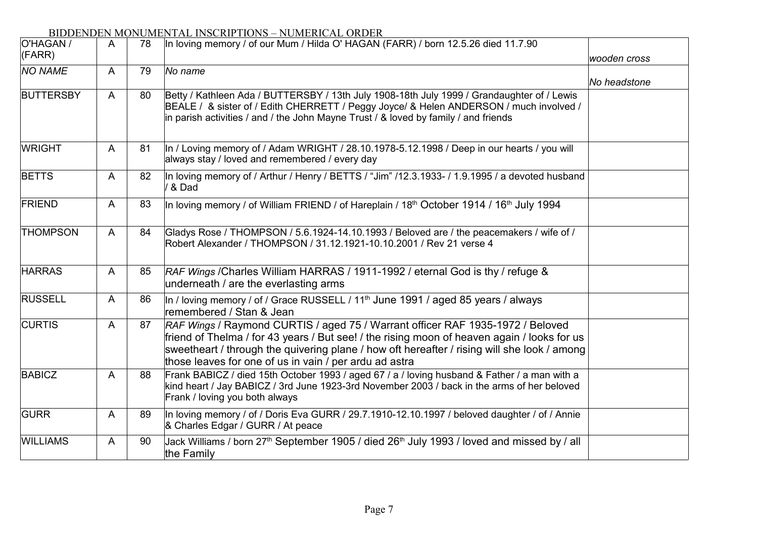#### O'HAGAN / A 78 In loving memory / of our Mum / Hilda O' HAGAN (FARR) / born 12.5.26 died 11.7.90 *wooden cross NO NAME* A 79 *No name No headstone*  $BUTTERSBY$   $A$   $B0$ WRIGHT A 81  $B$ FTTS  $A$   $82$  $FRIEND$   $A \mid 83$ THOMPSON A 84 HARRAS A 85  $RUSSEL$   $A | 86$ CURTIS A 87  $BABICZ$   $A \mid 88$  $GURR$   $A$   $89$  $WILLIAMS$   $A \mid 90$ (FARR) Betty / Kathleen Ada / BUTTERSBY / 13th July 1908-18th July 1999 / Grandaughter of / Lewis BEALE / & sister of / Edith CHERRETT / Peggy Joyce/ & Helen ANDERSON / much involved / in parish activities / and / the John Mayne Trust / & loved by family / and friends In / Loving memory of / Adam WRIGHT / 28.10.1978-5.12.1998 / Deep in our hearts / you will always stay / loved and remembered / every day In loving memory of / Arthur / Henry / BETTS / "Jim" /12.3.1933- / 1.9.1995 / a devoted husband / & Dad In loving memory / of William FRIEND / of Hareplain / 18<sup>th</sup> October 1914 / 16<sup>th</sup> July 1994 Gladys Rose / THOMPSON / 5.6.1924-14.10.1993 / Beloved are / the peacemakers / wife of / Robert Alexander / THOMPSON / 31.12.1921-10.10.2001 / Rev 21 verse 4 *RAF Wings* /Charles William HARRAS / 1911-1992 / eternal God is thy / refuge & underneath / are the everlasting arms In / loving memory / of / Grace RUSSELL / 11<sup>th</sup> June 1991 / aged 85 years / always remembered / Stan & Jean *RAF Wings* / Raymond CURTIS / aged 75 / Warrant officer RAF 1935-1972 / Beloved friend of Thelma / for 43 years / But see! / the rising moon of heaven again / looks for us sweetheart / through the quivering plane / how oft hereafter / rising will she look / among those leaves for one of us in vain / per ardu ad astra Frank BABICZ / died 15th October 1993 / aged 67 / a / loving husband & Father / a man with a kind heart / Jay BABICZ / 3rd June 1923-3rd November 2003 / back in the arms of her beloved Frank / loving you both always In loving memory / of / Doris Eva GURR / 29.7.1910-12.10.1997 / beloved daughter / of / Annie & Charles Edgar / GURR / At peace Jack Williams / born 27<sup>th</sup> September 1905 / died 26<sup>th</sup> July 1993 / loved and missed by / all the Family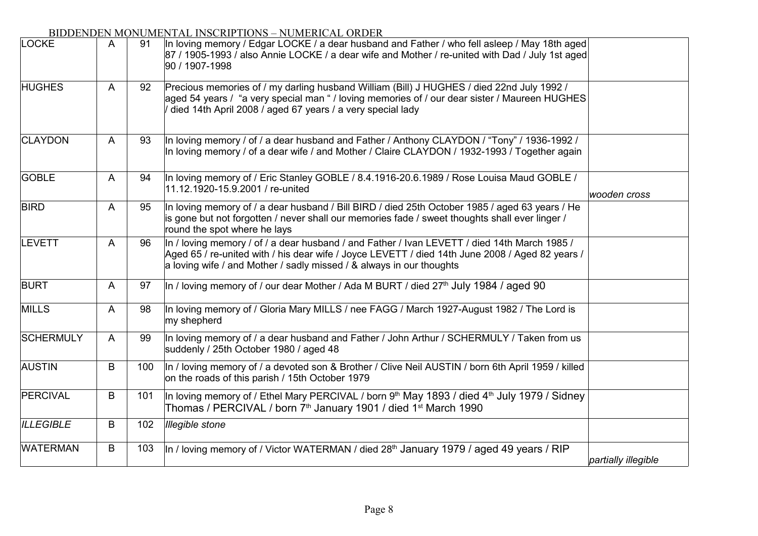| <b>LOCKE</b>     | A | 91  | In loving memory / Edgar LOCKE / a dear husband and Father / who fell asleep / May 18th aged<br>87 / 1905-1993 / also Annie LOCKE / a dear wife and Mother / re-united with Dad / July 1st aged<br>90 / 1907-1998                                                          |                     |
|------------------|---|-----|----------------------------------------------------------------------------------------------------------------------------------------------------------------------------------------------------------------------------------------------------------------------------|---------------------|
| <b>HUGHES</b>    | A | 92  | Precious memories of / my darling husband William (Bill) J HUGHES / died 22nd July 1992 /<br>aged 54 years / "a very special man " / loving memories of / our dear sister / Maureen HUGHES<br>died 14th April 2008 / aged 67 years / a very special lady                   |                     |
| <b>CLAYDON</b>   | A | 93  | In loving memory / of / a dear husband and Father / Anthony CLAYDON / "Tony" / 1936-1992 /<br>In loving memory / of a dear wife / and Mother / Claire CLAYDON / 1932-1993 / Together again                                                                                 |                     |
| <b>GOBLE</b>     | A | 94  | In loving memory of / Eric Stanley GOBLE / 8.4.1916-20.6.1989 / Rose Louisa Maud GOBLE /<br>11.12.1920-15.9.2001 / re-united                                                                                                                                               | wooden cross        |
| <b>BIRD</b>      | A | 95  | In loving memory of / a dear husband / Bill BIRD / died 25th October 1985 / aged 63 years / He<br>is gone but not forgotten / never shall our memories fade / sweet thoughts shall ever linger /<br>round the spot where he lays                                           |                     |
| LEVETT           | A | 96  | In / loving memory / of / a dear husband / and Father / Ivan LEVETT / died 14th March 1985 /<br>Aged 65 / re-united with / his dear wife / Joyce LEVETT / died 14th June 2008 / Aged 82 years /<br>a loving wife / and Mother / sadly missed / $\&$ always in our thoughts |                     |
| <b>BURT</b>      | A | 97  | In / loving memory of / our dear Mother / Ada M BURT / died 27 <sup>th</sup> July 1984 / aged 90                                                                                                                                                                           |                     |
| <b>MILLS</b>     | A | 98  | In loving memory of / Gloria Mary MILLS / nee FAGG / March 1927-August 1982 / The Lord is<br>my shepherd                                                                                                                                                                   |                     |
| <b>SCHERMULY</b> | A | 99  | In loving memory of / a dear husband and Father / John Arthur / SCHERMULY / Taken from us<br>suddenly / 25th October 1980 / aged 48                                                                                                                                        |                     |
| <b>AUSTIN</b>    | B | 100 | In / loving memory of / a devoted son & Brother / Clive Neil AUSTIN / born 6th April 1959 / killed<br>on the roads of this parish / 15th October 1979                                                                                                                      |                     |
| PERCIVAL         | B | 101 | In loving memory of / Ethel Mary PERCIVAL / born 9 <sup>th</sup> May 1893 / died 4 <sup>th</sup> July 1979 / Sidney<br>Thomas / PERCIVAL / born 7 <sup>th</sup> January 1901 / died 1 <sup>st</sup> March 1990                                                             |                     |
| <b>ILLEGIBLE</b> | B | 102 | <b>Illegible stone</b>                                                                                                                                                                                                                                                     |                     |
| <b>WATERMAN</b>  | B | 103 | In / loving memory of / Victor WATERMAN / died 28 <sup>th</sup> January 1979 / aged 49 years / RIP                                                                                                                                                                         | partially illegible |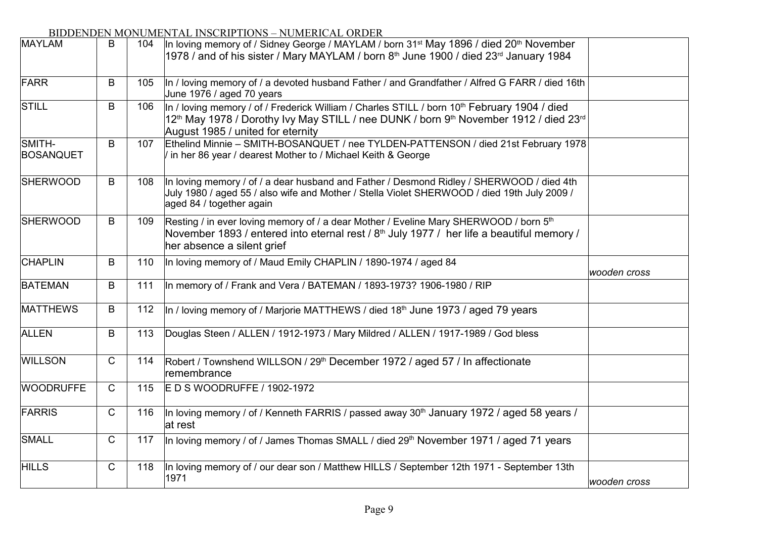| <b>MAYLAM</b>              | B            | 104 | In loving memory of / Sidney George / MAYLAM / born 31 <sup>st</sup> May 1896 / died 20 <sup>th</sup> November<br>1978 / and of his sister / Mary MAYLAM / born 8th June 1900 / died 23rd January 1984                                                                     |              |
|----------------------------|--------------|-----|----------------------------------------------------------------------------------------------------------------------------------------------------------------------------------------------------------------------------------------------------------------------------|--------------|
| FARR                       | B            | 105 | In / loving memory of / a devoted husband Father / and Grandfather / Alfred G FARR / died 16th<br>June 1976 / aged 70 years                                                                                                                                                |              |
| STILL                      | B            | 106 | In / loving memory / of / Frederick William / Charles STILL / born 10 <sup>th</sup> February 1904 / died<br>12 <sup>th</sup> May 1978 / Dorothy Ivy May STILL / nee DUNK / born 9 <sup>th</sup> November 1912 / died 23 <sup>rd</sup><br>August 1985 / united for eternity |              |
| SMITH-<br><b>BOSANQUET</b> | B            | 107 | Ethelind Minnie - SMITH-BOSANQUET / nee TYLDEN-PATTENSON / died 21st February 1978<br>/ in her 86 year / dearest Mother to / Michael Keith & George                                                                                                                        |              |
| <b>SHERWOOD</b>            | B            | 108 | In loving memory / of / a dear husband and Father / Desmond Ridley / SHERWOOD / died 4th<br>July 1980 / aged 55 / also wife and Mother / Stella Violet SHERWOOD / died 19th July 2009 /<br>aged 84 / together again                                                        |              |
| <b>SHERWOOD</b>            | B            | 109 | Resting / in ever loving memory of / a dear Mother / Eveline Mary SHERWOOD / born 5th<br>November 1893 / entered into eternal rest / 8 <sup>th</sup> July 1977 / her life a beautiful memory /<br>her absence a silent grief                                               |              |
| <b>CHAPLIN</b>             | B            | 110 | In loving memory of / Maud Emily CHAPLIN / 1890-1974 / aged 84                                                                                                                                                                                                             | wooden cross |
| <b>BATEMAN</b>             | B            | 111 | In memory of / Frank and Vera / BATEMAN / 1893-1973? 1906-1980 / RIP                                                                                                                                                                                                       |              |
| <b>MATTHEWS</b>            | B            | 112 | In / loving memory of / Marjorie MATTHEWS / died 18 <sup>th</sup> June 1973 / aged 79 years                                                                                                                                                                                |              |
| <b>ALLEN</b>               | B            | 113 | Douglas Steen / ALLEN / 1912-1973 / Mary Mildred / ALLEN / 1917-1989 / God bless                                                                                                                                                                                           |              |
| <b>WILLSON</b>             | $\mathsf{C}$ | 114 | Robert / Townshend WILLSON / 29 <sup>th</sup> December 1972 / aged 57 / In affectionate<br>remembrance                                                                                                                                                                     |              |
| <b>WOODRUFFE</b>           | $\mathsf{C}$ | 115 | E D S WOODRUFFE / 1902-1972                                                                                                                                                                                                                                                |              |
| FARRIS                     | $\mathsf{C}$ | 116 | In loving memory / of / Kenneth FARRIS / passed away $30th$ January 1972 / aged 58 years /<br>at rest                                                                                                                                                                      |              |
| SMALL                      | $\mathsf{C}$ | 117 | In loving memory / of / James Thomas SMALL / died 29 <sup>th</sup> November 1971 / aged 71 years                                                                                                                                                                           |              |
| <b>HILLS</b>               | $\mathsf{C}$ | 118 | In loving memory of / our dear son / Matthew HILLS / September 12th 1971 - September 13th<br>1971                                                                                                                                                                          | wooden cross |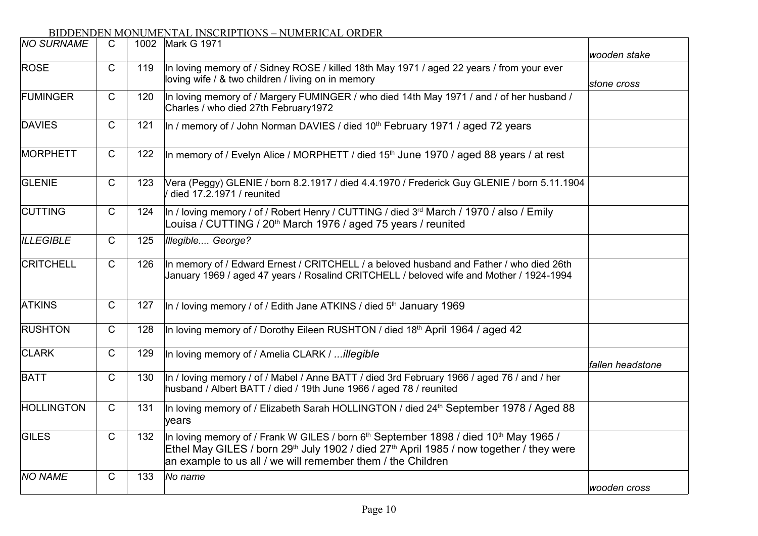| <b>NO SURNAME</b> | $\mathsf{C}$ |     | 1002 Mark G 1971                                                                                                                                                                                                                                                                               | wooden stake     |
|-------------------|--------------|-----|------------------------------------------------------------------------------------------------------------------------------------------------------------------------------------------------------------------------------------------------------------------------------------------------|------------------|
| <b>ROSE</b>       | C            | 119 | In loving memory of / Sidney ROSE / killed 18th May 1971 / aged 22 years / from your ever<br>loving wife / & two children / living on in memory                                                                                                                                                | stone cross      |
| <b>FUMINGER</b>   | $\mathsf{C}$ | 120 | In loving memory of / Margery FUMINGER / who died 14th May 1971 / and / of her husband /<br>Charles / who died 27th February1972                                                                                                                                                               |                  |
| <b>DAVIES</b>     | C            | 121 | In / memory of / John Norman DAVIES / died 10 <sup>th</sup> February 1971 / aged 72 years                                                                                                                                                                                                      |                  |
| <b>MORPHETT</b>   | $\mathsf{C}$ | 122 | In memory of / Evelyn Alice / MORPHETT / died 15 <sup>th</sup> June 1970 / aged 88 years / at rest                                                                                                                                                                                             |                  |
| <b>GLENIE</b>     | C            | 123 | Vera (Peggy) GLENIE / born 8.2.1917 / died 4.4.1970 / Frederick Guy GLENIE / born 5.11.1904<br>died 17.2.1971 / reunited                                                                                                                                                                       |                  |
| <b>CUTTING</b>    | C            | 124 | In / loving memory / of / Robert Henry / CUTTING / died 3 <sup>rd</sup> March / 1970 / also / Emily<br>Louisa / CUTTING / 20 <sup>th</sup> March 1976 / aged 75 years / reunited                                                                                                               |                  |
| <b>ILLEGIBLE</b>  | $\mathsf{C}$ | 125 | Illegible George?                                                                                                                                                                                                                                                                              |                  |
| <b>CRITCHELL</b>  | $\mathsf{C}$ | 126 | In memory of / Edward Ernest / CRITCHELL / a beloved husband and Father / who died 26th<br>January 1969 / aged 47 years / Rosalind CRITCHELL / beloved wife and Mother / 1924-1994                                                                                                             |                  |
| <b>ATKINS</b>     | C            | 127 | In / loving memory / of / Edith Jane ATKINS / died 5 <sup>th</sup> January 1969                                                                                                                                                                                                                |                  |
| <b>RUSHTON</b>    | C            | 128 | In loving memory of / Dorothy Eileen RUSHTON / died 18 <sup>th</sup> April 1964 / aged 42                                                                                                                                                                                                      |                  |
| <b>CLARK</b>      | C            | 129 | In loving memory of / Amelia CLARK / illegible                                                                                                                                                                                                                                                 | fallen headstone |
| <b>BATT</b>       | C            | 130 | In / loving memory / of / Mabel / Anne BATT / died 3rd February 1966 / aged 76 / and / her<br>husband / Albert BATT / died / 19th June 1966 / aged 78 / reunited                                                                                                                               |                  |
| <b>HOLLINGTON</b> | $\mathsf{C}$ | 131 | In loving memory of / Elizabeth Sarah HOLLINGTON / died 24 <sup>th</sup> September 1978 / Aged 88<br>vears                                                                                                                                                                                     |                  |
| <b>GILES</b>      | $\mathsf{C}$ | 132 | In loving memory of / Frank W GILES / born 6 <sup>th</sup> September 1898 / died 10 <sup>th</sup> May 1965 /<br>Ethel May GILES / born 29 <sup>th</sup> July 1902 / died 27 <sup>th</sup> April 1985 / now together / they were<br>an example to us all / we will remember them / the Children |                  |
| <b>NO NAME</b>    | C            | 133 | No name                                                                                                                                                                                                                                                                                        | wooden cross     |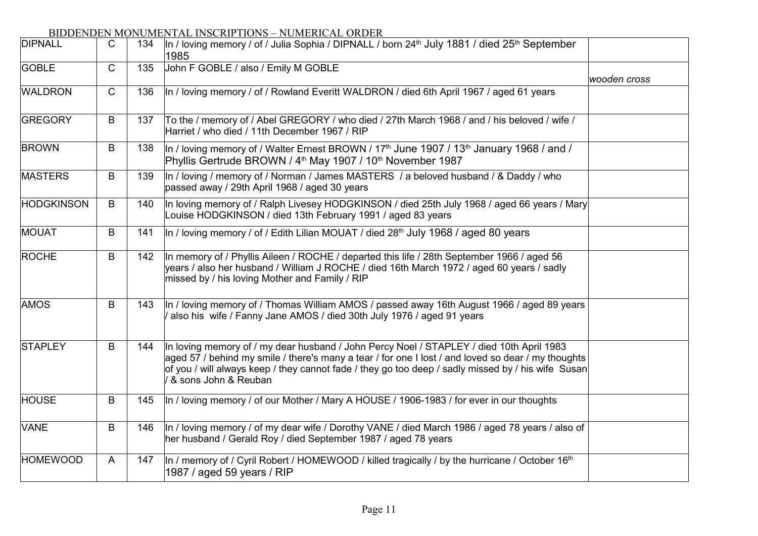| <b>DIPNALL</b>    | C | 134 | In / loving memory / of / Julia Sophia / DIPNALL / born 24 <sup>th</sup> July 1881 / died 25 <sup>th</sup> September<br>1985                                                                                                                                                                                                 |              |
|-------------------|---|-----|------------------------------------------------------------------------------------------------------------------------------------------------------------------------------------------------------------------------------------------------------------------------------------------------------------------------------|--------------|
| <b>GOBLE</b>      | C | 135 | John F GOBLE / also / Emily M GOBLE                                                                                                                                                                                                                                                                                          | wooden cross |
| <b>WALDRON</b>    | C | 136 | In / loving memory / of / Rowland Everitt WALDRON / died 6th April 1967 / aged 61 years                                                                                                                                                                                                                                      |              |
| GREGORY           | B | 137 | To the / memory of / Abel GREGORY / who died / 27th March 1968 / and / his beloved / wife /<br>Harriet / who died / 11th December 1967 / RIP                                                                                                                                                                                 |              |
| <b>BROWN</b>      | B | 138 | In / loving memory of / Walter Ernest BROWN / 17 <sup>th</sup> June 1907 / 13 <sup>th</sup> January 1968 / and /<br>Phyllis Gertrude BROWN / 4 <sup>th</sup> May 1907 / 10 <sup>th</sup> November 1987                                                                                                                       |              |
| <b>MASTERS</b>    | B | 139 | In / loving / memory of / Norman / James MASTERS / a beloved husband / & Daddy / who<br>passed away / 29th April 1968 / aged 30 years                                                                                                                                                                                        |              |
| <b>HODGKINSON</b> | B | 140 | In loving memory of / Ralph Livesey HODGKINSON / died 25th July 1968 / aged 66 years / Mary<br>Louise HODGKINSON / died 13th February 1991 / aged 83 years                                                                                                                                                                   |              |
| MOUAT             | B | 141 | In / loving memory / of / Edith Lilian MOUAT / died 28 <sup>th</sup> July 1968 / aged 80 years                                                                                                                                                                                                                               |              |
| ROCHE             | B | 142 | In memory of / Phyllis Aileen / ROCHE / departed this life / 28th September 1966 / aged 56<br>years / also her husband / William J ROCHE / died 16th March 1972 / aged 60 years / sadly<br>missed by / his loving Mother and Family / RIP                                                                                    |              |
| <b>AMOS</b>       | B | 143 | In / loving memory of / Thomas William AMOS / passed away 16th August 1966 / aged 89 years<br>also his wife / Fanny Jane AMOS / died 30th July 1976 / aged 91 years                                                                                                                                                          |              |
| <b>STAPLEY</b>    | B | 144 | In loving memory of / my dear husband / John Percy Noel / STAPLEY / died 10th April 1983<br>aged 57 / behind my smile / there's many a tear / for one I lost / and loved so dear / my thoughts<br>of you / will always keep / they cannot fade / they go too deep / sadly missed by / his wife Susan<br>& sons John & Reuban |              |
| <b>HOUSE</b>      | B | 145 | In / loving memory / of our Mother / Mary A HOUSE / 1906-1983 / for ever in our thoughts                                                                                                                                                                                                                                     |              |
| <b>VANE</b>       | B | 146 | In / loving memory / of my dear wife / Dorothy VANE / died March 1986 / aged 78 years / also of<br>her husband / Gerald Roy / died September 1987 / aged 78 years                                                                                                                                                            |              |
| <b>HOMEWOOD</b>   | A | 147 | In / memory of / Cyril Robert / HOMEWOOD / killed tragically / by the hurricane / October $16th$<br>1987 / aged 59 years / RIP                                                                                                                                                                                               |              |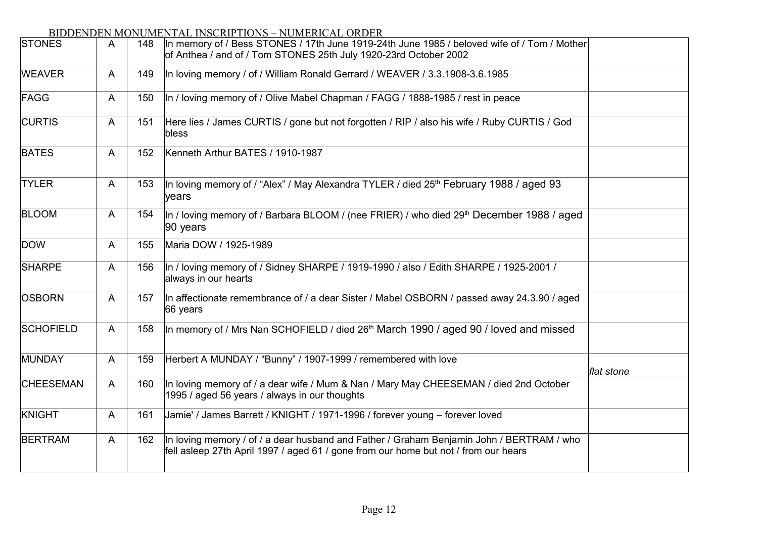| <b>STONES</b>    | A            | 148 | In memory of / Bess STONES / 17th June 1919-24th June 1985 / beloved wife of / Tom / Mother<br>of Anthea / and of / Tom STONES 25th July 1920-23rd October 2002                 |            |
|------------------|--------------|-----|---------------------------------------------------------------------------------------------------------------------------------------------------------------------------------|------------|
| <b>WEAVER</b>    | A            | 149 | In loving memory / of / William Ronald Gerrard / WEAVER / 3.3.1908-3.6.1985                                                                                                     |            |
| FAGG             | $\mathsf{A}$ | 150 | In / loving memory of / Olive Mabel Chapman / FAGG / 1888-1985 / rest in peace                                                                                                  |            |
| <b>CURTIS</b>    | A            | 151 | Here lies / James CURTIS / gone but not forgotten / RIP / also his wife / Ruby CURTIS / God<br>bless                                                                            |            |
| <b>BATES</b>     | A            | 152 | Kenneth Arthur BATES / 1910-1987                                                                                                                                                |            |
| <b>TYLER</b>     | A            | 153 | In loving memory of / "Alex" / May Alexandra TYLER / died 25th February 1988 / aged 93<br>years                                                                                 |            |
| <b>BLOOM</b>     | $\mathsf{A}$ | 154 | In / loving memory of / Barbara BLOOM / (nee FRIER) / who died 29 <sup>th</sup> December 1988 / aged<br>90 years                                                                |            |
| <b>DOW</b>       | A            | 155 | Maria DOW / 1925-1989                                                                                                                                                           |            |
| <b>SHARPE</b>    | A            | 156 | In / loving memory of / Sidney SHARPE / 1919-1990 / also / Edith SHARPE / 1925-2001 /<br>always in our hearts                                                                   |            |
| <b>OSBORN</b>    | A            | 157 | In affectionate remembrance of / a dear Sister / Mabel OSBORN / passed away 24.3.90 / aged<br>66 years                                                                          |            |
| <b>SCHOFIELD</b> | A            | 158 | In memory of / Mrs Nan SCHOFIELD / died 26 <sup>th</sup> March 1990 / aged 90 / loved and missed                                                                                |            |
| MUNDAY           | A            | 159 | Herbert A MUNDAY / "Bunny" / 1907-1999 / remembered with love                                                                                                                   | flat stone |
| <b>CHEESEMAN</b> | A            | 160 | In loving memory of / a dear wife / Mum & Nan / Mary May CHEESEMAN / died 2nd October<br>1995 / aged 56 years / always in our thoughts                                          |            |
| KNIGHT           | A            | 161 | Jamie' / James Barrett / KNIGHT / 1971-1996 / forever young - forever loved                                                                                                     |            |
| <b>BERTRAM</b>   | A            | 162 | In loving memory / of / a dear husband and Father / Graham Benjamin John / BERTRAM / who<br>fell asleep 27th April 1997 / aged 61 / gone from our home but not / from our hears |            |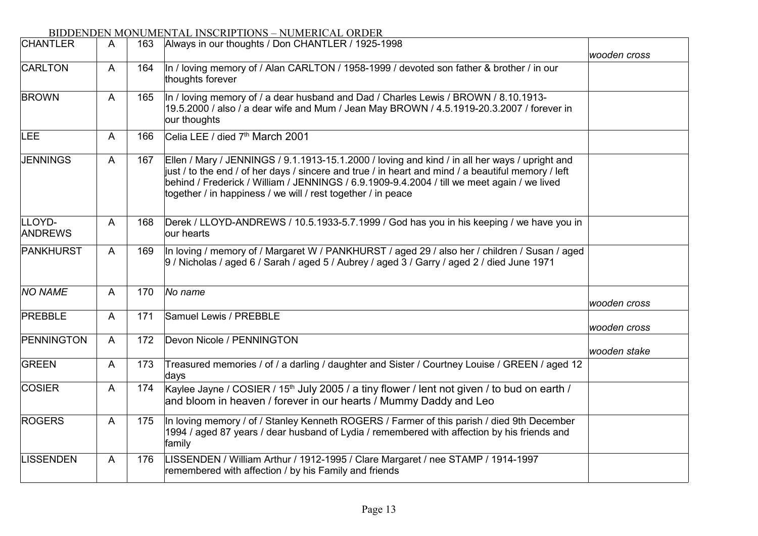| <b>CHANTLER</b>          | A | 163 | Always in our thoughts / Don CHANTLER / 1925-1998                                                                                                                                                                                                                                                                                                                   |              |
|--------------------------|---|-----|---------------------------------------------------------------------------------------------------------------------------------------------------------------------------------------------------------------------------------------------------------------------------------------------------------------------------------------------------------------------|--------------|
| CARLTON                  | A | 164 | In / loving memory of / Alan CARLTON / 1958-1999 / devoted son father & brother / in our<br>thoughts forever                                                                                                                                                                                                                                                        | wooden cross |
| <b>BROWN</b>             | A | 165 | In / loving memory of / a dear husband and Dad / Charles Lewis / BROWN / 8.10.1913-<br>19.5.2000 / also / a dear wife and Mum / Jean May BROWN / 4.5.1919-20.3.2007 / forever in<br>our thoughts                                                                                                                                                                    |              |
| LEE                      | A | 166 | Celia LEE / died 7 <sup>th</sup> March 2001                                                                                                                                                                                                                                                                                                                         |              |
| <b>JENNINGS</b>          | A | 167 | Ellen / Mary / JENNINGS / 9.1.1913-15.1.2000 / loving and kind / in all her ways / upright and<br>just / to the end / of her days / sincere and true / in heart and mind / a beautiful memory / left<br>behind / Frederick / William / JENNINGS / 6.9.1909-9.4.2004 / till we meet again / we lived<br>together / in happiness / we will / rest together / in peace |              |
| LLOYD-<br><b>ANDREWS</b> | A | 168 | Derek / LLOYD-ANDREWS / 10.5.1933-5.7.1999 / God has you in his keeping / we have you in<br>our hearts                                                                                                                                                                                                                                                              |              |
| PANKHURST                | A | 169 | In loving / memory of / Margaret W / PANKHURST / aged 29 / also her / children / Susan / aged<br>9 / Nicholas / aged 6 / Sarah / aged 5 / Aubrey / aged 3 / Garry / aged 2 / died June 1971                                                                                                                                                                         |              |
| <b>NO NAME</b>           | A | 170 | No name                                                                                                                                                                                                                                                                                                                                                             | wooden cross |
| PREBBLE                  | A | 171 | Samuel Lewis / PREBBLE                                                                                                                                                                                                                                                                                                                                              | wooden cross |
| PENNINGTON               | A | 172 | Devon Nicole / PENNINGTON                                                                                                                                                                                                                                                                                                                                           | wooden stake |
| GREEN                    | A | 173 | Treasured memories / of / a darling / daughter and Sister / Courtney Louise / GREEN / aged 12<br>days                                                                                                                                                                                                                                                               |              |
| <b>COSIER</b>            | A | 174 | Kaylee Jayne / COSIER / 15 <sup>th</sup> July 2005 / a tiny flower / lent not given / to bud on earth /<br>and bloom in heaven / forever in our hearts / Mummy Daddy and Leo                                                                                                                                                                                        |              |
| <b>ROGERS</b>            | A | 175 | In loving memory / of / Stanley Kenneth ROGERS / Farmer of this parish / died 9th December<br>1994 / aged 87 years / dear husband of Lydia / remembered with affection by his friends and<br>family                                                                                                                                                                 |              |
| <b>LISSENDEN</b>         | A | 176 | LISSENDEN / William Arthur / 1912-1995 / Clare Margaret / nee STAMP / 1914-1997<br>remembered with affection / by his Family and friends                                                                                                                                                                                                                            |              |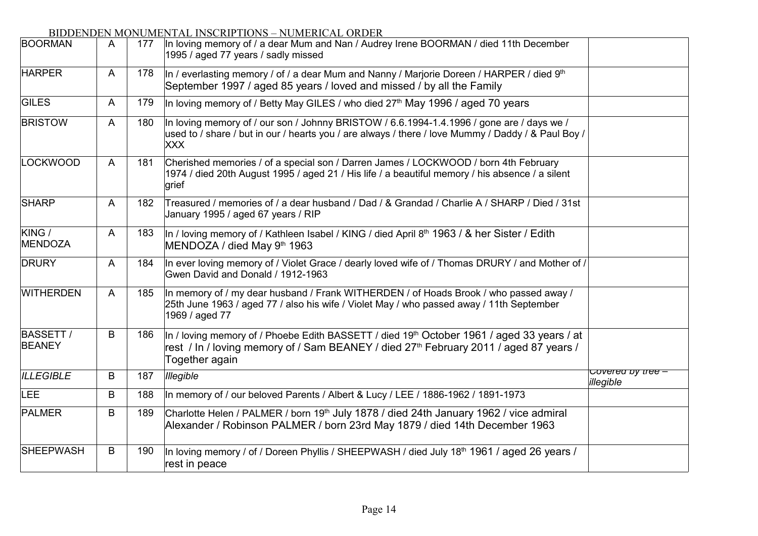| <b>BOORMAN</b>                    | A            | 177 | In loving memory of / a dear Mum and Nan / Audrey Irene BOORMAN / died 11th December<br>1995 / aged 77 years / sadly missed                                                                                                   |                                |
|-----------------------------------|--------------|-----|-------------------------------------------------------------------------------------------------------------------------------------------------------------------------------------------------------------------------------|--------------------------------|
| <b>HARPER</b>                     | A            | 178 | In / everlasting memory / of / a dear Mum and Nanny / Marjorie Doreen / HARPER / died $9th$<br>September 1997 / aged 85 years / loved and missed / by all the Family                                                          |                                |
| <b>GILES</b>                      | A            | 179 | In loving memory of / Betty May GILES / who died 27 <sup>th</sup> May 1996 / aged 70 years                                                                                                                                    |                                |
| <b>BRISTOW</b>                    | $\mathsf{A}$ | 180 | In loving memory of / our son / Johnny BRISTOW / 6.6.1994-1.4.1996 / gone are / days we /<br>used to / share / but in our / hearts you / are always / there / love Mummy / Daddy / & Paul Boy /<br><b>XXX</b>                 |                                |
| LOCKWOOD                          | A            | 181 | Cherished memories / of a special son / Darren James / LOCKWOOD / born 4th February<br>1974 / died 20th August 1995 / aged 21 / His life / a beautiful memory / his absence / a silent<br>grief                               |                                |
| <b>SHARP</b>                      | A            | 182 | Treasured / memories of / a dear husband / Dad / & Grandad / Charlie A / SHARP / Died / 31st<br>January 1995 / aged 67 years / RIP                                                                                            |                                |
| KING /<br>MENDOZA                 | A            | 183 | In / loving memory of / Kathleen Isabel / KING / died April 8th 1963 / & her Sister / Edith<br>MENDOZA / died May 9th 1963                                                                                                    |                                |
| <b>DRURY</b>                      | $\mathsf{A}$ | 184 | In ever loving memory of / Violet Grace / dearly loved wife of / Thomas DRURY / and Mother of /<br>Gwen David and Donald / 1912-1963                                                                                          |                                |
| <b>WITHERDEN</b>                  | A            | 185 | In memory of / my dear husband / Frank WITHERDEN / of Hoads Brook / who passed away /<br>25th June 1963 / aged 77 / also his wife / Violet May / who passed away / 11th September<br>1969 / aged 77                           |                                |
| <b>BASSETT /</b><br><b>BEANEY</b> | B            | 186 | In / loving memory of / Phoebe Edith BASSETT / died 19 <sup>th</sup> October 1961 / aged 33 years / at<br>rest / In / loving memory of / Sam BEANEY / died 27 <sup>th</sup> February 2011 / aged 87 years /<br>Together again |                                |
| <b>ILLEGIBLE</b>                  | B            | 187 | <b>Illegible</b>                                                                                                                                                                                                              | Covered by tree -<br>illegible |
| LEE                               | B            | 188 | In memory of / our beloved Parents / Albert & Lucy / LEE / 1886-1962 / 1891-1973                                                                                                                                              |                                |
| <b>PALMER</b>                     | B            | 189 | Charlotte Helen / PALMER / born 19 <sup>th</sup> July 1878 / died 24th January 1962 / vice admiral<br>Alexander / Robinson PALMER / born 23rd May 1879 / died 14th December 1963                                              |                                |
| <b>SHEEPWASH</b>                  | B            | 190 | In loving memory / of / Doreen Phyllis / SHEEPWASH / died July 18 <sup>th</sup> 1961 / aged 26 years /<br>rest in peace                                                                                                       |                                |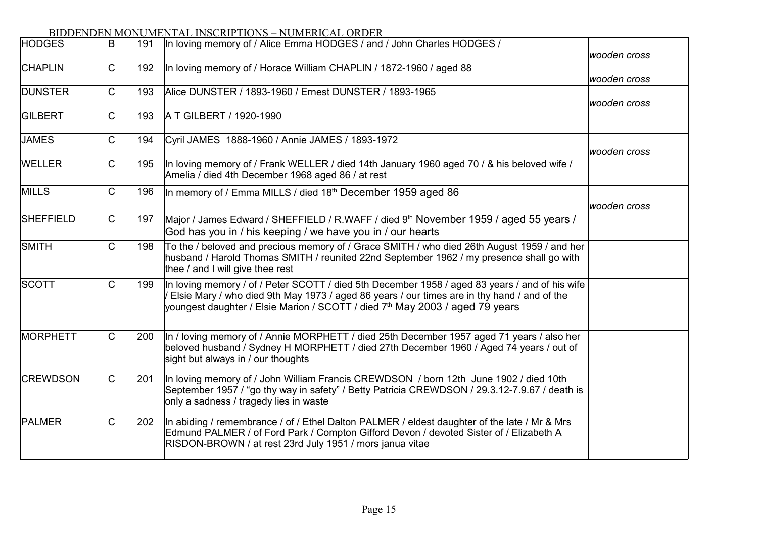| <b>HODGES</b>    | B            | 191 | In loving memory of / Alice Emma HODGES / and / John Charles HODGES /                                                                                                                                                                                                                     |              |
|------------------|--------------|-----|-------------------------------------------------------------------------------------------------------------------------------------------------------------------------------------------------------------------------------------------------------------------------------------------|--------------|
|                  |              |     |                                                                                                                                                                                                                                                                                           | wooden cross |
| <b>CHAPLIN</b>   | $\mathsf{C}$ | 192 | In loving memory of / Horace William CHAPLIN / 1872-1960 / aged 88                                                                                                                                                                                                                        | wooden cross |
| <b>DUNSTER</b>   | $\mathsf{C}$ | 193 | Alice DUNSTER / 1893-1960 / Ernest DUNSTER / 1893-1965                                                                                                                                                                                                                                    | wooden cross |
| GILBERT          | $\mathsf{C}$ | 193 | A T GILBERT / 1920-1990                                                                                                                                                                                                                                                                   |              |
| <b>JAMES</b>     | $\mathsf{C}$ | 194 | Cyril JAMES 1888-1960 / Annie JAMES / 1893-1972                                                                                                                                                                                                                                           | wooden cross |
| WELLER           | $\mathsf{C}$ | 195 | In loving memory of / Frank WELLER / died 14th January 1960 aged 70 / & his beloved wife /<br>Amelia / died 4th December 1968 aged 86 / at rest                                                                                                                                           |              |
| <b>MILLS</b>     | $\mathsf{C}$ | 196 | In memory of / Emma MILLS / died 18th December 1959 aged 86                                                                                                                                                                                                                               |              |
|                  |              |     |                                                                                                                                                                                                                                                                                           | wooden cross |
| <b>SHEFFIELD</b> | $\mathsf{C}$ | 197 | Major / James Edward / SHEFFIELD / R.WAFF / died 9th November 1959 / aged 55 years /<br>God has you in / his keeping / we have you in / our hearts                                                                                                                                        |              |
| SMITH            | $\mathsf{C}$ | 198 | To the / beloved and precious memory of / Grace SMITH / who died 26th August 1959 / and her<br>husband / Harold Thomas SMITH / reunited 22nd September 1962 / my presence shall go with<br>thee / and I will give thee rest                                                               |              |
| SCOTT            | $\mathsf{C}$ | 199 | In loving memory / of / Peter SCOTT / died 5th December 1958 / aged 83 years / and of his wife<br>Elsie Mary / who died 9th May 1973 / aged 86 years / our times are in thy hand / and of the<br>youngest daughter / Elsie Marion / SCOTT / died 7 <sup>th</sup> May 2003 / aged 79 years |              |
| MORPHETT         | $\mathsf{C}$ | 200 | In / loving memory of / Annie MORPHETT / died 25th December 1957 aged 71 years / also her<br>beloved husband / Sydney H MORPHETT / died 27th December 1960 / Aged 74 years / out of<br>sight but always in / our thoughts                                                                 |              |
| <b>CREWDSON</b>  | $\mathsf{C}$ | 201 | In loving memory of / John William Francis CREWDSON / born 12th June 1902 / died 10th<br>September 1957 / "go thy way in safety" / Betty Patricia CREWDSON / 29.3.12-7.9.67 / death is<br>only a sadness / tragedy lies in waste                                                          |              |
| PALMER           | $\mathsf C$  | 202 | In abiding / remembrance / of / Ethel Dalton PALMER / eldest daughter of the late / Mr & Mrs<br>Edmund PALMER / of Ford Park / Compton Gifford Devon / devoted Sister of / Elizabeth A<br>RISDON-BROWN / at rest 23rd July 1951 / mors janua vitae                                        |              |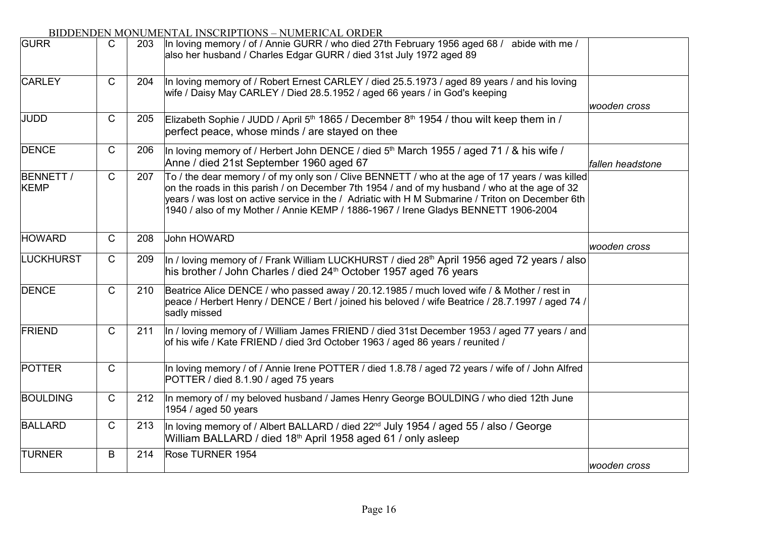| <b>TURNER</b>                   | B            | 214 | Rose TURNER 1954                                                                                                                                                                                                                                                                                                                                                                           | wooden cross     |
|---------------------------------|--------------|-----|--------------------------------------------------------------------------------------------------------------------------------------------------------------------------------------------------------------------------------------------------------------------------------------------------------------------------------------------------------------------------------------------|------------------|
| <b>BALLARD</b>                  | $\mathsf{C}$ | 213 | In loving memory of / Albert BALLARD / died 22 <sup>nd</sup> July 1954 / aged 55 / also / George<br>William BALLARD / died 18 <sup>th</sup> April 1958 aged 61 / only asleep                                                                                                                                                                                                               |                  |
| <b>BOULDING</b>                 | $\mathsf{C}$ | 212 | In memory of / my beloved husband / James Henry George BOULDING / who died 12th June<br>1954 / aged 50 years                                                                                                                                                                                                                                                                               |                  |
| <b>POTTER</b>                   | $\mathsf{C}$ |     | In loving memory / of / Annie Irene POTTER / died 1.8.78 / aged 72 years / wife of / John Alfred<br>POTTER / died 8.1.90 / aged 75 years                                                                                                                                                                                                                                                   |                  |
| FRIEND                          | $\mathsf{C}$ | 211 | In / loving memory of / William James FRIEND / died 31st December 1953 / aged 77 years / and<br>of his wife / Kate FRIEND / died 3rd October 1963 / aged 86 years / reunited /                                                                                                                                                                                                             |                  |
| <b>DENCE</b>                    | $\mathsf{C}$ | 210 | Beatrice Alice DENCE / who passed away / 20.12.1985 / much loved wife / & Mother / rest in<br>peace / Herbert Henry / DENCE / Bert / joined his beloved / wife Beatrice / 28.7.1997 / aged 74 /<br>sadly missed                                                                                                                                                                            |                  |
| <b>LUCKHURST</b>                | $\mathsf C$  | 209 | In / loving memory of / Frank William LUCKHURST / died 28 <sup>th</sup> April 1956 aged 72 years / also<br>his brother / John Charles / died 24 <sup>th</sup> October 1957 aged 76 years                                                                                                                                                                                                   |                  |
| <b>HOWARD</b>                   | $\mathsf{C}$ | 208 | John HOWARD                                                                                                                                                                                                                                                                                                                                                                                | wooden cross     |
| <b>BENNETT /</b><br><b>KEMP</b> | $\mathsf{C}$ | 207 | To / the dear memory / of my only son / Clive BENNETT / who at the age of 17 years / was killed<br>on the roads in this parish / on December 7th 1954 / and of my husband / who at the age of 32<br>years / was lost on active service in the / Adriatic with H M Submarine / Triton on December 6th<br>1940 / also of my Mother / Annie KEMP / 1886-1967 / Irene Gladys BENNETT 1906-2004 |                  |
| <b>DENCE</b>                    | $\mathsf{C}$ | 206 | In loving memory of / Herbert John DENCE / died $5th$ March 1955 / aged 71 / & his wife /<br>Anne / died 21st September 1960 aged 67                                                                                                                                                                                                                                                       | fallen headstone |
| <b>JUDD</b>                     | $\mathsf{C}$ | 205 | Elizabeth Sophie / JUDD / April 5 <sup>th</sup> 1865 / December 8 <sup>th</sup> 1954 / thou wilt keep them in /<br>perfect peace, whose minds / are stayed on thee                                                                                                                                                                                                                         |                  |
| <b>CARLEY</b>                   | $\mathsf{C}$ | 204 | In loving memory of / Robert Ernest CARLEY / died 25.5.1973 / aged 89 years / and his loving<br>wife / Daisy May CARLEY / Died 28.5.1952 / aged 66 years / in God's keeping                                                                                                                                                                                                                | wooden cross     |
| <b>GURR</b>                     | $\mathsf{C}$ | 203 | в нуски поло – повышено но окреж<br>In loving memory / of / Annie GURR / who died 27th February 1956 aged 68 / abide with me /<br>also her husband / Charles Edgar GURR / died 31st July 1972 aged 89                                                                                                                                                                                      |                  |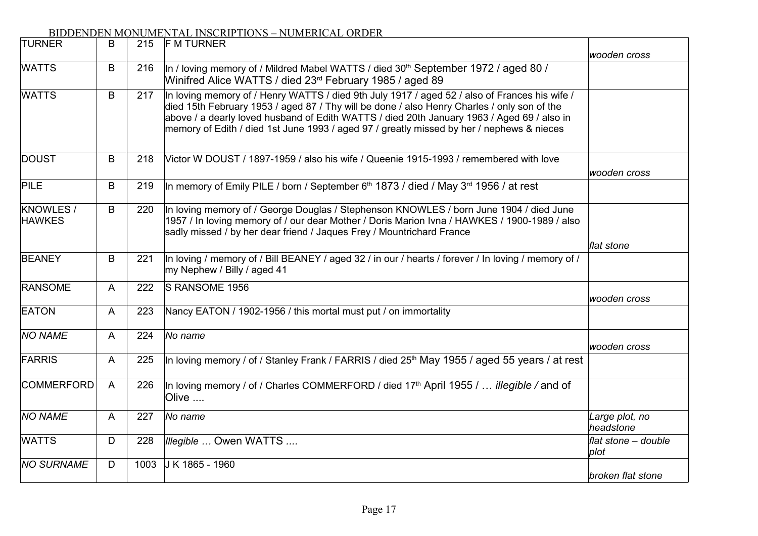| <b>TURNER</b>                     | B | 215  | <b>F M TURNER</b>                                                                                                                                                                                                                                                                                                                                                                       |                             |
|-----------------------------------|---|------|-----------------------------------------------------------------------------------------------------------------------------------------------------------------------------------------------------------------------------------------------------------------------------------------------------------------------------------------------------------------------------------------|-----------------------------|
|                                   |   |      |                                                                                                                                                                                                                                                                                                                                                                                         | wooden cross                |
| <b>WATTS</b>                      | B | 216  | In / loving memory of / Mildred Mabel WATTS / died 30 <sup>th</sup> September 1972 / aged 80 /<br>Winifred Alice WATTS / died 23rd February 1985 / aged 89                                                                                                                                                                                                                              |                             |
| <b>WATTS</b>                      | B | 217  | In loving memory of / Henry WATTS / died 9th July 1917 / aged 52 / also of Frances his wife /<br>died 15th February 1953 / aged 87 / Thy will be done / also Henry Charles / only son of the<br>above / a dearly loved husband of Edith WATTS / died 20th January 1963 / Aged 69 / also in<br>memory of Edith / died 1st June 1993 / aged 97 / greatly missed by her / nephews & nieces |                             |
| <b>DOUST</b>                      | B | 218  | Victor W DOUST / 1897-1959 / also his wife / Queenie 1915-1993 / remembered with love                                                                                                                                                                                                                                                                                                   |                             |
|                                   |   |      |                                                                                                                                                                                                                                                                                                                                                                                         | wooden cross                |
| <b>PILE</b>                       | B | 219  | In memory of Emily PILE / born / September 6 <sup>th</sup> 1873 / died / May 3 <sup>rd</sup> 1956 / at rest                                                                                                                                                                                                                                                                             |                             |
| <b>KNOWLES /</b><br><b>HAWKES</b> | B | 220  | In loving memory of / George Douglas / Stephenson KNOWLES / born June 1904 / died June<br>1957 / In loving memory of / our dear Mother / Doris Marion Ivna / HAWKES / 1900-1989 / also<br>sadly missed / by her dear friend / Jaques Frey / Mountrichard France                                                                                                                         |                             |
|                                   |   |      |                                                                                                                                                                                                                                                                                                                                                                                         | flat stone                  |
| <b>BEANEY</b>                     | B | 221  | In loving / memory of / Bill BEANEY / aged 32 / in our / hearts / forever / In loving / memory of /<br>my Nephew / Billy / aged 41                                                                                                                                                                                                                                                      |                             |
| <b>RANSOME</b>                    | A | 222  | S RANSOME 1956                                                                                                                                                                                                                                                                                                                                                                          | wooden cross                |
| <b>EATON</b>                      | A | 223  | Nancy EATON / 1902-1956 / this mortal must put / on immortality                                                                                                                                                                                                                                                                                                                         |                             |
| <b>NO NAME</b>                    | A | 224  | No name                                                                                                                                                                                                                                                                                                                                                                                 | wooden cross                |
| FARRIS                            | A | 225  | In loving memory / of / Stanley Frank / FARRIS / died 25 <sup>th</sup> May 1955 / aged 55 years / at rest                                                                                                                                                                                                                                                                               |                             |
| <b>COMMERFORD</b>                 | A | 226  | In loving memory / of / Charles COMMERFORD / died 17 <sup>th</sup> April 1955 / <i>illegible /</i> and of<br>Olive                                                                                                                                                                                                                                                                      |                             |
| <b>NO NAME</b>                    | A | 227  | No name                                                                                                                                                                                                                                                                                                                                                                                 | Large plot, no<br>headstone |
| <b>WATTS</b>                      | D | 228  | Illegible  Owen WATTS                                                                                                                                                                                                                                                                                                                                                                   | flat stone - double<br>plot |
| <b>NO SURNAME</b>                 | D | 1003 | J K 1865 - 1960                                                                                                                                                                                                                                                                                                                                                                         | broken flat stone           |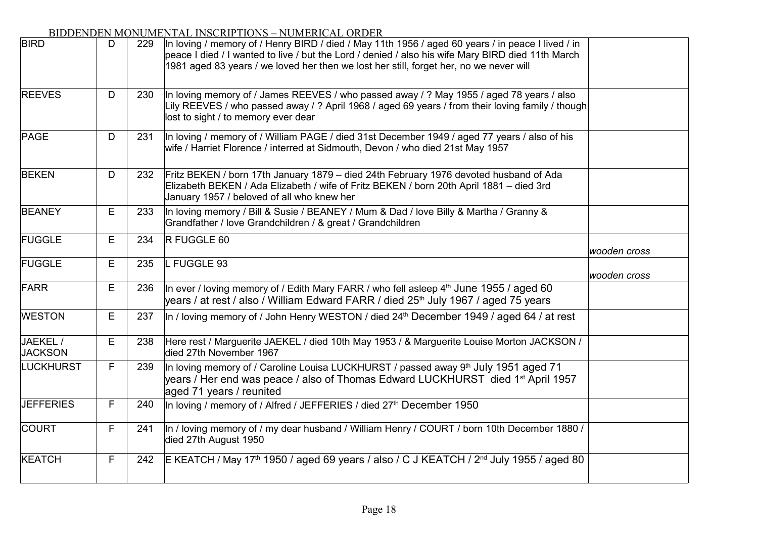| <b>BIRD</b>                | D | 229 | In loving / memory of / Henry BIRD / died / May 11th 1956 / aged 60 years / in peace I lived / in<br>peace I died / I wanted to live / but the Lord / denied / also his wife Mary BIRD died 11th March<br>1981 aged 83 years / we loved her then we lost her still, forget her, no we never will |              |
|----------------------------|---|-----|--------------------------------------------------------------------------------------------------------------------------------------------------------------------------------------------------------------------------------------------------------------------------------------------------|--------------|
| <b>REEVES</b>              | D | 230 | In loving memory of / James REEVES / who passed away / ? May 1955 / aged 78 years / also<br>Lily REEVES / who passed away / ? April 1968 / aged 69 years / from their loving family / though<br>lost to sight / to memory ever dear                                                              |              |
| <b>PAGE</b>                | D | 231 | In loving / memory of / William PAGE / died 31st December 1949 / aged 77 years / also of his<br>wife / Harriet Florence / interred at Sidmouth, Devon / who died 21st May 1957                                                                                                                   |              |
| <b>BEKEN</b>               | D | 232 | Fritz BEKEN / born 17th January 1879 – died 24th February 1976 devoted husband of Ada<br>Elizabeth BEKEN / Ada Elizabeth / wife of Fritz BEKEN / born 20th April 1881 - died 3rd<br>January 1957 / beloved of all who knew her                                                                   |              |
| <b>BEANEY</b>              | Е | 233 | In loving memory / Bill & Susie / BEANEY / Mum & Dad / love Billy & Martha / Granny &<br>Grandfather / love Grandchildren / & great / Grandchildren                                                                                                                                              |              |
| <b>FUGGLE</b>              | Е | 234 | R FUGGLE 60                                                                                                                                                                                                                                                                                      | wooden cross |
| <b>FUGGLE</b>              | E | 235 | L FUGGLE 93                                                                                                                                                                                                                                                                                      | wooden cross |
| FARR                       | Е | 236 | In ever / loving memory of / Edith Mary FARR / who fell asleep 4 <sup>th</sup> June 1955 / aged 60<br>years / at rest / also / William Edward FARR / died 25 <sup>th</sup> July 1967 / aged 75 years                                                                                             |              |
| <b>WESTON</b>              | Е | 237 | In / loving memory of / John Henry WESTON / died 24 <sup>th</sup> December 1949 / aged 64 / at rest                                                                                                                                                                                              |              |
| JAEKEL /<br><b>JACKSON</b> | Е | 238 | Here rest / Marguerite JAEKEL / died 10th May 1953 / & Marguerite Louise Morton JACKSON /<br>died 27th November 1967                                                                                                                                                                             |              |
| <b>LUCKHURST</b>           | F | 239 | In loving memory of / Caroline Louisa LUCKHURST / passed away 9 <sup>th</sup> July 1951 aged 71<br>years / Her end was peace / also of Thomas Edward LUCKHURST died 1 <sup>st</sup> April 1957<br>aged 71 years / reunited                                                                       |              |
| <b>JEFFERIES</b>           | F | 240 | In loving / memory of / Alfred / JEFFERIES / died 27 <sup>th</sup> December 1950                                                                                                                                                                                                                 |              |
| COURT                      | F | 241 | In / loving memory of / my dear husband / William Henry / COURT / born 10th December 1880 /<br>died 27th August 1950                                                                                                                                                                             |              |
| <b>KEATCH</b>              | F | 242 | E KEATCH / May 17 <sup>th</sup> 1950 / aged 69 years / also / C J KEATCH / 2 <sup>nd</sup> July 1955 / aged 80                                                                                                                                                                                   |              |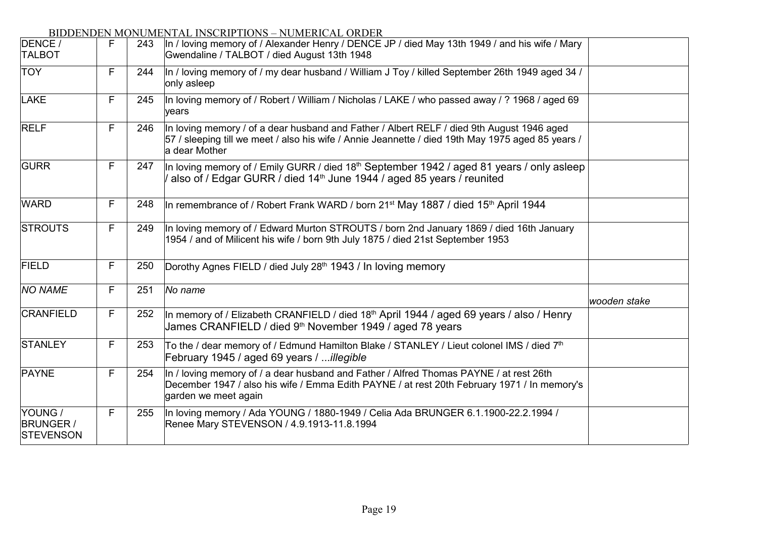| DENCE /<br><b>TALBOT</b>                        | F | 243 | In / loving memory of / Alexander Henry / DENCE JP / died May 13th 1949 / and his wife / Mary<br>Gwendaline / TALBOT / died August 13th 1948                                                                    |              |
|-------------------------------------------------|---|-----|-----------------------------------------------------------------------------------------------------------------------------------------------------------------------------------------------------------------|--------------|
| <b>TOY</b>                                      | F | 244 | In / loving memory of / my dear husband / William J Toy / killed September 26th 1949 aged 34 /<br>only asleep                                                                                                   |              |
| LAKE                                            | F | 245 | In loving memory of / Robert / William / Nicholas / LAKE / who passed away / ? 1968 / aged 69<br>vears                                                                                                          |              |
| <b>RELF</b>                                     | F | 246 | In loving memory / of a dear husband and Father / Albert RELF / died 9th August 1946 aged<br>57 / sleeping till we meet / also his wife / Annie Jeannette / died 19th May 1975 aged 85 years /<br>a dear Mother |              |
| <b>GURR</b>                                     | F | 247 | In loving memory of / Emily GURR / died 18 <sup>th</sup> September 1942 / aged 81 years / only asleep<br>also of / Edgar GURR / died 14 <sup>th</sup> June 1944 / aged 85 years / reunited                      |              |
| <b>WARD</b>                                     | F | 248 | In remembrance of / Robert Frank WARD / born 21 <sup>st</sup> May 1887 / died 15 <sup>th</sup> April 1944                                                                                                       |              |
| <b>STROUTS</b>                                  | F | 249 | In loving memory of / Edward Murton STROUTS / born 2nd January 1869 / died 16th January<br>1954 / and of Milicent his wife / born 9th July 1875 / died 21st September 1953                                      |              |
| <b>FIELD</b>                                    | F | 250 | Dorothy Agnes FIELD / died July 28 <sup>th</sup> 1943 / In loving memory                                                                                                                                        |              |
| <b>NO NAME</b>                                  | F | 251 | No name                                                                                                                                                                                                         | wooden stake |
| <b>CRANFIELD</b>                                | F | 252 | In memory of / Elizabeth CRANFIELD / died 18 <sup>th</sup> April 1944 / aged 69 years / also / Henry<br>James CRANFIELD / died 9 <sup>th</sup> November 1949 / aged 78 years                                    |              |
| <b>STANLEY</b>                                  | F | 253 | To the / dear memory of / Edmund Hamilton Blake / STANLEY / Lieut colonel IMS / died 7 <sup>th</sup><br>February 1945 / aged 69 years / illegible                                                               |              |
| <b>PAYNE</b>                                    | F | 254 | In / loving memory of / a dear husband and Father / Alfred Thomas PAYNE / at rest 26th<br>December 1947 / also his wife / Emma Edith PAYNE / at rest 20th February 1971 / In memory's<br>garden we meet again   |              |
| YOUNG /<br><b>BRUNGER /</b><br><b>STEVENSON</b> | F | 255 | In loving memory / Ada YOUNG / 1880-1949 / Celia Ada BRUNGER 6.1.1900-22.2.1994 /<br>Renee Mary STEVENSON / 4.9.1913-11.8.1994                                                                                  |              |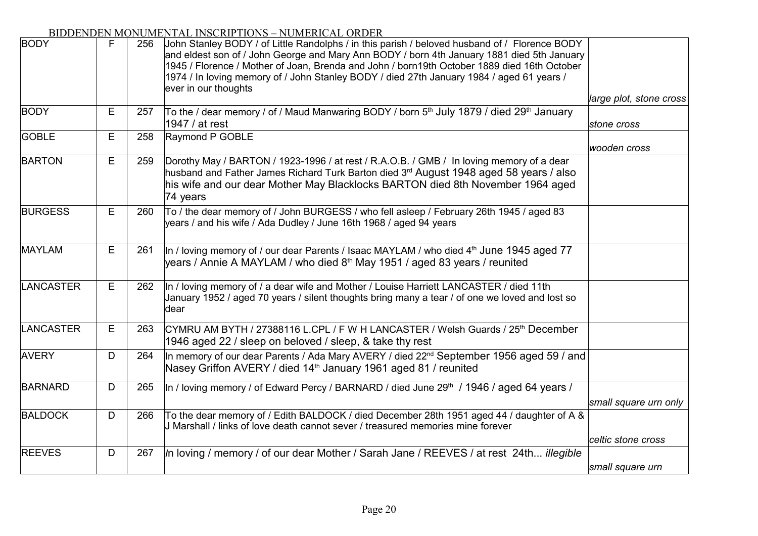| <b>BODY</b>      | F. | 256 | John Stanley BODY / of Little Randolphs / in this parish / beloved husband of / Florence BODY<br>and eldest son of / John George and Mary Ann BODY / born 4th January 1881 died 5th January<br>1945 / Florence / Mother of Joan, Brenda and John / born19th October 1889 died 16th October<br>1974 / In loving memory of / John Stanley BODY / died 27th January 1984 / aged 61 years /<br>ever in our thoughts |                         |
|------------------|----|-----|-----------------------------------------------------------------------------------------------------------------------------------------------------------------------------------------------------------------------------------------------------------------------------------------------------------------------------------------------------------------------------------------------------------------|-------------------------|
|                  |    |     |                                                                                                                                                                                                                                                                                                                                                                                                                 | large plot, stone cross |
| BODY             | E  | 257 | To the / dear memory / of / Maud Manwaring BODY / born 5th July 1879 / died 29th January<br>1947 / at rest                                                                                                                                                                                                                                                                                                      | stone cross             |
| GOBLE            | E  | 258 | Raymond P GOBLE                                                                                                                                                                                                                                                                                                                                                                                                 | wooden cross            |
| <b>BARTON</b>    | E  | 259 | Dorothy May / BARTON / 1923-1996 / at rest / R.A.O.B. / GMB / In loving memory of a dear<br>husband and Father James Richard Turk Barton died 3rd August 1948 aged 58 years / also<br>his wife and our dear Mother May Blacklocks BARTON died 8th November 1964 aged<br>74 years                                                                                                                                |                         |
| <b>BURGESS</b>   | Е  | 260 | To / the dear memory of / John BURGESS / who fell asleep / February 26th 1945 / aged 83<br>years / and his wife / Ada Dudley / June 16th 1968 / aged 94 years                                                                                                                                                                                                                                                   |                         |
| <b>MAYLAM</b>    | E  | 261 | In / loving memory of / our dear Parents / Isaac MAYLAM / who died 4 <sup>th</sup> June 1945 aged 77<br>years / Annie A MAYLAM / who died 8 <sup>th</sup> May 1951 / aged 83 years / reunited                                                                                                                                                                                                                   |                         |
| <b>LANCASTER</b> | E  | 262 | In / loving memory of / a dear wife and Mother / Louise Harriett LANCASTER / died 11th<br>January 1952 / aged 70 years / silent thoughts bring many a tear / of one we loved and lost so<br>dear                                                                                                                                                                                                                |                         |
| <b>LANCASTER</b> | Е  | 263 | CYMRU AM BYTH / 27388116 L.CPL / F W H LANCASTER / Welsh Guards / 25 <sup>th</sup> December<br>1946 aged 22 / sleep on beloved / sleep, & take thy rest                                                                                                                                                                                                                                                         |                         |
| <b>AVERY</b>     | D  | 264 | In memory of our dear Parents / Ada Mary AVERY / died 22 <sup>nd</sup> September 1956 aged 59 / and<br>Nasey Griffon AVERY / died 14 <sup>th</sup> January 1961 aged 81 / reunited                                                                                                                                                                                                                              |                         |
| <b>BARNARD</b>   | D  | 265 | In / loving memory / of Edward Percy / BARNARD / died June 29 <sup>th</sup> / 1946 / aged 64 years /                                                                                                                                                                                                                                                                                                            | small square urn only   |
| <b>BALDOCK</b>   | D  | 266 | To the dear memory of / Edith BALDOCK / died December 28th 1951 aged 44 / daughter of A &<br>J Marshall / links of love death cannot sever / treasured memories mine forever                                                                                                                                                                                                                                    | celtic stone cross      |
| <b>REEVES</b>    | D  | 267 | In loving / memory / of our dear Mother / Sarah Jane / REEVES / at rest 24th illegible                                                                                                                                                                                                                                                                                                                          | small square urn        |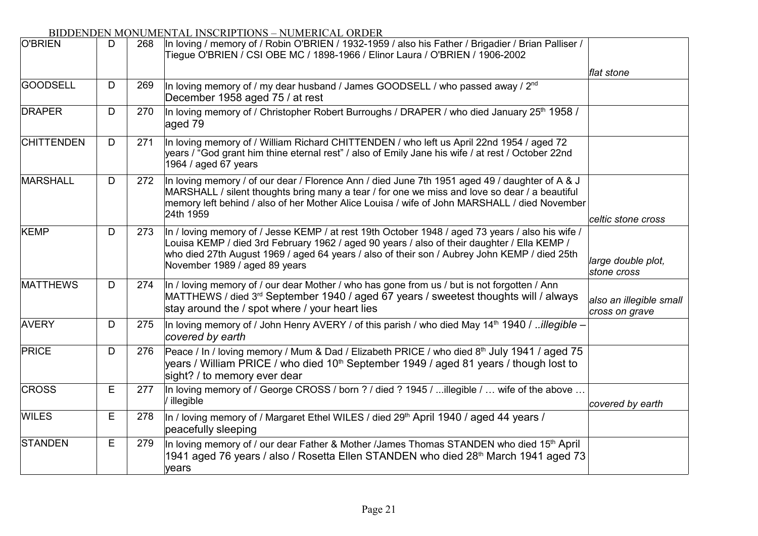| O'BRIEN           | D | 268 | In loving / memory of / Robin O'BRIEN / 1932-1959 / also his Father / Brigadier / Brian Palliser /<br>Tiegue O'BRIEN / CSI OBE MC / 1898-1966 / Elinor Laura / O'BRIEN / 1906-2002                                                                                                                                               |                                           |
|-------------------|---|-----|----------------------------------------------------------------------------------------------------------------------------------------------------------------------------------------------------------------------------------------------------------------------------------------------------------------------------------|-------------------------------------------|
|                   |   |     |                                                                                                                                                                                                                                                                                                                                  | flat stone                                |
| <b>GOODSELL</b>   | D | 269 | In loving memory of / my dear husband / James GOODSELL / who passed away / $2^{nd}$<br>December 1958 aged 75 / at rest                                                                                                                                                                                                           |                                           |
| <b>DRAPER</b>     | D | 270 | In loving memory of / Christopher Robert Burroughs / DRAPER / who died January 25 <sup>th</sup> 1958 /<br>aged 79                                                                                                                                                                                                                |                                           |
| <b>CHITTENDEN</b> | D | 271 | In loving memory of / William Richard CHITTENDEN / who left us April 22nd 1954 / aged 72<br>years / "God grant him thine eternal rest" / also of Emily Jane his wife / at rest / October 22nd<br>1964 / aged 67 years                                                                                                            |                                           |
| <b>MARSHALL</b>   | D | 272 | In loving memory / of our dear / Florence Ann / died June 7th 1951 aged 49 / daughter of A & J<br>MARSHALL / silent thoughts bring many a tear / for one we miss and love so dear / a beautiful<br>memory left behind / also of her Mother Alice Louisa / wife of John MARSHALL / died November<br>24th 1959                     | celtic stone cross                        |
| KEMP              | D | 273 | In / loving memory of / Jesse KEMP / at rest 19th October 1948 / aged 73 years / also his wife /<br>Louisa KEMP / died 3rd February 1962 / aged 90 years / also of their daughter / Ella KEMP /<br>who died 27th August 1969 / aged 64 years / also of their son / Aubrey John KEMP / died 25th<br>November 1989 / aged 89 years | large double plot,<br>stone cross         |
| <b>MATTHEWS</b>   | D | 274 | In / loving memory of / our dear Mother / who has gone from us / but is not forgotten / Ann<br>MATTHEWS / died 3 <sup>rd</sup> September 1940 / aged 67 years / sweetest thoughts will / always<br>stay around the / spot where / your heart lies                                                                                | also an illegible small<br>cross on grave |
| <b>AVERY</b>      | D | 275 | In loving memory of / John Henry AVERY / of this parish / who died May 14 <sup>th</sup> 1940 / <i>illegible -</i><br>covered by earth                                                                                                                                                                                            |                                           |
| PRICE             | D | 276 | Peace / In / loving memory / Mum & Dad / Elizabeth PRICE / who died 8 <sup>th</sup> July 1941 / aged 75<br>years / William PRICE / who died 10 <sup>th</sup> September 1949 / aged 81 years / though lost to<br>sight? / to memory ever dear                                                                                     |                                           |
| <b>CROSS</b>      | Е | 277 | In loving memory of / George CROSS / born ? / died ? 1945 / illegible /  wife of the above<br>/ illegible                                                                                                                                                                                                                        | covered by earth                          |
| <b>WILES</b>      | Е | 278 | In / loving memory of / Margaret Ethel WILES / died 29 <sup>th</sup> April 1940 / aged 44 years /<br>peacefully sleeping                                                                                                                                                                                                         |                                           |
| <b>STANDEN</b>    | Е | 279 | In loving memory of / our dear Father & Mother /James Thomas STANDEN who died 15 <sup>th</sup> April<br>1941 aged 76 years / also / Rosetta Ellen STANDEN who died 28 <sup>th</sup> March 1941 aged 73<br>years                                                                                                                  |                                           |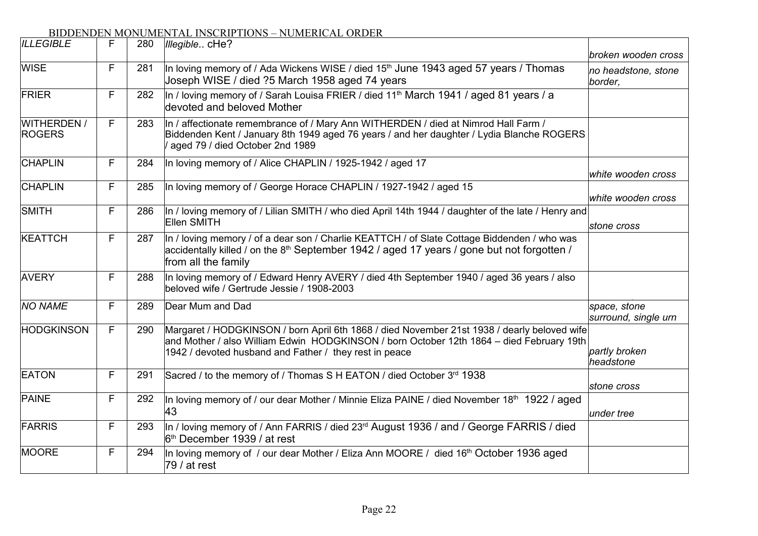| <b>ILLEGIBLE</b>                    | F | 280 | Illegible cHe?                                                                                                                                                                                                                                    |                                                       |
|-------------------------------------|---|-----|---------------------------------------------------------------------------------------------------------------------------------------------------------------------------------------------------------------------------------------------------|-------------------------------------------------------|
| <b>WISE</b>                         | F | 281 | In loving memory of / Ada Wickens WISE / died 15 <sup>th</sup> June 1943 aged 57 years / Thomas<br>Joseph WISE / died ?5 March 1958 aged 74 years                                                                                                 | broken wooden cross<br>no headstone, stone<br>border, |
| FRIER                               | F | 282 | In / loving memory of / Sarah Louisa FRIER / died 11 <sup>th</sup> March 1941 / aged 81 years / a<br>devoted and beloved Mother                                                                                                                   |                                                       |
| <b>WITHERDEN /</b><br><b>ROGERS</b> | F | 283 | In / affectionate remembrance of / Mary Ann WITHERDEN / died at Nimrod Hall Farm /<br>Biddenden Kent / January 8th 1949 aged 76 years / and her daughter / Lydia Blanche ROGERS<br>aged 79 / died October 2nd 1989                                |                                                       |
| <b>CHAPLIN</b>                      | F | 284 | In loving memory of / Alice CHAPLIN / 1925-1942 / aged 17                                                                                                                                                                                         | white wooden cross                                    |
| <b>CHAPLIN</b>                      | F | 285 | In loving memory of / George Horace CHAPLIN / 1927-1942 / aged 15                                                                                                                                                                                 | white wooden cross                                    |
| SMITH                               | F | 286 | In / loving memory of / Lilian SMITH / who died April 14th 1944 / daughter of the late / Henry and<br>Ellen SMITH                                                                                                                                 | stone cross                                           |
| KEATTCH                             | F | 287 | In / loving memory / of a dear son / Charlie KEATTCH / of Slate Cottage Biddenden / who was<br>accidentally killed / on the 8 <sup>th</sup> September 1942 / aged 17 years / gone but not forgotten /<br>from all the family                      |                                                       |
| <b>AVERY</b>                        | F | 288 | In loving memory of / Edward Henry AVERY / died 4th September 1940 / aged 36 years / also<br>beloved wife / Gertrude Jessie / 1908-2003                                                                                                           |                                                       |
| <b>NO NAME</b>                      | F | 289 | Dear Mum and Dad                                                                                                                                                                                                                                  | space, stone<br>surround, single urn                  |
| <b>HODGKINSON</b>                   | F | 290 | Margaret / HODGKINSON / born April 6th 1868 / died November 21st 1938 / dearly beloved wife<br>and Mother / also William Edwin HODGKINSON / born October 12th 1864 - died February 19th<br>1942 / devoted husband and Father / they rest in peace | partly broken<br>headstone                            |
| <b>EATON</b>                        | F | 291 | Sacred / to the memory of / Thomas S H EATON / died October 3rd 1938                                                                                                                                                                              | stone cross                                           |
| <b>PAINE</b>                        | F | 292 | In loving memory of / our dear Mother / Minnie Eliza PAINE / died November 18 <sup>th</sup> 1922 / aged<br>43                                                                                                                                     | under tree                                            |
| FARRIS                              | F | 293 | In / loving memory of / Ann FARRIS / died 23 <sup>rd</sup> August 1936 / and / George FARRIS / died<br>6 <sup>th</sup> December 1939 / at rest                                                                                                    |                                                       |
| MOORE                               | F | 294 | In loving memory of / our dear Mother / Eliza Ann MOORE / died 16 <sup>th</sup> October 1936 aged<br>$ 79/$ at rest                                                                                                                               |                                                       |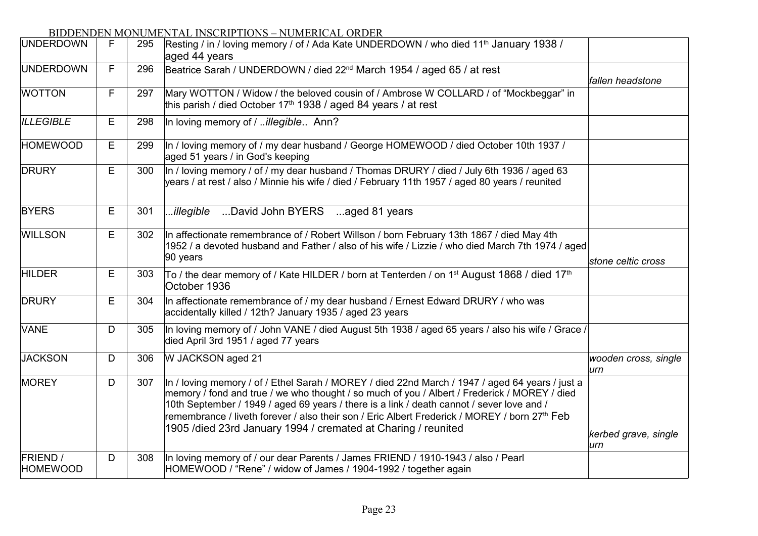| <b>UNDERDOWN</b>                   | F. | 295 | Resting / in / loving memory / of / Ada Kate UNDERDOWN / who died 11 <sup>th</sup> January 1938 /<br>aged 44 years                                                                                                                                                                                                                                                                                                                                                         |                             |
|------------------------------------|----|-----|----------------------------------------------------------------------------------------------------------------------------------------------------------------------------------------------------------------------------------------------------------------------------------------------------------------------------------------------------------------------------------------------------------------------------------------------------------------------------|-----------------------------|
| <b>UNDERDOWN</b>                   | F  | 296 | Beatrice Sarah / UNDERDOWN / died 22 <sup>nd</sup> March 1954 / aged 65 / at rest                                                                                                                                                                                                                                                                                                                                                                                          | fallen headstone            |
| <b>WOTTON</b>                      | F  | 297 | Mary WOTTON / Widow / the beloved cousin of / Ambrose W COLLARD / of "Mockbeggar" in<br>this parish / died October 17 <sup>th</sup> 1938 / aged 84 years / at rest                                                                                                                                                                                                                                                                                                         |                             |
| <b>ILLEGIBLE</b>                   | Е  | 298 | In loving memory of / <i>illegible</i> Ann?                                                                                                                                                                                                                                                                                                                                                                                                                                |                             |
| <b>HOMEWOOD</b>                    | Е  | 299 | In / loving memory of / my dear husband / George HOMEWOOD / died October 10th 1937 /<br>aged 51 years / in God's keeping                                                                                                                                                                                                                                                                                                                                                   |                             |
| <b>DRURY</b>                       | Е  | 300 | In / loving memory / of / my dear husband / Thomas DRURY / died / July 6th 1936 / aged 63<br>years / at rest / also / Minnie his wife / died / February 11th 1957 / aged 80 years / reunited                                                                                                                                                                                                                                                                               |                             |
| <b>BYERS</b>                       | E  | 301 | David John BYERS aged 81 years<br>illegible                                                                                                                                                                                                                                                                                                                                                                                                                                |                             |
| <b>WILLSON</b>                     | E  | 302 | In affectionate remembrance of / Robert Willson / born February 13th 1867 / died May 4th<br>1952 / a devoted husband and Father / also of his wife / Lizzie / who died March 7th 1974 / aged<br>90 years                                                                                                                                                                                                                                                                   | stone celtic cross          |
| <b>HILDER</b>                      | Е  | 303 | To / the dear memory of / Kate HILDER / born at Tenterden / on 1 <sup>st</sup> August 1868 / died 17 <sup>th</sup><br>October 1936                                                                                                                                                                                                                                                                                                                                         |                             |
| <b>DRURY</b>                       | E  | 304 | In affectionate remembrance of / my dear husband / Ernest Edward DRURY / who was<br>accidentally killed / 12th? January 1935 / aged 23 years                                                                                                                                                                                                                                                                                                                               |                             |
| <b>VANE</b>                        | D  | 305 | In loving memory of / John VANE / died August 5th 1938 / aged 65 years / also his wife / Grace /<br>died April 3rd 1951 / aged 77 years                                                                                                                                                                                                                                                                                                                                    |                             |
| <b>JACKSON</b>                     | D  | 306 | W JACKSON aged 21                                                                                                                                                                                                                                                                                                                                                                                                                                                          | wooden cross, single<br>urn |
| MOREY                              | D  | 307 | In / loving memory / of / Ethel Sarah / MOREY / died 22nd March / 1947 / aged 64 years / just a<br>memory / fond and true / we who thought / so much of you / Albert / Frederick / MOREY / died<br>10th September / 1949 / aged 69 years / there is a link / death cannot / sever love and /<br>remembrance / liveth forever / also their son / Eric Albert Frederick / MOREY / born 27 <sup>th</sup> Feb<br>1905 /died 23rd January 1994 / cremated at Charing / reunited | kerbed grave, single<br>urn |
| <b>FRIEND</b> /<br><b>HOMEWOOD</b> | D  | 308 | In loving memory of / our dear Parents / James FRIEND / 1910-1943 / also / Pearl<br>HOMEWOOD / "Rene" / widow of James / 1904-1992 / together again                                                                                                                                                                                                                                                                                                                        |                             |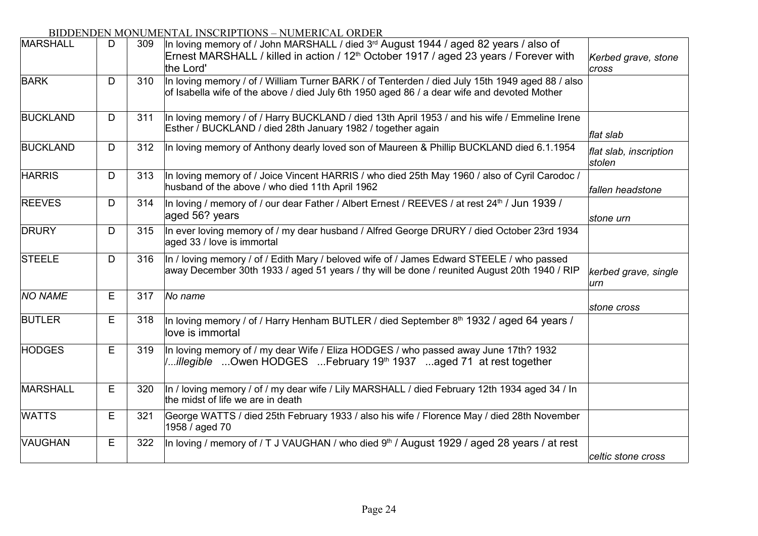| MARSHALL        | D | 309 | In loving memory of / John MARSHALL / died 3 <sup>rd</sup> August 1944 / aged 82 years / also of<br>Ernest MARSHALL / killed in action / 12 <sup>th</sup> October 1917 / aged 23 years / Forever with<br>the Lord' | Kerbed grave, stone<br>cross     |
|-----------------|---|-----|--------------------------------------------------------------------------------------------------------------------------------------------------------------------------------------------------------------------|----------------------------------|
| <b>BARK</b>     | D | 310 | In loving memory / of / William Turner BARK / of Tenterden / died July 15th 1949 aged 88 / also<br>of Isabella wife of the above / died July 6th 1950 aged 86 / a dear wife and devoted Mother                     |                                  |
| <b>BUCKLAND</b> | D | 311 | In loving memory / of / Harry BUCKLAND / died 13th April 1953 / and his wife / Emmeline Irene<br>Esther / BUCKLAND / died 28th January 1982 / together again                                                       | flat slab                        |
| <b>BUCKLAND</b> | D | 312 | In loving memory of Anthony dearly loved son of Maureen & Phillip BUCKLAND died 6.1.1954                                                                                                                           | flat slab, inscription<br>stolen |
| <b>HARRIS</b>   | D | 313 | In loving memory of / Joice Vincent HARRIS / who died 25th May 1960 / also of Cyril Carodoc /<br>husband of the above / who died 11th April 1962                                                                   | fallen headstone                 |
| <b>REEVES</b>   | D | 314 | In loving / memory of / our dear Father / Albert Ernest / REEVES / at rest 24 <sup>th</sup> / Jun 1939 /<br>aged 56? years                                                                                         | stone urn                        |
| <b>DRURY</b>    | D | 315 | In ever loving memory of / my dear husband / Alfred George DRURY / died October 23rd 1934<br>aged 33 / love is immortal                                                                                            |                                  |
| <b>STEELE</b>   | D | 316 | In / loving memory / of / Edith Mary / beloved wife of / James Edward STEELE / who passed<br>away December 30th 1933 / aged 51 years / thy will be done / reunited August 20th 1940 / RIP                          | kerbed grave, single<br>urn      |
| <b>NO NAME</b>  | Е | 317 | No name                                                                                                                                                                                                            | stone cross                      |
| <b>BUTLER</b>   | Е | 318 | In loving memory / of / Harry Henham BUTLER / died September 8 <sup>th</sup> 1932 / aged 64 years /<br>love is immortal                                                                                            |                                  |
| <b>HODGES</b>   | E | 319 | In loving memory of / my dear Wife / Eliza HODGES / who passed away June 17th? 1932<br><i>illegible</i> Owen HODGES February 19 <sup>th</sup> 1937 aged 71 at rest together                                        |                                  |
| MARSHALL        | E | 320 | In / loving memory / of / my dear wife / Lily MARSHALL / died February 12th 1934 aged 34 / In<br>the midst of life we are in death                                                                                 |                                  |
| <b>WATTS</b>    | Е | 321 | George WATTS / died 25th February 1933 / also his wife / Florence May / died 28th November<br>1958 / aged 70                                                                                                       |                                  |
| VAUGHAN         | E | 322 | In loving / memory of / T J VAUGHAN / who died 9 <sup>th</sup> / August 1929 / aged 28 years / at rest                                                                                                             | celtic stone cross               |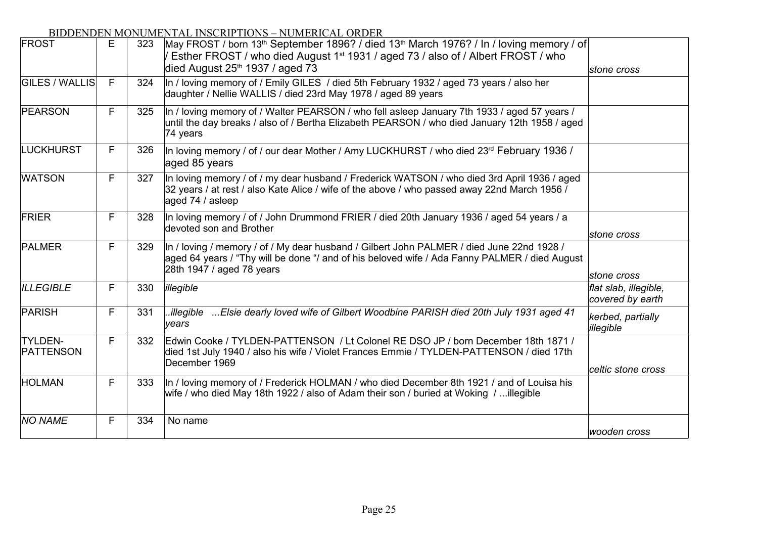| FROST                       | E | 323 | May FROST / born 13 <sup>th</sup> September 1896? / died 13 <sup>th</sup> March 1976? / In / loving memory / of<br>Esther FROST / who died August 1 <sup>st</sup> 1931 / aged 73 / also of / Albert FROST / who<br>died August 25th 1937 / aged 73 | stone cross                               |
|-----------------------------|---|-----|----------------------------------------------------------------------------------------------------------------------------------------------------------------------------------------------------------------------------------------------------|-------------------------------------------|
| <b>GILES / WALLIS</b>       | F | 324 | In / loving memory of / Emily GILES / died 5th February 1932 / aged 73 years / also her<br>daughter / Nellie WALLIS / died 23rd May 1978 / aged 89 years                                                                                           |                                           |
| <b>PEARSON</b>              | F | 325 | In / loving memory of / Walter PEARSON / who fell asleep January 7th 1933 / aged 57 years /<br>until the day breaks / also of / Bertha Elizabeth PEARSON / who died January 12th 1958 / aged<br>74 years                                           |                                           |
| LUCKHURST                   | F | 326 | In loving memory / of / our dear Mother / Amy LUCKHURST / who died 23rd February 1936 /<br>aged 85 years                                                                                                                                           |                                           |
| <b>WATSON</b>               | F | 327 | In loving memory / of / my dear husband / Frederick WATSON / who died 3rd April 1936 / aged<br>32 years / at rest / also Kate Alice / wife of the above / who passed away 22nd March 1956 /<br>aged 74 / asleep                                    |                                           |
| FRIER                       | F | 328 | In loving memory / of / John Drummond FRIER / died 20th January 1936 / aged 54 years / a<br>devoted son and Brother                                                                                                                                | stone cross                               |
| <b>PALMER</b>               | F | 329 | In / loving / memory / of / My dear husband / Gilbert John PALMER / died June 22nd 1928 /<br>aged 64 years / "Thy will be done "/ and of his beloved wife / Ada Fanny PALMER / died August<br>28th 1947 / aged 78 years                            | stone cross                               |
| <b>ILLEGIBLE</b>            | F | 330 | illegible                                                                                                                                                                                                                                          | flat slab, illegible,<br>covered by earth |
| PARISH                      | F | 331 | Elsie dearly loved wife of Gilbert Woodbine PARISH died 20th July 1931 aged 41<br>.illegible<br>years                                                                                                                                              | kerbed, partially<br>illegible            |
| <b>TYLDEN-</b><br>PATTENSON | F | 332 | Edwin Cooke / TYLDEN-PATTENSON / Lt Colonel RE DSO JP / born December 18th 1871 /<br>died 1st July 1940 / also his wife / Violet Frances Emmie / TYLDEN-PATTENSON / died 17th<br>December 1969                                                     | celtic stone cross                        |
| <b>HOLMAN</b>               | F | 333 | In / loving memory of / Frederick HOLMAN / who died December 8th 1921 / and of Louisa his<br>wife / who died May 18th 1922 / also of Adam their son / buried at Woking / illegible                                                                 |                                           |
| <b>NO NAME</b>              | F | 334 | No name                                                                                                                                                                                                                                            | wooden cross                              |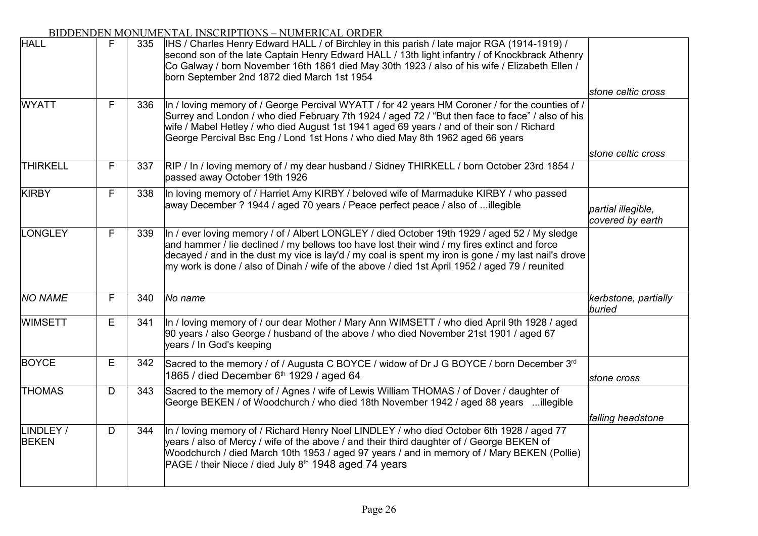| <b>HALL</b>               | F | 335 | IHS / Charles Henry Edward HALL / of Birchley in this parish / late major RGA (1914-1919) /<br>second son of the late Captain Henry Edward HALL / 13th light infantry / of Knockbrack Athenry<br>Co Galway / born November 16th 1861 died May 30th 1923 / also of his wife / Elizabeth Ellen /<br>born September 2nd 1872 died March 1st 1954                                                          |                                        |
|---------------------------|---|-----|--------------------------------------------------------------------------------------------------------------------------------------------------------------------------------------------------------------------------------------------------------------------------------------------------------------------------------------------------------------------------------------------------------|----------------------------------------|
|                           |   |     |                                                                                                                                                                                                                                                                                                                                                                                                        | stone celtic cross                     |
| <b>WYATT</b>              | F | 336 | In / loving memory of / George Percival WYATT / for 42 years HM Coroner / for the counties of /<br>Surrey and London / who died February 7th 1924 / aged 72 / "But then face to face" / also of his<br>wife / Mabel Hetley / who died August 1st 1941 aged 69 years / and of their son / Richard<br>George Percival Bsc Eng / Lond 1st Hons / who died May 8th 1962 aged 66 years                      |                                        |
|                           |   |     |                                                                                                                                                                                                                                                                                                                                                                                                        | stone celtic cross                     |
| <b>THIRKELL</b>           | F | 337 | RIP / In / loving memory of / my dear husband / Sidney THIRKELL / born October 23rd 1854 /<br>passed away October 19th 1926                                                                                                                                                                                                                                                                            |                                        |
| KIRBY                     | F | 338 | In loving memory of / Harriet Amy KIRBY / beloved wife of Marmaduke KIRBY / who passed<br>away December ? 1944 / aged 70 years / Peace perfect peace / also of illegible                                                                                                                                                                                                                               | partial illegible,<br>covered by earth |
| <b>LONGLEY</b>            | F | 339 | In / ever loving memory / of / Albert LONGLEY / died October 19th 1929 / aged 52 / My sledge<br>and hammer / lie declined / my bellows too have lost their wind / my fires extinct and force<br>decayed / and in the dust my vice is lay'd / my coal is spent my iron is gone / my last nail's drove<br>my work is done / also of Dinah / wife of the above / died 1st April 1952 / aged 79 / reunited |                                        |
| <b>NO NAME</b>            | F | 340 | No name                                                                                                                                                                                                                                                                                                                                                                                                | kerbstone, partially<br>buried         |
| <b>WIMSETT</b>            | E | 341 | In / loving memory of / our dear Mother / Mary Ann WIMSETT / who died April 9th 1928 / aged<br>90 years / also George / husband of the above / who died November 21st 1901 / aged 67<br>years / In God's keeping                                                                                                                                                                                       |                                        |
| <b>BOYCE</b>              | Е | 342 | Sacred to the memory / of / Augusta C BOYCE / widow of Dr J G BOYCE / born December 3rd<br>1865 / died December 6th 1929 / aged 64                                                                                                                                                                                                                                                                     | stone cross                            |
| <b>THOMAS</b>             | D | 343 | Sacred to the memory of / Agnes / wife of Lewis William THOMAS / of Dover / daughter of<br>George BEKEN / of Woodchurch / who died 18th November 1942 / aged 88 years illegible                                                                                                                                                                                                                        |                                        |
| LINDLEY /<br><b>BEKEN</b> | D | 344 | In / loving memory of / Richard Henry Noel LINDLEY / who died October 6th 1928 / aged 77<br>years / also of Mercy / wife of the above / and their third daughter of / George BEKEN of<br>Woodchurch / died March 10th 1953 / aged 97 years / and in memory of / Mary BEKEN (Pollie)<br>PAGE / their Niece / died July 8 <sup>th</sup> 1948 aged 74 years                                               | falling headstone                      |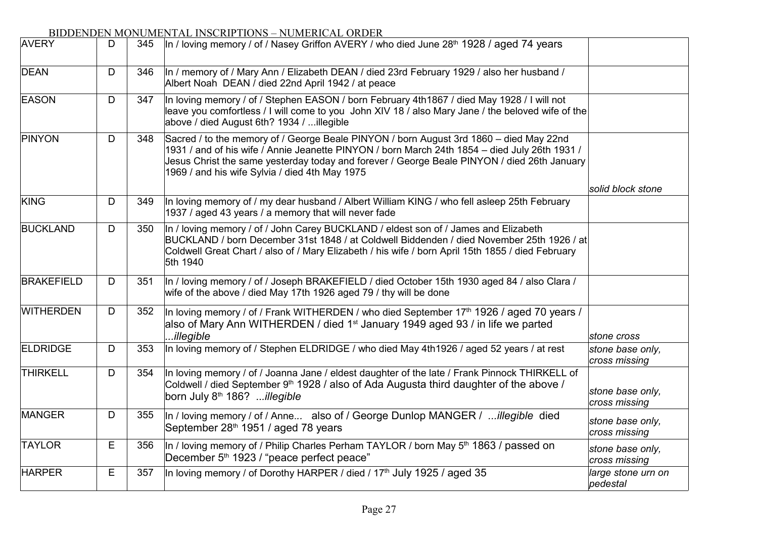| <b>AVERY</b>      | D | 345 | In / loving memory / of / Nasey Griffon AVERY / who died June 28 <sup>th</sup> 1928 / aged 74 years                                                                                                                                                                                                                                      |                                   |
|-------------------|---|-----|------------------------------------------------------------------------------------------------------------------------------------------------------------------------------------------------------------------------------------------------------------------------------------------------------------------------------------------|-----------------------------------|
| <b>DEAN</b>       | D | 346 | In / memory of / Mary Ann / Elizabeth DEAN / died 23rd February 1929 / also her husband /<br>Albert Noah DEAN / died 22nd April 1942 / at peace                                                                                                                                                                                          |                                   |
| <b>EASON</b>      | D | 347 | In loving memory / of / Stephen EASON / born February 4th1867 / died May 1928 / I will not<br>leave you comfortless / I will come to you John XIV 18 / also Mary Jane / the beloved wife of the<br>above / died August 6th? 1934 / illegible                                                                                             |                                   |
| PINYON            | D | 348 | Sacred / to the memory of / George Beale PINYON / born August 3rd 1860 – died May 22nd<br>1931 / and of his wife / Annie Jeanette PINYON / born March 24th 1854 - died July 26th 1931 /<br>Jesus Christ the same yesterday today and forever / George Beale PINYON / died 26th January<br>1969 / and his wife Sylvia / died 4th May 1975 |                                   |
|                   |   |     |                                                                                                                                                                                                                                                                                                                                          | solid block stone                 |
| <b>KING</b>       | D | 349 | In loving memory of / my dear husband / Albert William KING / who fell asleep 25th February<br>1937 / aged 43 years / a memory that will never fade                                                                                                                                                                                      |                                   |
| <b>BUCKLAND</b>   | D | 350 | In / loving memory / of / John Carey BUCKLAND / eldest son of / James and Elizabeth<br>BUCKLAND / born December 31st 1848 / at Coldwell Biddenden / died November 25th 1926 / at<br>Coldwell Great Chart / also of / Mary Elizabeth / his wife / born April 15th 1855 / died February<br>5th 1940                                        |                                   |
| <b>BRAKEFIELD</b> | D | 351 | In / loving memory / of / Joseph BRAKEFIELD / died October 15th 1930 aged 84 / also Clara /<br>wife of the above / died May 17th 1926 aged 79 / thy will be done                                                                                                                                                                         |                                   |
| <b>WITHERDEN</b>  | D | 352 | In loving memory / of / Frank WITHERDEN / who died September 17th 1926 / aged 70 years /<br>also of Mary Ann WITHERDEN / died 1 <sup>st</sup> January 1949 aged 93 / in life we parted<br>.illegible                                                                                                                                     | stone cross                       |
| <b>ELDRIDGE</b>   | D | 353 | In loving memory of / Stephen ELDRIDGE / who died May 4th1926 / aged 52 years / at rest                                                                                                                                                                                                                                                  | stone base only,<br>cross missing |
| <b>THIRKELL</b>   | D | 354 | In loving memory / of / Joanna Jane / eldest daughter of the late / Frank Pinnock THIRKELL of<br>Coldwell / died September 9 <sup>th</sup> 1928 / also of Ada Augusta third daughter of the above /<br>born July 8 <sup>th</sup> 186? illegible                                                                                          | stone base only,<br>cross missing |
| <b>MANGER</b>     | D | 355 | In / loving memory / of / Anne also of / George Dunlop MANGER / illegible died<br>September 28 <sup>th</sup> 1951 / aged 78 years                                                                                                                                                                                                        | stone base only,<br>cross missing |
| <b>TAYLOR</b>     | E | 356 | In / loving memory of / Philip Charles Perham TAYLOR / born May 5 <sup>th</sup> 1863 / passed on<br>December 5 <sup>th</sup> 1923 / "peace perfect peace"                                                                                                                                                                                | stone base only,<br>cross missing |
| <b>HARPER</b>     | Е | 357 | In loving memory / of Dorothy HARPER / died / 17 <sup>th</sup> July 1925 / aged 35                                                                                                                                                                                                                                                       | large stone urn on<br>pedestal    |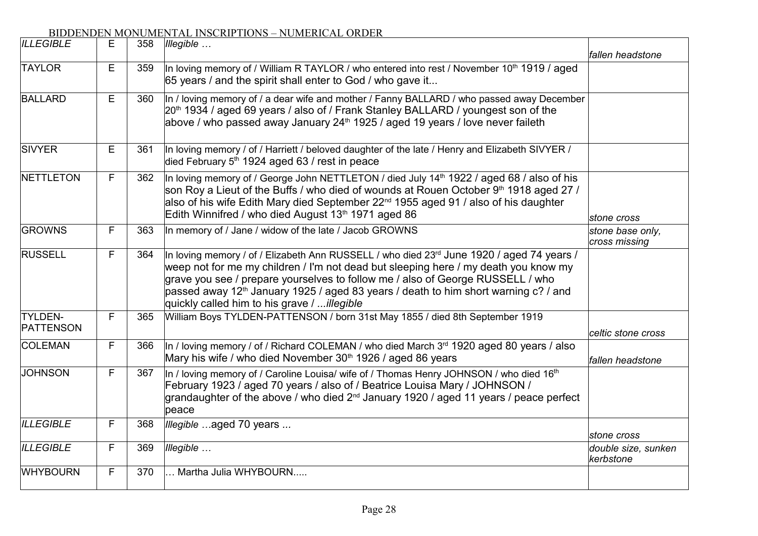| <b>ILLEGIBLE</b>            | Е | 358 | Illegible                                                                                                                                                                                                                                                                                                                                                                                                            | fallen headstone                  |
|-----------------------------|---|-----|----------------------------------------------------------------------------------------------------------------------------------------------------------------------------------------------------------------------------------------------------------------------------------------------------------------------------------------------------------------------------------------------------------------------|-----------------------------------|
| <b>TAYLOR</b>               | Е | 359 | In loving memory of / William R TAYLOR / who entered into rest / November 10 <sup>th</sup> 1919 / aged<br>65 years / and the spirit shall enter to God / who gave it                                                                                                                                                                                                                                                 |                                   |
| <b>BALLARD</b>              | Е | 360 | In / loving memory of / a dear wife and mother / Fanny BALLARD / who passed away December<br>20 <sup>th</sup> 1934 / aged 69 years / also of / Frank Stanley BALLARD / youngest son of the<br>above / who passed away January 24 <sup>th</sup> 1925 / aged 19 years / love never faileth                                                                                                                             |                                   |
| <b>SIVYER</b>               | Е | 361 | In loving memory / of / Harriett / beloved daughter of the late / Henry and Elizabeth SIVYER /<br>died February $5th$ 1924 aged 63 / rest in peace                                                                                                                                                                                                                                                                   |                                   |
| NETTLETON                   | F | 362 | In loving memory of / George John NETTLETON / died July 14 <sup>th</sup> 1922 / aged 68 / also of his<br>son Roy a Lieut of the Buffs / who died of wounds at Rouen October 9th 1918 aged 27 /<br>also of his wife Edith Mary died September 22 <sup>nd</sup> 1955 aged 91 / also of his daughter<br>Edith Winnifred / who died August 13th 1971 aged 86                                                             | stone cross                       |
| <b>GROWNS</b>               | F | 363 | In memory of / Jane / widow of the late / Jacob GROWNS                                                                                                                                                                                                                                                                                                                                                               | stone base only,<br>cross missing |
| <b>RUSSELL</b>              | F | 364 | In loving memory / of / Elizabeth Ann RUSSELL / who died 23rd June 1920 / aged 74 years /<br>weep not for me my children / I'm not dead but sleeping here / my death you know my<br>grave you see / prepare yourselves to follow me / also of George RUSSELL / who<br>passed away 12 <sup>th</sup> January 1925 / aged 83 years / death to him short warning c? / and<br>quickly called him to his grave / illegible |                                   |
| <b>TYLDEN-</b><br>PATTENSON | F | 365 | William Boys TYLDEN-PATTENSON / born 31st May 1855 / died 8th September 1919                                                                                                                                                                                                                                                                                                                                         | celtic stone cross                |
| <b>COLEMAN</b>              | F | 366 | In / loving memory / of / Richard COLEMAN / who died March 3rd 1920 aged 80 years / also<br>Mary his wife / who died November 30 <sup>th</sup> 1926 / aged 86 years                                                                                                                                                                                                                                                  | fallen headstone                  |
| <b>JOHNSON</b>              | F | 367 | In / loving memory of / Caroline Louisa/ wife of / Thomas Henry JOHNSON / who died 16 <sup>th</sup><br>February 1923 / aged 70 years / also of / Beatrice Louisa Mary / JOHNSON /<br>grandaughter of the above / who died $2^{nd}$ January 1920 / aged 11 years / peace perfect<br>peace                                                                                                                             |                                   |
| <b>ILLEGIBLE</b>            | F | 368 | Illegible aged 70 years                                                                                                                                                                                                                                                                                                                                                                                              | stone cross                       |
| <b>ILLEGIBLE</b>            | F | 369 | Illegible                                                                                                                                                                                                                                                                                                                                                                                                            | double size, sunken<br>kerbstone  |
| <b>WHYBOURN</b>             | F | 370 | Martha Julia WHYBOURN                                                                                                                                                                                                                                                                                                                                                                                                |                                   |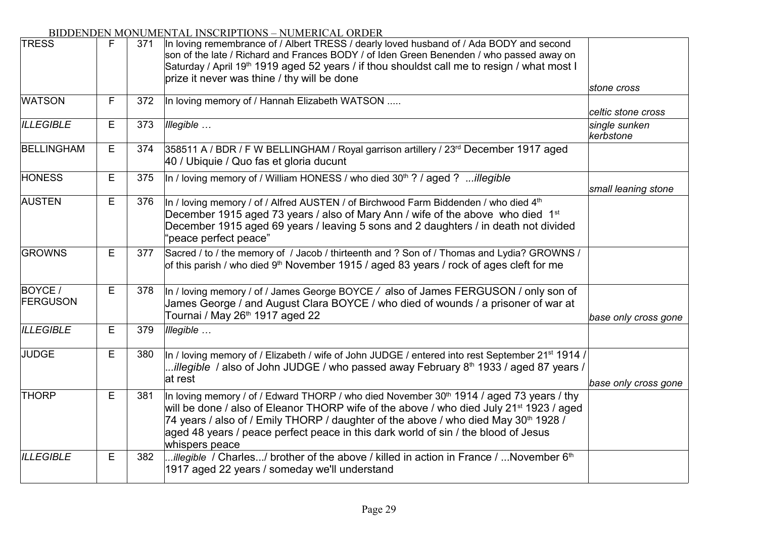| <b>TRESS</b>              | F | 371 | In loving remembrance of / Albert TRESS / dearly loved husband of / Ada BODY and second<br>son of the late / Richard and Frances BODY / of Iden Green Benenden / who passed away on<br>Saturday / April 19 <sup>th</sup> 1919 aged 52 years / if thou shouldst call me to resign / what most I<br>prize it never was thine / thy will be done                                                                          |                            |
|---------------------------|---|-----|------------------------------------------------------------------------------------------------------------------------------------------------------------------------------------------------------------------------------------------------------------------------------------------------------------------------------------------------------------------------------------------------------------------------|----------------------------|
|                           |   |     |                                                                                                                                                                                                                                                                                                                                                                                                                        | stone cross                |
| <b>WATSON</b>             | F | 372 | In loving memory of / Hannah Elizabeth WATSON                                                                                                                                                                                                                                                                                                                                                                          | celtic stone cross         |
| <b>ILLEGIBLE</b>          | Е | 373 | Illegible                                                                                                                                                                                                                                                                                                                                                                                                              | single sunken<br>kerbstone |
| <b>BELLINGHAM</b>         | E | 374 | 358511 A / BDR / F W BELLINGHAM / Royal garrison artillery / 23rd December 1917 aged<br>40 / Ubiquie / Quo fas et gloria ducunt                                                                                                                                                                                                                                                                                        |                            |
| <b>HONESS</b>             | Е | 375 | In / loving memory of / William HONESS / who died $30th$ ? / aged ? illegible                                                                                                                                                                                                                                                                                                                                          | small leaning stone        |
| <b>AUSTEN</b>             | Е | 376 | In / loving memory / of / Alfred AUSTEN / of Birchwood Farm Biddenden / who died 4 <sup>th</sup><br>December 1915 aged 73 years / also of Mary Ann / wife of the above who died 1 <sup>st</sup><br>December 1915 aged 69 years / leaving 5 sons and 2 daughters / in death not divided<br>'peace perfect peace"                                                                                                        |                            |
| <b>GROWNS</b>             | E | 377 | Sacred / to / the memory of / Jacob / thirteenth and ? Son of / Thomas and Lydia? GROWNS /<br>of this parish / who died 9 <sup>th</sup> November 1915 / aged 83 years / rock of ages cleft for me                                                                                                                                                                                                                      |                            |
| BOYCE/<br><b>FERGUSON</b> | E | 378 | In / loving memory / of / James George BOYCE / also of James FERGUSON / only son of<br>James George / and August Clara BOYCE / who died of wounds / a prisoner of war at<br>Tournai / May 26 <sup>th</sup> 1917 aged 22                                                                                                                                                                                                | base only cross gone       |
| <b>ILLEGIBLE</b>          | Е | 379 | Illegible                                                                                                                                                                                                                                                                                                                                                                                                              |                            |
| <b>JUDGE</b>              | Е | 380 | In / loving memory of / Elizabeth / wife of John JUDGE / entered into rest September 21 <sup>st</sup> 1914 /<br>illegible / also of John JUDGE / who passed away February $8th$ 1933 / aged 87 years /<br>at rest                                                                                                                                                                                                      | base only cross gone       |
| <b>THORP</b>              | Е | 381 | In loving memory / of / Edward THORP / who died November 30 <sup>th</sup> 1914 / aged 73 years / thy<br>will be done / also of Eleanor THORP wife of the above / who died July 21 <sup>st</sup> 1923 / aged<br>74 years / also of / Emily THORP / daughter of the above / who died May 30 <sup>th</sup> 1928 /<br>aged 48 years / peace perfect peace in this dark world of sin / the blood of Jesus<br>whispers peace |                            |
| <b>ILLEGIBLE</b>          | Е | 382 | illegible / Charles/ brother of the above / killed in action in France / November $6th$<br>1917 aged 22 years / someday we'll understand                                                                                                                                                                                                                                                                               |                            |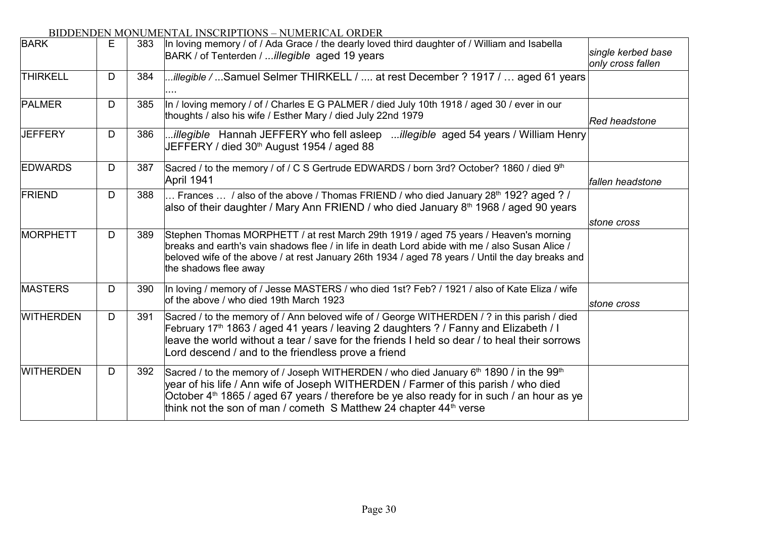| <b>BARK</b>      | Е | 383 | In loving memory / of / Ada Grace / the dearly loved third daughter of / William and Isabella<br>BARK / of Tenterden / illegible aged 19 years                                                                                                                                                                                                                                                 | single kerbed base<br>only cross fallen |
|------------------|---|-----|------------------------------------------------------------------------------------------------------------------------------------------------------------------------------------------------------------------------------------------------------------------------------------------------------------------------------------------------------------------------------------------------|-----------------------------------------|
| <b>THIRKELL</b>  | D | 384 | illegible / Samuel Selmer THIRKELL /  at rest December ? 1917 /  aged 61 years                                                                                                                                                                                                                                                                                                                 |                                         |
| <b>PALMER</b>    | D | 385 | In / loving memory / of / Charles E G PALMER / died July 10th 1918 / aged 30 / ever in our<br>thoughts / also his wife / Esther Mary / died July 22nd 1979                                                                                                                                                                                                                                     | <b>Red headstone</b>                    |
| JEFFERY          | D | 386 | illegible Hannah JEFFERY who fell asleep illegible aged 54 years / William Henry<br>JEFFERY / died 30 <sup>th</sup> August 1954 / aged 88                                                                                                                                                                                                                                                      |                                         |
| <b>EDWARDS</b>   | D | 387 | Sacred / to the memory / of / C S Gertrude EDWARDS / born 3rd? October? 1860 / died 9th<br>April 1941                                                                                                                                                                                                                                                                                          | fallen headstone                        |
| FRIEND           | D | 388 | Frances  / also of the above / Thomas FRIEND / who died January 28 <sup>th</sup> 192? aged ? /<br>also of their daughter / Mary Ann FRIEND / who died January 8 <sup>th</sup> 1968 / aged 90 years                                                                                                                                                                                             |                                         |
|                  |   |     |                                                                                                                                                                                                                                                                                                                                                                                                | stone cross                             |
| MORPHETT         | D | 389 | Stephen Thomas MORPHETT / at rest March 29th 1919 / aged 75 years / Heaven's morning<br>breaks and earth's vain shadows flee / in life in death Lord abide with me / also Susan Alice /<br>beloved wife of the above / at rest January 26th 1934 / aged 78 years / Until the day breaks and<br>the shadows flee away                                                                           |                                         |
| <b>MASTERS</b>   | D | 390 | In loving / memory of / Jesse MASTERS / who died 1st? Feb? / 1921 / also of Kate Eliza / wife<br>of the above / who died 19th March 1923                                                                                                                                                                                                                                                       | stone cross                             |
| <b>WITHERDEN</b> | D | 391 | Sacred / to the memory of / Ann beloved wife of / George WITHERDEN / ? in this parish / died<br>February 17 <sup>th</sup> 1863 / aged 41 years / leaving 2 daughters ? / Fanny and Elizabeth / I<br>leave the world without a tear / save for the friends I held so dear / to heal their sorrows<br>Lord descend / and to the friendless prove a friend                                        |                                         |
| <b>WITHERDEN</b> | D | 392 | Sacred / to the memory of / Joseph WITHERDEN / who died January 6 <sup>th</sup> 1890 / in the 99 <sup>th</sup><br>year of his life / Ann wife of Joseph WITHERDEN / Farmer of this parish / who died<br>October 4 <sup>th</sup> 1865 / aged 67 years / therefore be ye also ready for in such / an hour as ye<br>think not the son of man / cometh S Matthew 24 chapter 44 <sup>th</sup> verse |                                         |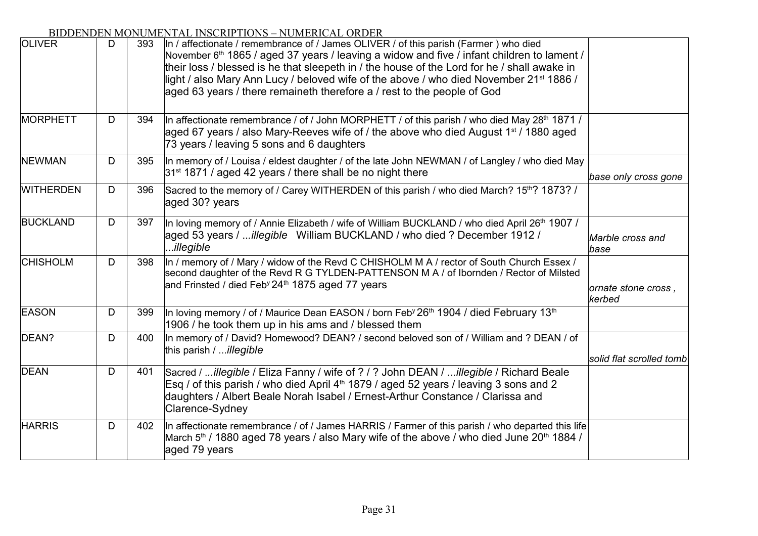| <b>OLIVER</b>    | D | 393 | ВІВВЕНВЕН МОНОМЕНТАЕ ІНУСКІІ ТІОНУ – НОМЕКІСАЕ ОКВЕК<br>In / affectionate / remembrance of / James OLIVER / of this parish (Farmer) who died<br>November 6 <sup>th</sup> 1865 / aged 37 years / leaving a widow and five / infant children to lament /<br>their loss / blessed is he that sleepeth in / the house of the Lord for he / shall awake in<br>light / also Mary Ann Lucy / beloved wife of the above / who died November 21 <sup>st</sup> 1886 /<br>aged 63 years / there remaineth therefore a / rest to the people of God |                               |
|------------------|---|-----|----------------------------------------------------------------------------------------------------------------------------------------------------------------------------------------------------------------------------------------------------------------------------------------------------------------------------------------------------------------------------------------------------------------------------------------------------------------------------------------------------------------------------------------|-------------------------------|
| <b>MORPHETT</b>  | D | 394 | In affectionate remembrance / of / John MORPHETT / of this parish / who died May 28 <sup>th</sup> 1871 /<br>aged 67 years / also Mary-Reeves wife of / the above who died August 1 <sup>st</sup> / 1880 aged<br>73 years / leaving 5 sons and 6 daughters                                                                                                                                                                                                                                                                              |                               |
| <b>NEWMAN</b>    | D | 395 | In memory of / Louisa / eldest daughter / of the late John NEWMAN / of Langley / who died May<br>31 <sup>st</sup> 1871 / aged 42 years / there shall be no night there                                                                                                                                                                                                                                                                                                                                                                 | base only cross gone          |
| <b>WITHERDEN</b> | D | 396 | Sacred to the memory of / Carey WITHERDEN of this parish / who died March? 15th? 1873? /<br>aged 30? years                                                                                                                                                                                                                                                                                                                                                                                                                             |                               |
| <b>BUCKLAND</b>  | D | 397 | In loving memory of / Annie Elizabeth / wife of William BUCKLAND / who died April 26 <sup>th</sup> 1907 /<br>aged 53 years / illegible William BUCKLAND / who died ? December 1912 /<br>illegible                                                                                                                                                                                                                                                                                                                                      | Marble cross and<br>base      |
| <b>CHISHOLM</b>  | D | 398 | In / memory of / Mary / widow of the Revd C CHISHOLM M A / rector of South Church Essex /<br>second daughter of the Revd R G TYLDEN-PATTENSON M A / of Ibornden / Rector of Milsted<br>and Frinsted / died Feb <sup>y</sup> 24 <sup>th</sup> 1875 aged 77 years                                                                                                                                                                                                                                                                        | ornate stone cross,<br>kerbed |
| <b>EASON</b>     | D | 399 | In loving memory / of / Maurice Dean EASON / born Feb <sup>y</sup> 26 <sup>th</sup> 1904 / died February 13 <sup>th</sup><br>1906 / he took them up in his ams and / blessed them                                                                                                                                                                                                                                                                                                                                                      |                               |
| DEAN?            | D | 400 | In memory of / David? Homewood? DEAN? / second beloved son of / William and ? DEAN / of<br>this parish / <i>illegible</i>                                                                                                                                                                                                                                                                                                                                                                                                              | solid flat scrolled tomb      |
| <b>DEAN</b>      | D | 401 | Sacred / illegible / Eliza Fanny / wife of ? / ? John DEAN / illegible / Richard Beale<br>Esq / of this parish / who died April 4 <sup>th</sup> 1879 / aged 52 years / leaving 3 sons and 2<br>daughters / Albert Beale Norah Isabel / Ernest-Arthur Constance / Clarissa and<br>Clarence-Sydney                                                                                                                                                                                                                                       |                               |
| <b>HARRIS</b>    | D | 402 | In affectionate remembrance / of / James HARRIS / Farmer of this parish / who departed this life<br>March 5 <sup>th</sup> / 1880 aged 78 years / also Mary wife of the above / who died June 20 <sup>th</sup> 1884 /<br>aged 79 years                                                                                                                                                                                                                                                                                                  |                               |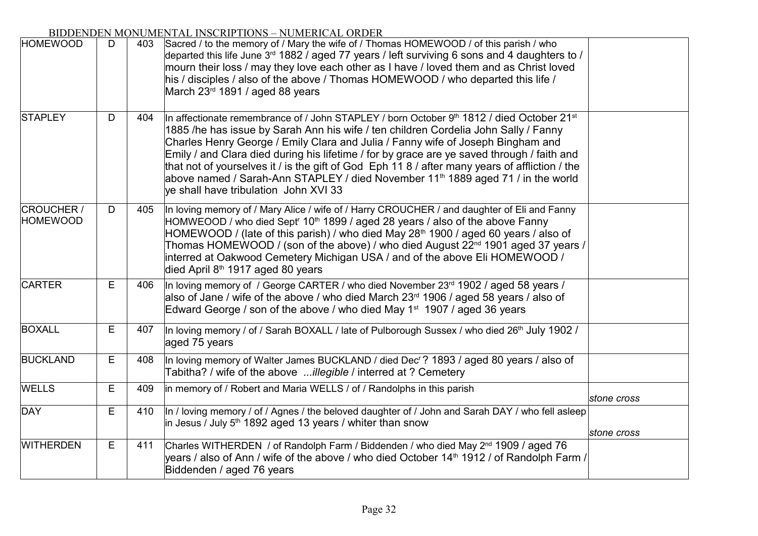| рнорентовну к                        |   |     | 4111112 111921111 1119119<br><b>TOMLATORE</b>                                                                                                                                                                                                                                                                                                                                                                                                                                                                                                                                                                              |             |
|--------------------------------------|---|-----|----------------------------------------------------------------------------------------------------------------------------------------------------------------------------------------------------------------------------------------------------------------------------------------------------------------------------------------------------------------------------------------------------------------------------------------------------------------------------------------------------------------------------------------------------------------------------------------------------------------------------|-------------|
| <b>HOMEWOOD</b>                      | D | 403 | Sacred / to the memory of / Mary the wife of / Thomas HOMEWOOD / of this parish / who<br>departed this life June 3 <sup>rd</sup> 1882 / aged 77 years / left surviving 6 sons and 4 daughters to /<br>mourn their loss / may they love each other as I have / loved them and as Christ loved<br>his / disciples / also of the above / Thomas HOMEWOOD / who departed this life /<br>March 23rd 1891 / aged 88 years                                                                                                                                                                                                        |             |
| <b>STAPLEY</b>                       | D | 404 | In affectionate remembrance of / John STAPLEY / born October $9th$ 1812 / died October 21 <sup>st</sup><br>1885 /he has issue by Sarah Ann his wife / ten children Cordelia John Sally / Fanny<br>Charles Henry George / Emily Clara and Julia / Fanny wife of Joseph Bingham and<br>Emily / and Clara died during his lifetime / for by grace are ye saved through / faith and<br>that not of yourselves it / is the gift of God Eph 11 8 / after many years of affliction / the<br>above named / Sarah-Ann STAPLEY / died November 11 <sup>th</sup> 1889 aged 71 / in the world<br>ve shall have tribulation John XVI 33 |             |
| <b>CROUCHER /</b><br><b>HOMEWOOD</b> | D | 405 | In loving memory of / Mary Alice / wife of / Harry CROUCHER / and daughter of Eli and Fanny<br>HOMWEOOD / who died Sept <sup>r</sup> 10 <sup>th</sup> 1899 / aged 28 years / also of the above Fanny<br>HOMEWOOD / (late of this parish) / who died May 28 <sup>th</sup> 1900 / aged 60 years / also of<br>Thomas HOMEWOOD / (son of the above) / who died August 22 <sup>nd</sup> 1901 aged 37 years /<br>interred at Oakwood Cemetery Michigan USA / and of the above Eli HOMEWOOD /<br>died April 8 <sup>th</sup> 1917 aged 80 years                                                                                    |             |
| <b>CARTER</b>                        | E | 406 | In loving memory of / George CARTER / who died November 23rd 1902 / aged 58 years /<br>also of Jane / wife of the above / who died March 23 <sup>rd</sup> 1906 / aged 58 years / also of<br>Edward George / son of the above / who died May 1 <sup>st</sup> 1907 / aged 36 years                                                                                                                                                                                                                                                                                                                                           |             |
| <b>BOXALL</b>                        | E | 407 | In loving memory / of / Sarah BOXALL / late of Pulborough Sussex / who died 26 <sup>th</sup> July 1902 /<br>aged 75 years                                                                                                                                                                                                                                                                                                                                                                                                                                                                                                  |             |
| <b>BUCKLAND</b>                      | E | 408 | In loving memory of Walter James BUCKLAND / died Dec'? 1893 / aged 80 years / also of<br>Tabitha? / wife of the above illegible / interred at ? Cemetery                                                                                                                                                                                                                                                                                                                                                                                                                                                                   |             |
| <b>WELLS</b>                         | E | 409 | in memory of / Robert and Maria WELLS / of / Randolphs in this parish                                                                                                                                                                                                                                                                                                                                                                                                                                                                                                                                                      | stone cross |
| DAY                                  | E | 410 | In / loving memory / of / Agnes / the beloved daughter of / John and Sarah DAY / who fell asleep<br>in Jesus / July $5th$ 1892 aged 13 years / whiter than snow                                                                                                                                                                                                                                                                                                                                                                                                                                                            | stone cross |
| <b>WITHERDEN</b>                     | E | 411 | Charles WITHERDEN / of Randolph Farm / Biddenden / who died May 2 <sup>nd</sup> 1909 / aged 76<br>years / also of Ann / wife of the above / who died October 14 <sup>th</sup> 1912 / of Randolph Farm /<br>Biddenden / aged 76 years                                                                                                                                                                                                                                                                                                                                                                                       |             |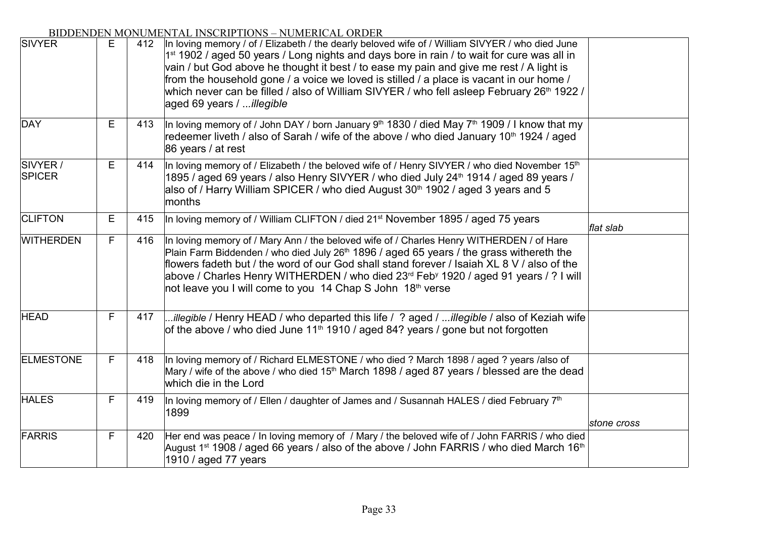| рнэр ентренти<br><b>SIVYER</b> | E | 412 | <b>TORILING IL ORDER</b><br>In loving memory / of / Elizabeth / the dearly beloved wife of / William SIVYER / who died June<br>1 <sup>st</sup> 1902 / aged 50 years / Long nights and days bore in rain / to wait for cure was all in<br>vain / but God above he thought it best / to ease my pain and give me rest / A light is<br>from the household gone / a voice we loved is stilled / a place is vacant in our home /<br>which never can be filled / also of William SIVYER / who fell asleep February 26 <sup>th</sup> 1922 /<br>aged 69 years / illegible |             |
|--------------------------------|---|-----|-------------------------------------------------------------------------------------------------------------------------------------------------------------------------------------------------------------------------------------------------------------------------------------------------------------------------------------------------------------------------------------------------------------------------------------------------------------------------------------------------------------------------------------------------------------------|-------------|
| DAY                            | Е | 413 | In loving memory of / John DAY / born January 9 <sup>th</sup> 1830 / died May 7 <sup>th</sup> 1909 / I know that my<br>redeemer liveth / also of Sarah / wife of the above / who died January 10 <sup>th</sup> 1924 / aged<br>86 years / at rest                                                                                                                                                                                                                                                                                                                  |             |
| SIVYER /<br><b>SPICER</b>      | E | 414 | In loving memory of / Elizabeth / the beloved wife of / Henry SIVYER / who died November 15 <sup>th</sup><br>1895 / aged 69 years / also Henry SIVYER / who died July 24 <sup>th</sup> 1914 / aged 89 years /<br>also of / Harry William SPICER / who died August 30 <sup>th</sup> 1902 / aged 3 years and 5<br>months                                                                                                                                                                                                                                            |             |
| <b>CLIFTON</b>                 | E | 415 | In loving memory of / William CLIFTON / died 21 <sup>st</sup> November 1895 / aged 75 years                                                                                                                                                                                                                                                                                                                                                                                                                                                                       | flat slab   |
| <b>WITHERDEN</b>               | F | 416 | In loving memory of / Mary Ann / the beloved wife of / Charles Henry WITHERDEN / of Hare<br>Plain Farm Biddenden / who died July 26 <sup>th</sup> 1896 / aged 65 years / the grass withereth the<br>flowers fadeth but / the word of our God shall stand forever / Isaiah XL 8 V / also of the<br>above / Charles Henry WITHERDEN / who died 23rd Feby 1920 / aged 91 years / ? I will<br>not leave you I will come to you 14 Chap S John 18th verse                                                                                                              |             |
| <b>HEAD</b>                    | F | 417 | illegible / Henry HEAD / who departed this life / ? aged / illegible / also of Keziah wife<br>of the above / who died June 11 <sup>th</sup> 1910 / aged 84? years / gone but not forgotten                                                                                                                                                                                                                                                                                                                                                                        |             |
| <b>ELMESTONE</b>               | F | 418 | In loving memory of / Richard ELMESTONE / who died ? March 1898 / aged ? years /also of<br>Mary / wife of the above / who died 15 <sup>th</sup> March 1898 / aged 87 years / blessed are the dead<br>which die in the Lord                                                                                                                                                                                                                                                                                                                                        |             |
| <b>HALES</b>                   | F | 419 | In loving memory of / Ellen / daughter of James and / Susannah HALES / died February $7th$<br>1899                                                                                                                                                                                                                                                                                                                                                                                                                                                                | stone cross |
| FARRIS                         | F | 420 | Her end was peace / In loving memory of / Mary / the beloved wife of / John FARRIS / who died<br>August 1 <sup>st</sup> 1908 / aged 66 years / also of the above / John FARRIS / who died March 16 <sup>th</sup><br>1910 / aged 77 years                                                                                                                                                                                                                                                                                                                          |             |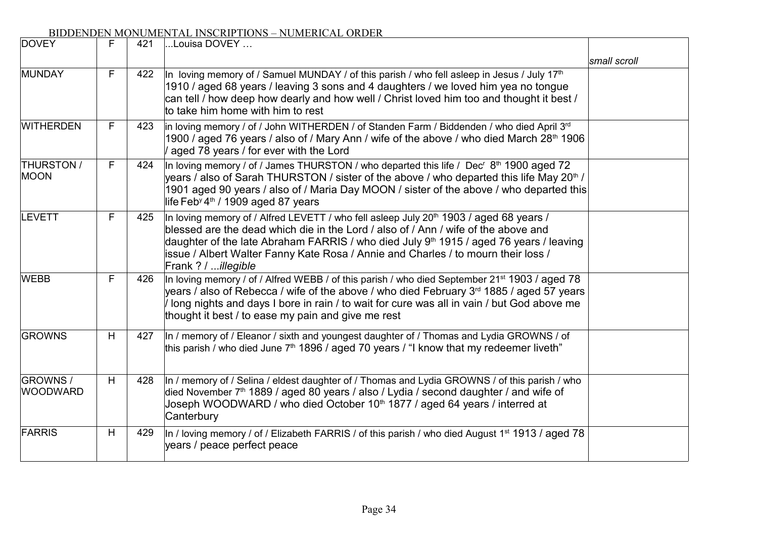| <b>DOVEY</b>                     | F  | 421 | Louisa DOVEY                                                                                                                                                                                                                                                                                                                                                                                                      |              |
|----------------------------------|----|-----|-------------------------------------------------------------------------------------------------------------------------------------------------------------------------------------------------------------------------------------------------------------------------------------------------------------------------------------------------------------------------------------------------------------------|--------------|
|                                  |    |     |                                                                                                                                                                                                                                                                                                                                                                                                                   | small scroll |
| MUNDAY                           | F  | 422 | In loving memory of / Samuel MUNDAY / of this parish / who fell asleep in Jesus / July 17 <sup>th</sup><br>1910 / aged 68 years / leaving 3 sons and 4 daughters / we loved him yea no tongue<br>can tell / how deep how dearly and how well / Christ loved him too and thought it best /<br>to take him home with him to rest                                                                                    |              |
| <b>WITHERDEN</b>                 | F. | 423 | in loving memory / of / John WITHERDEN / of Standen Farm / Biddenden / who died April 3rd<br>1900 / aged 76 years / also of / Mary Ann / wife of the above / who died March 28th 1906<br>/ aged 78 years / for ever with the Lord                                                                                                                                                                                 |              |
| <b>THURSTON /</b><br><b>MOON</b> | F  | 424 | In loving memory / of / James THURSTON / who departed this life / Dec <sup>r</sup> $8th$ 1900 aged 72<br>years / also of Sarah THURSTON / sister of the above / who departed this life May 20 <sup>th</sup> /<br>1901 aged 90 years / also of / Maria Day MOON / sister of the above / who departed this<br>life Feb <sup>y</sup> 4 <sup>th</sup> / 1909 aged 87 years                                            |              |
| LEVETT                           | F  | 425 | In loving memory of / Alfred LEVETT / who fell asleep July 20 <sup>th</sup> 1903 / aged 68 years /<br>blessed are the dead which die in the Lord / also of / Ann / wife of the above and<br>daughter of the late Abraham FARRIS / who died July 9 <sup>th</sup> 1915 / aged 76 years / leaving<br>issue / Albert Walter Fanny Kate Rosa / Annie and Charles / to mourn their loss /<br>Frank ? / <i>illegible</i> |              |
| <b>WEBB</b>                      | F  | 426 | In loving memory / of / Alfred WEBB / of this parish / who died September 21 <sup>st</sup> 1903 / aged 78<br>years / also of Rebecca / wife of the above / who died February 3 <sup>rd</sup> 1885 / aged 57 years<br>I long nights and days I bore in rain / to wait for cure was all in vain / but God above me<br>thought it best / to ease my pain and give me rest                                            |              |
| <b>GROWNS</b>                    | H  | 427 | In / memory of / Eleanor / sixth and youngest daughter of / Thomas and Lydia GROWNS / of<br>this parish / who died June $7th$ 1896 / aged 70 years / "I know that my redeemer liveth"                                                                                                                                                                                                                             |              |
| GROWNS /<br><b>WOODWARD</b>      | H  | 428 | In / memory of / Selina / eldest daughter of / Thomas and Lydia GROWNS / of this parish / who<br>died November 7 <sup>th</sup> 1889 / aged 80 years / also / Lydia / second daughter / and wife of<br>Joseph WOODWARD / who died October 10 <sup>th</sup> 1877 / aged 64 years / interred at<br>Canterbury                                                                                                        |              |
| FARRIS                           | H  | 429 | In / loving memory / of / Elizabeth FARRIS / of this parish / who died August 1 <sup>st</sup> 1913 / aged 78<br>years / peace perfect peace                                                                                                                                                                                                                                                                       |              |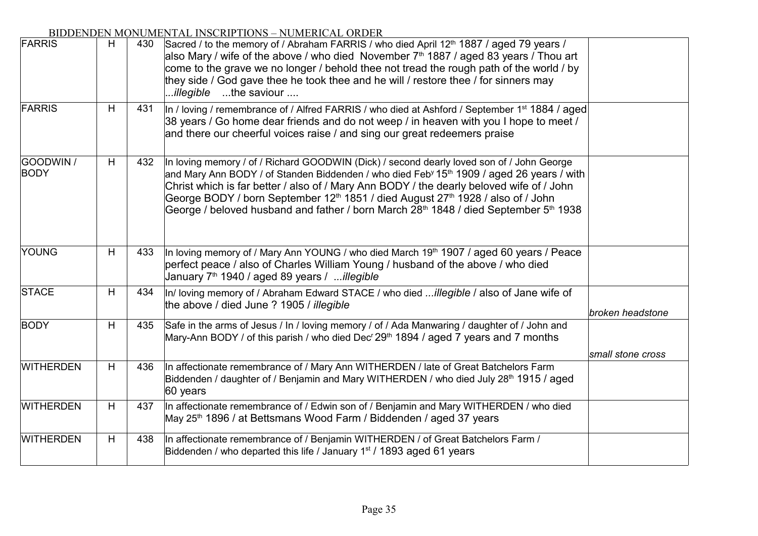| <b>FARRIS</b>     | H  | 430 | Sacred / to the memory of / Abraham FARRIS / who died April 12 <sup>th</sup> 1887 / aged 79 years /<br>also Mary / wife of the above / who died November $7th$ 1887 / aged 83 years / Thou art<br>come to the grave we no longer / behold thee not tread the rough path of the world / by<br>they side / God gave thee he took thee and he will / restore thee / for sinners may<br>the saviour<br>illegible                                                                                                                          |                   |
|-------------------|----|-----|---------------------------------------------------------------------------------------------------------------------------------------------------------------------------------------------------------------------------------------------------------------------------------------------------------------------------------------------------------------------------------------------------------------------------------------------------------------------------------------------------------------------------------------|-------------------|
| <b>FARRIS</b>     | H. | 431 | In / loving / remembrance of / Alfred FARRIS / who died at Ashford / September 1 <sup>st</sup> 1884 / aged<br>38 years / Go home dear friends and do not weep / in heaven with you I hope to meet /<br>and there our cheerful voices raise / and sing our great redeemers praise                                                                                                                                                                                                                                                      |                   |
| GOODWIN /<br>BODY | H  | 432 | In loving memory / of / Richard GOODWIN (Dick) / second dearly loved son of / John George<br>and Mary Ann BODY / of Standen Biddenden / who died Feb <sup>y</sup> 15 <sup>th</sup> 1909 / aged 26 years / with<br>Christ which is far better / also of / Mary Ann BODY / the dearly beloved wife of / John<br>George BODY / born September 12 <sup>th</sup> 1851 / died August 27 <sup>th</sup> 1928 / also of / John<br>George / beloved husband and father / born March 28 <sup>th</sup> 1848 / died September 5 <sup>th</sup> 1938 |                   |
| YOUNG             | H  | 433 | In loving memory of / Mary Ann YOUNG / who died March 19th 1907 / aged 60 years / Peace<br>perfect peace / also of Charles William Young / husband of the above / who died<br>January 7 <sup>th</sup> 1940 / aged 89 years / <i>illegible</i>                                                                                                                                                                                                                                                                                         |                   |
| <b>STACE</b>      | H  | 434 | In/ loving memory of / Abraham Edward STACE / who died illegible / also of Jane wife of<br>the above / died June ? 1905 / illegible                                                                                                                                                                                                                                                                                                                                                                                                   | broken headstone  |
| <b>BODY</b>       | H  | 435 | Safe in the arms of Jesus / In / loving memory / of / Ada Manwaring / daughter of / John and<br>Mary-Ann BODY / of this parish / who died Dec <sup>r</sup> 29 <sup>th</sup> 1894 / aged 7 years and 7 months                                                                                                                                                                                                                                                                                                                          |                   |
| <b>WITHERDEN</b>  | H  | 436 | In affectionate remembrance of / Mary Ann WITHERDEN / late of Great Batchelors Farm<br>Biddenden / daughter of / Benjamin and Mary WITHERDEN / who died July 28 <sup>th</sup> 1915 / aged<br>60 years                                                                                                                                                                                                                                                                                                                                 | small stone cross |
| <b>WITHERDEN</b>  | H  | 437 | In affectionate remembrance of / Edwin son of / Benjamin and Mary WITHERDEN / who died<br>May 25 <sup>th</sup> 1896 / at Bettsmans Wood Farm / Biddenden / aged 37 years                                                                                                                                                                                                                                                                                                                                                              |                   |
| <b>WITHERDEN</b>  | H  | 438 | In affectionate remembrance of / Benjamin WITHERDEN / of Great Batchelors Farm /<br>Biddenden / who departed this life / January 1 <sup>st</sup> / 1893 aged 61 years                                                                                                                                                                                                                                                                                                                                                                 |                   |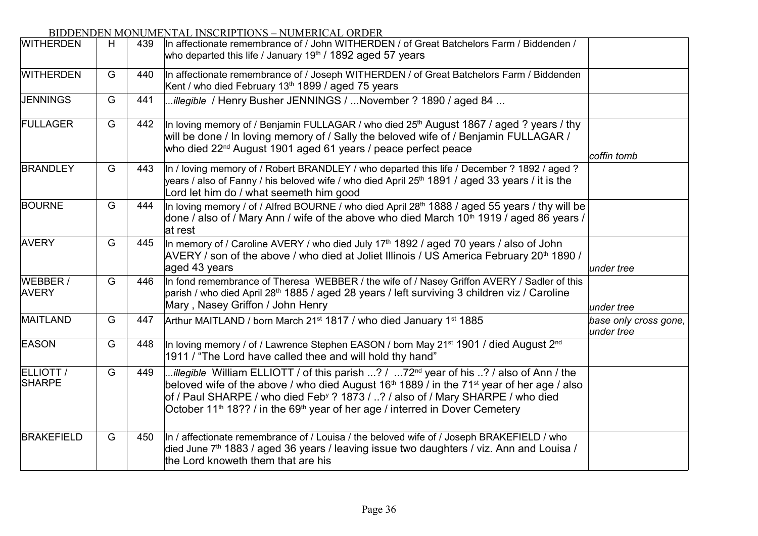| <b>WITHERDEN</b>           | H | 439 | In affectionate remembrance of / John WITHERDEN / of Great Batchelors Farm / Biddenden /<br>who departed this life / January $19th$ / 1892 aged 57 years                                                                                                                                                                                                                                                                      |                                     |
|----------------------------|---|-----|-------------------------------------------------------------------------------------------------------------------------------------------------------------------------------------------------------------------------------------------------------------------------------------------------------------------------------------------------------------------------------------------------------------------------------|-------------------------------------|
| <b>WITHERDEN</b>           | G | 440 | In affectionate remembrance of / Joseph WITHERDEN / of Great Batchelors Farm / Biddenden<br>Kent / who died February 13 <sup>th</sup> 1899 / aged 75 years                                                                                                                                                                                                                                                                    |                                     |
| <b>JENNINGS</b>            | G | 441 | <i>illegible</i> / Henry Busher JENNINGS / November ? 1890 / aged 84                                                                                                                                                                                                                                                                                                                                                          |                                     |
| FULLAGER                   | G | 442 | In loving memory of / Benjamin FULLAGAR / who died 25 <sup>th</sup> August 1867 / aged ? years / thy<br>will be done / In loving memory of / Sally the beloved wife of / Benjamin FULLAGAR /<br>who died 22 <sup>nd</sup> August 1901 aged 61 years / peace perfect peace                                                                                                                                                     | coffin tomb                         |
| <b>BRANDLEY</b>            | G | 443 | In / loving memory of / Robert BRANDLEY / who departed this life / December ? 1892 / aged ?<br>years / also of Fanny / his beloved wife / who died April 25 <sup>th</sup> 1891 / aged 33 years / it is the<br>Lord let him do / what seemeth him good                                                                                                                                                                         |                                     |
| <b>BOURNE</b>              | G | 444 | In loving memory / of / Alfred BOURNE / who died April 28th 1888 / aged 55 years / thy will be<br>done / also of / Mary Ann / wife of the above who died March 10 <sup>th</sup> 1919 / aged 86 years /<br>at rest                                                                                                                                                                                                             |                                     |
| <b>AVERY</b>               | G | 445 | In memory of / Caroline AVERY / who died July 17 <sup>th</sup> 1892 / aged 70 years / also of John<br>AVERY / son of the above / who died at Joliet Illinois / US America February 20 <sup>th</sup> 1890 /<br>aged 43 years                                                                                                                                                                                                   | under tree                          |
| WEBBER /<br><b>AVERY</b>   | G | 446 | In fond remembrance of Theresa WEBBER / the wife of / Nasey Griffon AVERY / Sadler of this<br>parish / who died April 28 <sup>th</sup> 1885 / aged 28 years / left surviving 3 children viz / Caroline<br>Mary, Nasey Griffon / John Henry                                                                                                                                                                                    | under tree                          |
| MAITLAND                   | G | 447 | Arthur MAITLAND / born March 21 <sup>st</sup> 1817 / who died January 1 <sup>st</sup> 1885                                                                                                                                                                                                                                                                                                                                    | base only cross gone,<br>under tree |
| <b>EASON</b>               | G | 448 | In loving memory / of / Lawrence Stephen EASON / born May 21 <sup>st</sup> 1901 / died August 2 <sup>nd</sup><br>1911 / "The Lord have called thee and will hold thy hand"                                                                                                                                                                                                                                                    |                                     |
| ELLIOTT /<br><b>SHARPE</b> | G | 449 | illegible William ELLIOTT / of this parish ? / 72 <sup>nd</sup> year of his ? / also of Ann / the<br>beloved wife of the above / who died August 16 <sup>th</sup> 1889 / in the 71 <sup>st</sup> year of her age / also<br>of / Paul SHARPE / who died Feb <sup>y</sup> ? 1873 / ? / also of / Mary SHARPE / who died<br>October 11 <sup>th</sup> 18?? / in the 69 <sup>th</sup> year of her age / interred in Dover Cemetery |                                     |
| <b>BRAKEFIELD</b>          | G | 450 | In / affectionate remembrance of / Louisa / the beloved wife of / Joseph BRAKEFIELD / who<br>died June 7 <sup>th</sup> 1883 / aged 36 years / leaving issue two daughters / viz. Ann and Louisa /<br>the Lord knoweth them that are his                                                                                                                                                                                       |                                     |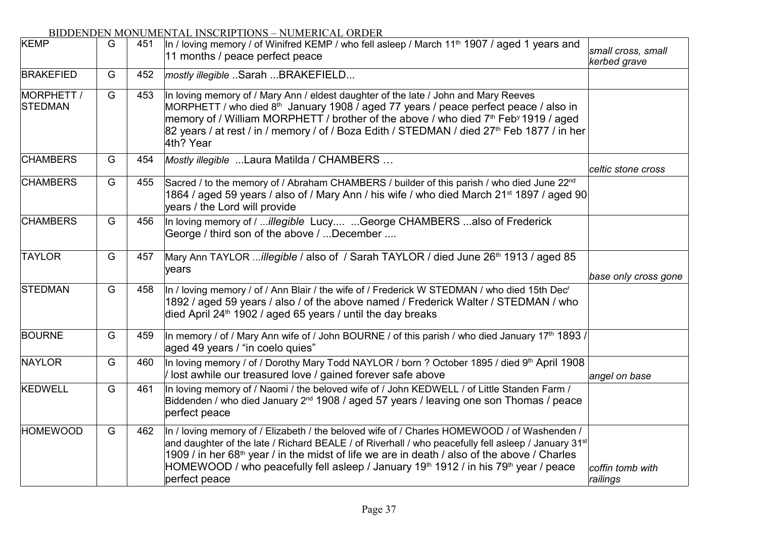| <b>KEMP</b>                  | G | 451 | In / loving memory / of Winifred KEMP / who fell asleep / March 11 <sup>th</sup> 1907 / aged 1 years and<br>11 months / peace perfect peace                                                                                                                                                                                                                                                                                                                 | small cross, small<br>kerbed grave |
|------------------------------|---|-----|-------------------------------------------------------------------------------------------------------------------------------------------------------------------------------------------------------------------------------------------------------------------------------------------------------------------------------------------------------------------------------------------------------------------------------------------------------------|------------------------------------|
| <b>BRAKEFIED</b>             | G | 452 | mostly illegible Sarah BRAKEFIELD                                                                                                                                                                                                                                                                                                                                                                                                                           |                                    |
| MORPHETT /<br><b>STEDMAN</b> | G | 453 | In loving memory of / Mary Ann / eldest daughter of the late / John and Mary Reeves<br>MORPHETT / who died 8 <sup>th</sup> January 1908 / aged 77 years / peace perfect peace / also in<br>memory of / William MORPHETT / brother of the above / who died 7 <sup>th</sup> Feb <sup>y</sup> 1919 / aged<br>82 years / at rest / in / memory / of / Boza Edith / STEDMAN / died 27 <sup>th</sup> Feb 1877 / in her<br>4th? Year                               |                                    |
| <b>CHAMBERS</b>              | G | 454 | Mostly illegible  Laura Matilda / CHAMBERS                                                                                                                                                                                                                                                                                                                                                                                                                  | celtic stone cross                 |
| <b>CHAMBERS</b>              | G | 455 | Sacred / to the memory of / Abraham CHAMBERS / builder of this parish / who died June 22 <sup>nd</sup><br>1864 / aged 59 years / also of / Mary Ann / his wife / who died March 21 <sup>st</sup> 1897 / aged 90<br>years / the Lord will provide                                                                                                                                                                                                            |                                    |
| <b>CHAMBERS</b>              | G | 456 | In loving memory of / illegible Lucy George CHAMBERS also of Frederick<br>George / third son of the above / December                                                                                                                                                                                                                                                                                                                                        |                                    |
| <b>TAYLOR</b>                | G | 457 | Mary Ann TAYLOR illegible / also of / Sarah TAYLOR / died June 26 <sup>th</sup> 1913 / aged 85<br>years                                                                                                                                                                                                                                                                                                                                                     | base only cross gone               |
| <b>STEDMAN</b>               | G | 458 | In / loving memory / of / Ann Blair / the wife of / Frederick W STEDMAN / who died 15th Dec'<br>1892 / aged 59 years / also / of the above named / Frederick Walter / STEDMAN / who<br>died April 24 <sup>th</sup> 1902 / aged 65 years / until the day breaks                                                                                                                                                                                              |                                    |
| <b>BOURNE</b>                | G | 459 | In memory / of / Mary Ann wife of / John BOURNE / of this parish / who died January 17 <sup>th</sup> 1893 /<br>aged 49 years / "in coelo quies"                                                                                                                                                                                                                                                                                                             |                                    |
| <b>NAYLOR</b>                | G | 460 | In loving memory / of / Dorothy Mary Todd NAYLOR / born ? October 1895 / died 9th April 1908<br>Iost awhile our treasured love / gained forever safe above                                                                                                                                                                                                                                                                                                  | angel on base                      |
| KEDWELL                      | G | 461 | In loving memory of / Naomi / the beloved wife of / John KEDWELL / of Little Standen Farm /<br>Biddenden / who died January 2 <sup>nd</sup> 1908 / aged 57 years / leaving one son Thomas / peace<br>perfect peace                                                                                                                                                                                                                                          |                                    |
| <b>HOMEWOOD</b>              | G | 462 | In / loving memory of / Elizabeth / the beloved wife of / Charles HOMEWOOD / of Washenden /<br>and daughter of the late / Richard BEALE / of Riverhall / who peacefully fell asleep / January 31 <sup>st</sup><br>1909 / in her 68 <sup>th</sup> year / in the midst of life we are in death / also of the above / Charles<br>HOMEWOOD / who peacefully fell asleep / January 19 <sup>th</sup> 1912 / in his 79 <sup>th</sup> year / peace<br>perfect peace | coffin tomb with<br>railings       |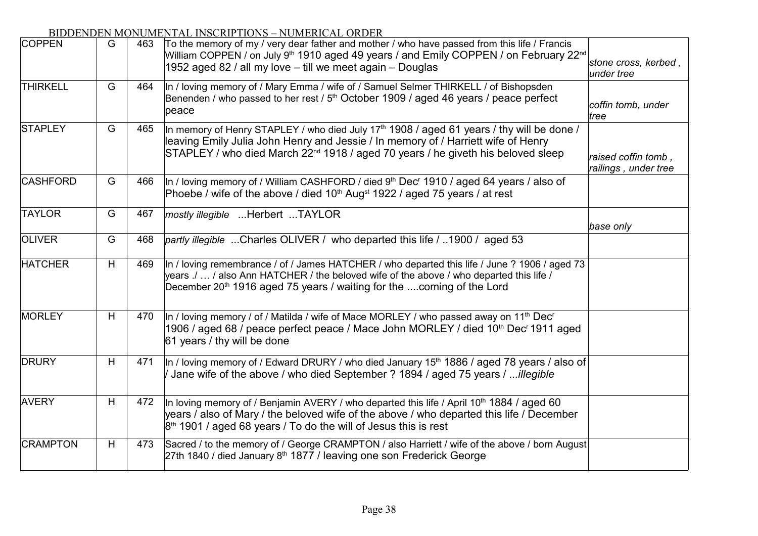| <b>COPPEN</b>   | G | 463 | To the memory of my / very dear father and mother / who have passed from this life / Francis<br>William COPPEN / on July 9 <sup>th</sup> 1910 aged 49 years / and Emily COPPEN / on February 22 <sup>nd</sup><br>1952 aged 82 / all my love - till we meet again - Douglas                 | stone cross, kerbed,<br>under tree          |
|-----------------|---|-----|--------------------------------------------------------------------------------------------------------------------------------------------------------------------------------------------------------------------------------------------------------------------------------------------|---------------------------------------------|
| <b>THIRKELL</b> | G | 464 | In / loving memory of / Mary Emma / wife of / Samuel Selmer THIRKELL / of Bishopsden<br>Benenden / who passed to her rest / 5 <sup>th</sup> October 1909 / aged 46 years / peace perfect<br>peace                                                                                          | coffin tomb, under<br>tree                  |
| <b>STAPLEY</b>  | G | 465 | In memory of Henry STAPLEY / who died July 17 <sup>th</sup> 1908 / aged 61 years / thy will be done /<br>leaving Emily Julia John Henry and Jessie / In memory of / Harriett wife of Henry<br>STAPLEY / who died March 22 <sup>nd</sup> 1918 / aged 70 years / he giveth his beloved sleep | raised coffin tomb,<br>railings, under tree |
| <b>CASHFORD</b> | G | 466 | In / loving memory of / William CASHFORD / died 9 <sup>th</sup> Dec <sup>r</sup> 1910 / aged 64 years / also of<br>Phoebe / wife of the above / died 10 <sup>th</sup> Aug <sup>st</sup> 1922 / aged 75 years / at rest                                                                     |                                             |
| <b>TAYLOR</b>   | G | 467 | mostly illegible Herbert TAYLOR                                                                                                                                                                                                                                                            | base only                                   |
| <b>OLIVER</b>   | G | 468 | partly illegible Charles OLIVER / who departed this life / 1900 / aged 53                                                                                                                                                                                                                  |                                             |
| <b>HATCHER</b>  | H | 469 | In / loving remembrance / of / James HATCHER / who departed this life / June ? 1906 / aged 73<br>years ./  / also Ann HATCHER / the beloved wife of the above / who departed this life /<br>December 20 <sup>th</sup> 1916 aged 75 years / waiting for the coming of the Lord              |                                             |
| <b>MORLEY</b>   | H | 470 | In / loving memory / of / Matilda / wife of Mace MORLEY / who passed away on 11 <sup>th</sup> Dec <sup>r</sup><br>1906 / aged 68 / peace perfect peace / Mace John MORLEY / died 10 <sup>th</sup> Dec <sup>r</sup> 1911 aged<br>61 years / thy will be done                                |                                             |
| <b>DRURY</b>    | H | 471 | In / loving memory of / Edward DRURY / who died January 15 <sup>th</sup> 1886 / aged 78 years / also of<br>Jane wife of the above / who died September ? 1894 / aged 75 years / illegible                                                                                                  |                                             |
| <b>AVERY</b>    | H | 472 | In loving memory of / Benjamin AVERY / who departed this life / April 10 <sup>th</sup> 1884 / aged 60<br>years / also of Mary / the beloved wife of the above / who departed this life / December<br>$8th$ 1901 / aged 68 years / To do the will of Jesus this is rest                     |                                             |
| <b>CRAMPTON</b> | H | 473 | Sacred / to the memory of / George CRAMPTON / also Harriett / wife of the above / born August<br>27th 1840 / died January 8th 1877 / leaving one son Frederick George                                                                                                                      |                                             |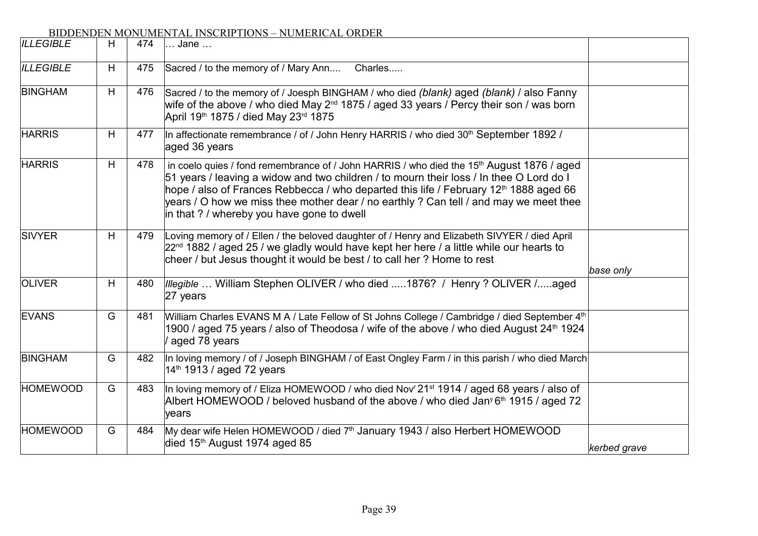|                  |   |     | BIDDENDEN MONOMENTAL INSCRIPTIONS – NOMERICAL ORDER                                                                                                                                                                                                                                                                                                                                                                                          |              |
|------------------|---|-----|----------------------------------------------------------------------------------------------------------------------------------------------------------------------------------------------------------------------------------------------------------------------------------------------------------------------------------------------------------------------------------------------------------------------------------------------|--------------|
| <b>ILLEGIBLE</b> | H | 474 | Jane                                                                                                                                                                                                                                                                                                                                                                                                                                         |              |
| <b>ILLEGIBLE</b> | H | 475 | Sacred / to the memory of / Mary Ann<br>Charles                                                                                                                                                                                                                                                                                                                                                                                              |              |
| <b>BINGHAM</b>   | H | 476 | Sacred / to the memory of / Joesph BINGHAM / who died (blank) aged (blank) / also Fanny<br>wife of the above / who died May $2^{nd}$ 1875 / aged 33 years / Percy their son / was born<br>April 19 <sup>th</sup> 1875 / died May 23 <sup>rd</sup> 1875                                                                                                                                                                                       |              |
| <b>HARRIS</b>    | H | 477 | In affectionate remembrance / of / John Henry HARRIS / who died 30 <sup>th</sup> September 1892 /<br>aged 36 years                                                                                                                                                                                                                                                                                                                           |              |
| <b>HARRIS</b>    | H | 478 | in coelo quies / fond remembrance of / John HARRIS / who died the 15 <sup>th</sup> August 1876 / aged<br>51 years / leaving a widow and two children / to mourn their loss / In thee O Lord do I<br>hope / also of Frances Rebbecca / who departed this life / February 12 <sup>th</sup> 1888 aged 66<br>years / O how we miss thee mother dear / no earthly ? Can tell / and may we meet thee<br>in that ? / whereby you have gone to dwell |              |
| <b>SIVYER</b>    | H | 479 | Loving memory of / Ellen / the beloved daughter of / Henry and Elizabeth SIVYER / died April<br>$22^{nd}$ 1882 / aged 25 / we gladly would have kept her here / a little while our hearts to<br>cheer / but Jesus thought it would be best / to call her ? Home to rest                                                                                                                                                                      | base only    |
| <b>OLIVER</b>    | H | 480 | <i>Illegible</i> William Stephen OLIVER / who died 1876? / Henry ? OLIVER /aged<br>27 years                                                                                                                                                                                                                                                                                                                                                  |              |
| <b>EVANS</b>     | G | 481 | William Charles EVANS M A / Late Fellow of St Johns College / Cambridge / died September 4th<br>1900 / aged 75 years / also of Theodosa / wife of the above / who died August 24 <sup>th</sup> 1924<br>aged 78 years                                                                                                                                                                                                                         |              |
| <b>BINGHAM</b>   | G | 482 | In loving memory / of / Joseph BINGHAM / of East Ongley Farm / in this parish / who died March<br>14 <sup>th</sup> 1913 / aged 72 years                                                                                                                                                                                                                                                                                                      |              |
| <b>HOMEWOOD</b>  | G | 483 | In loving memory of / Eliza HOMEWOOD / who died Nov <sup>r</sup> 21 <sup>st</sup> 1914 / aged 68 years / also of<br>Albert HOMEWOOD / beloved husband of the above / who died Jan <sup>y</sup> 6 <sup>th</sup> 1915 / aged 72<br>years                                                                                                                                                                                                       |              |
| <b>HOMEWOOD</b>  | G | 484 | My dear wife Helen HOMEWOOD / died 7 <sup>th</sup> January 1943 / also Herbert HOMEWOOD<br>died 15 <sup>th</sup> August 1974 aged 85                                                                                                                                                                                                                                                                                                         | kerbed grave |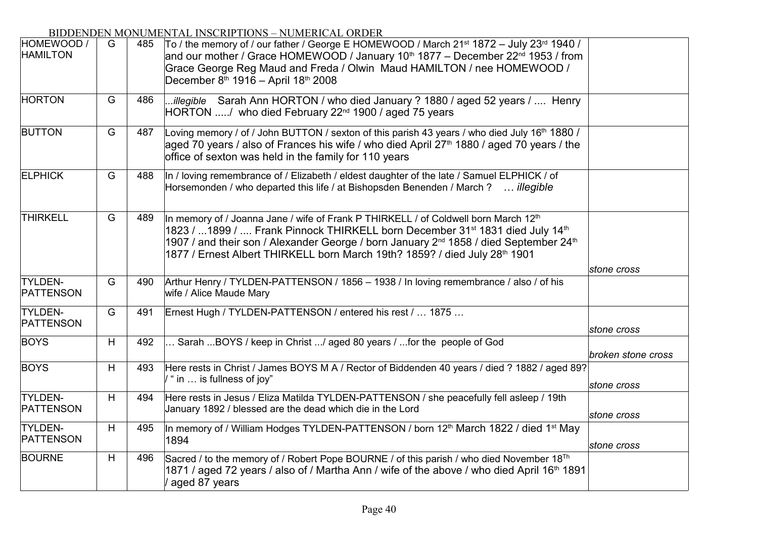| HOMEWOOD /<br><b>HAMILTON</b>      | G | 485 | To / the memory of / our father / George E HOMEWOOD / March $21^{st}$ 1872 - July $23^{rd}$ 1940 /<br>and our mother / Grace HOMEWOOD / January 10 <sup>th</sup> 1877 – December 22 <sup>nd</sup> 1953 / from<br>Grace George Reg Maud and Freda / Olwin Maud HAMILTON / nee HOMEWOOD /<br>December 8th 1916 - April 18th 2008                                                                         |                    |
|------------------------------------|---|-----|--------------------------------------------------------------------------------------------------------------------------------------------------------------------------------------------------------------------------------------------------------------------------------------------------------------------------------------------------------------------------------------------------------|--------------------|
| <b>HORTON</b>                      | G | 486 | illegible Sarah Ann HORTON / who died January ? 1880 / aged 52 years /  Henry<br>HORTON / who died February 22 <sup>nd</sup> 1900 / aged 75 years                                                                                                                                                                                                                                                      |                    |
| <b>BUTTON</b>                      | G | 487 | Loving memory / of / John BUTTON / sexton of this parish 43 years / who died July 16th 1880 /<br>aged 70 years / also of Frances his wife / who died April 27 <sup>th</sup> 1880 / aged 70 years / the<br>office of sexton was held in the family for 110 years                                                                                                                                        |                    |
| <b>ELPHICK</b>                     | G | 488 | In / loving remembrance of / Elizabeth / eldest daughter of the late / Samuel ELPHICK / of<br>Horsemonden / who departed this life / at Bishopsden Benenden / March ?  illegible                                                                                                                                                                                                                       |                    |
| <b>THIRKELL</b>                    | G | 489 | In memory of / Joanna Jane / wife of Frank P THIRKELL / of Coldwell born March 12 <sup>th</sup><br>1823 / 1899 /  Frank Pinnock THIRKELL born December 31 <sup>st</sup> 1831 died July 14 <sup>th</sup><br>1907 / and their son / Alexander George / born January 2 <sup>nd</sup> 1858 / died September 24 <sup>th</sup><br>1877 / Ernest Albert THIRKELL born March 19th? 1859? / died July 28th 1901 | stone cross        |
| <b>TYLDEN-</b><br>PATTENSON        | G | 490 | Arthur Henry / TYLDEN-PATTENSON / 1856 - 1938 / In loving remembrance / also / of his<br>wife / Alice Maude Mary                                                                                                                                                                                                                                                                                       |                    |
| <b>TYLDEN-</b><br><b>PATTENSON</b> | G | 491 | Ernest Hugh / TYLDEN-PATTENSON / entered his rest /  1875                                                                                                                                                                                                                                                                                                                                              | stone cross        |
| <b>BOYS</b>                        | H | 492 | Sarah BOYS / keep in Christ / aged 80 years / for the people of God                                                                                                                                                                                                                                                                                                                                    | broken stone cross |
| <b>BOYS</b>                        | H | 493 | Here rests in Christ / James BOYS M A / Rector of Biddenden 40 years / died ? 1882 / aged 89?<br>/ " in  is fullness of joy"                                                                                                                                                                                                                                                                           | stone cross        |
| <b>TYLDEN-</b><br><b>PATTENSON</b> | H | 494 | Here rests in Jesus / Eliza Matilda TYLDEN-PATTENSON / she peacefully fell asleep / 19th<br>January 1892 / blessed are the dead which die in the Lord                                                                                                                                                                                                                                                  | stone cross        |
| <b>TYLDEN-</b><br><b>PATTENSON</b> | H | 495 | In memory of / William Hodges TYLDEN-PATTENSON / born 12 <sup>th</sup> March 1822 / died 1 <sup>st</sup> May<br>1894                                                                                                                                                                                                                                                                                   | stone cross        |
| <b>BOURNE</b>                      | H | 496 | Sacred / to the memory of / Robert Pope BOURNE / of this parish / who died November 18 <sup>Th</sup><br>1871 / aged 72 years / also of / Martha Ann / wife of the above / who died April 16 <sup>th</sup> 1891<br>aged 87 years                                                                                                                                                                        |                    |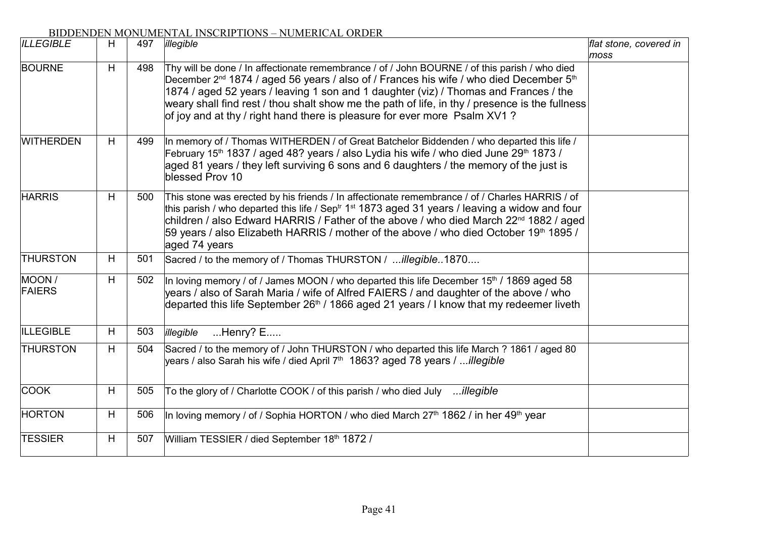| <b>ILLEGIBLE</b>        | H | 497 | illegible                                                                                                                                                                                                                                                                                                                                                                                                                                                                              | flat stone, covered in<br>moss |
|-------------------------|---|-----|----------------------------------------------------------------------------------------------------------------------------------------------------------------------------------------------------------------------------------------------------------------------------------------------------------------------------------------------------------------------------------------------------------------------------------------------------------------------------------------|--------------------------------|
| <b>BOURNE</b>           | H | 498 | Thy will be done / In affectionate remembrance / of / John BOURNE / of this parish / who died<br>December 2 <sup>nd</sup> 1874 / aged 56 years / also of / Frances his wife / who died December 5 <sup>th</sup><br>1874 / aged 52 years / leaving 1 son and 1 daughter (viz) / Thomas and Frances / the<br>weary shall find rest / thou shalt show me the path of life, in thy / presence is the fullness<br>of joy and at thy / right hand there is pleasure for ever more Psalm XV1? |                                |
| <b>WITHERDEN</b>        | H | 499 | In memory of / Thomas WITHERDEN / of Great Batchelor Biddenden / who departed this life /<br>February 15 <sup>th</sup> 1837 / aged 48? years / also Lydia his wife / who died June 29 <sup>th</sup> 1873 /<br>aged 81 years / they left surviving 6 sons and 6 daughters / the memory of the just is<br>blessed Prov 10                                                                                                                                                                |                                |
| <b>HARRIS</b>           | H | 500 | This stone was erected by his friends / In affectionate remembrance / of / Charles HARRIS / of<br>this parish / who departed this life / Sep <sup>tr</sup> 1 <sup>st</sup> 1873 aged 31 years / leaving a widow and four<br>children / also Edward HARRIS / Father of the above / who died March 22 <sup>nd</sup> 1882 / aged<br>59 years / also Elizabeth HARRIS / mother of the above / who died October 19th 1895 /<br>aged 74 years                                                |                                |
| <b>THURSTON</b>         | H | 501 | Sacred / to the memory of / Thomas THURSTON / illegible1870                                                                                                                                                                                                                                                                                                                                                                                                                            |                                |
| MOON /<br><b>FAIERS</b> | H | 502 | In loving memory / of / James MOON / who departed this life December 15 <sup>th</sup> / 1869 aged 58<br>years / also of Sarah Maria / wife of Alfred FAIERS / and daughter of the above / who<br>departed this life September 26 <sup>th</sup> / 1866 aged 21 years / I know that my redeemer liveth                                                                                                                                                                                   |                                |
| <b>ILLEGIBLE</b>        | H | 503 | $Henry? E$<br>illegible                                                                                                                                                                                                                                                                                                                                                                                                                                                                |                                |
| <b>THURSTON</b>         | H | 504 | Sacred / to the memory of / John THURSTON / who departed this life March ? 1861 / aged 80<br>years / also Sarah his wife / died April 7 <sup>th</sup> 1863? aged 78 years / illegible                                                                                                                                                                                                                                                                                                  |                                |
| <b>COOK</b>             | H | 505 | To the glory of / Charlotte COOK / of this parish / who died July illegible                                                                                                                                                                                                                                                                                                                                                                                                            |                                |
| <b>HORTON</b>           | H | 506 | In loving memory / of / Sophia HORTON / who died March 27 <sup>th</sup> 1862 / in her 49 <sup>th</sup> year                                                                                                                                                                                                                                                                                                                                                                            |                                |
| <b>TESSIER</b>          | H | 507 | William TESSIER / died September 18th 1872 /                                                                                                                                                                                                                                                                                                                                                                                                                                           |                                |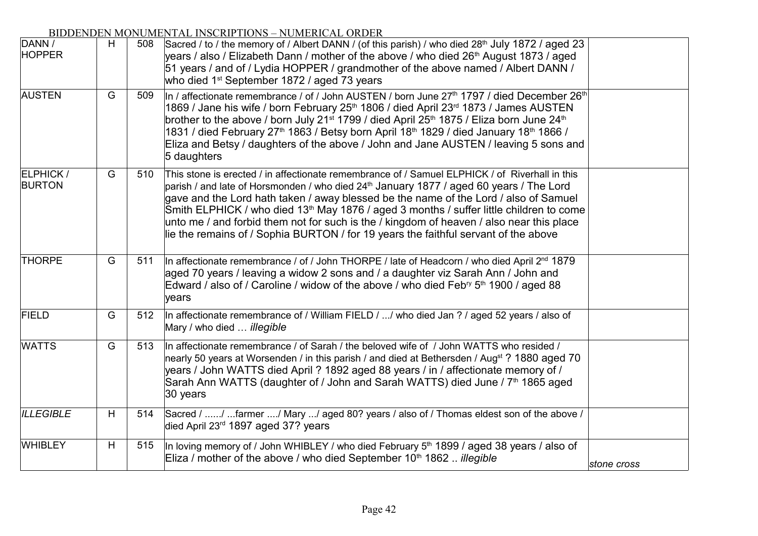| DANN /<br><b>HOPPER</b>           | H | 508 | Sacred / to / the memory of / Albert DANN / (of this parish) / who died 28 <sup>th</sup> July 1872 / aged 23<br>years / also / Elizabeth Dann / mother of the above / who died 26 <sup>th</sup> August 1873 / aged<br>51 years / and of / Lydia HOPPER / grandmother of the above named / Albert DANN /<br>who died 1 <sup>st</sup> September 1872 / aged 73 years                                                                                                                                                                                                                                       |             |
|-----------------------------------|---|-----|----------------------------------------------------------------------------------------------------------------------------------------------------------------------------------------------------------------------------------------------------------------------------------------------------------------------------------------------------------------------------------------------------------------------------------------------------------------------------------------------------------------------------------------------------------------------------------------------------------|-------------|
| <b>AUSTEN</b>                     | G | 509 | In / affectionate remembrance / of / John AUSTEN / born June 27 <sup>th</sup> 1797 / died December 26 <sup>th</sup><br>1869 / Jane his wife / born February 25 <sup>th</sup> 1806 / died April 23 <sup>rd</sup> 1873 / James AUSTEN<br>brother to the above / born July 21 <sup>st</sup> 1799 / died April 25 <sup>th</sup> 1875 / Eliza born June 24 <sup>th</sup><br>1831 / died February 27 <sup>th</sup> 1863 / Betsy born April 18 <sup>th</sup> 1829 / died January 18 <sup>th</sup> 1866 /<br>Eliza and Betsy / daughters of the above / John and Jane AUSTEN / leaving 5 sons and<br>5 daughters |             |
| <b>ELPHICK /</b><br><b>BURTON</b> | G | 510 | This stone is erected / in affectionate remembrance of / Samuel ELPHICK / of Riverhall in this<br>parish / and late of Horsmonden / who died 24 <sup>th</sup> January 1877 / aged 60 years / The Lord<br>gave and the Lord hath taken / away blessed be the name of the Lord / also of Samuel<br>Smith ELPHICK / who died 13 <sup>th</sup> May 1876 / aged 3 months / suffer little children to come<br>unto me / and forbid them not for such is the / kingdom of heaven / also near this place<br>lie the remains of / Sophia BURTON / for 19 years the faithful servant of the above                  |             |
| <b>THORPE</b>                     | G | 511 | In affectionate remembrance / of / John THORPE / late of Headcorn / who died April 2 <sup>nd</sup> 1879<br>aged 70 years / leaving a widow 2 sons and / a daughter viz Sarah Ann / John and<br>Edward / also of / Caroline / widow of the above / who died Feb <sup>ry</sup> 5 <sup>th</sup> 1900 / aged 88<br>years                                                                                                                                                                                                                                                                                     |             |
| <b>FIELD</b>                      | G | 512 | In affectionate remembrance of / William FIELD / / who died Jan ? / aged 52 years / also of<br>Mary / who died  illegible                                                                                                                                                                                                                                                                                                                                                                                                                                                                                |             |
| <b>WATTS</b>                      | G | 513 | In affectionate remembrance / of Sarah / the beloved wife of / John WATTS who resided /<br>nearly 50 years at Worsenden / in this parish / and died at Bethersden / Aug <sup>st</sup> ? 1880 aged 70<br>years / John WATTS died April ? 1892 aged 88 years / in / affectionate memory of /<br>Sarah Ann WATTS (daughter of / John and Sarah WATTS) died June / 7 <sup>th</sup> 1865 aged<br>30 years                                                                                                                                                                                                     |             |
| <b>ILLEGIBLE</b>                  | H | 514 | Sacred / / farmer / Mary / aged 80? years / also of / Thomas eldest son of the above /<br>died April 23rd 1897 aged 37? years                                                                                                                                                                                                                                                                                                                                                                                                                                                                            |             |
| <b>WHIBLEY</b>                    | H | 515 | In loving memory of / John WHIBLEY / who died February 5 <sup>th</sup> 1899 / aged 38 years / also of<br>Eliza / mother of the above / who died September 10 <sup>th</sup> 1862 <i>illegible</i>                                                                                                                                                                                                                                                                                                                                                                                                         | stone cross |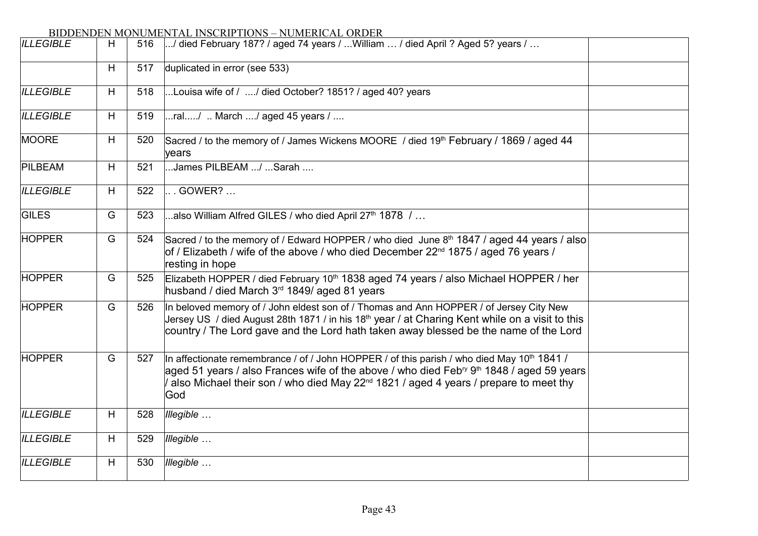| <b>ILLEGIBLE</b> | H  | 516 | / died February 187? / aged 74 years / William  / died April ? Aged 5? years /                                                                                                                                                                                                                                            |  |
|------------------|----|-----|---------------------------------------------------------------------------------------------------------------------------------------------------------------------------------------------------------------------------------------------------------------------------------------------------------------------------|--|
|                  | H  | 517 | duplicated in error (see 533)                                                                                                                                                                                                                                                                                             |  |
| <b>ILLEGIBLE</b> | H  | 518 | Louisa wife of / / died October? 1851? / aged 40? years                                                                                                                                                                                                                                                                   |  |
| <b>ILLEGIBLE</b> | H. | 519 | ral/  March / aged 45 years $/$                                                                                                                                                                                                                                                                                           |  |
| MOORE            | H  | 520 | Sacred / to the memory of / James Wickens MOORE / died 19 <sup>th</sup> February / 1869 / aged 44<br>vears                                                                                                                                                                                                                |  |
| PILBEAM          | H  | 521 | James PILBEAM / Sarah                                                                                                                                                                                                                                                                                                     |  |
| <b>ILLEGIBLE</b> | H  | 522 | . GOWER?                                                                                                                                                                                                                                                                                                                  |  |
| <b>GILES</b>     | G  | 523 | also William Alfred GILES / who died April $27th$ 1878 /                                                                                                                                                                                                                                                                  |  |
| <b>HOPPER</b>    | G  | 524 | Sacred / to the memory of / Edward HOPPER / who died June 8th 1847 / aged 44 years / also<br>of / Elizabeth / wife of the above / who died December $22nd$ 1875 / aged 76 years /<br>resting in hope                                                                                                                      |  |
| <b>HOPPER</b>    | G  | 525 | Elizabeth HOPPER / died February 10 <sup>th</sup> 1838 aged 74 years / also Michael HOPPER / her<br>husband / died March 3 <sup>rd</sup> 1849/ aged 81 years                                                                                                                                                              |  |
| <b>HOPPER</b>    | G  | 526 | In beloved memory of / John eldest son of / Thomas and Ann HOPPER / of Jersey City New<br>Jersey US / died August 28th 1871 / in his 18 <sup>th</sup> year / at Charing Kent while on a visit to this<br>country / The Lord gave and the Lord hath taken away blessed be the name of the Lord                             |  |
| <b>HOPPER</b>    | G  | 527 | In affectionate remembrance / of / John HOPPER / of this parish / who died May 10 <sup>th</sup> 1841 /<br>aged 51 years / also Frances wife of the above / who died Feb <sup>ry 9th</sup> 1848 / aged 59 years<br>also Michael their son / who died May 22 <sup>nd</sup> 1821 / aged 4 years / prepare to meet thy<br>God |  |
| <b>ILLEGIBLE</b> | H  | 528 | Illegible                                                                                                                                                                                                                                                                                                                 |  |
| <b>ILLEGIBLE</b> | H  | 529 | Illegible                                                                                                                                                                                                                                                                                                                 |  |
| <b>ILLEGIBLE</b> | H  | 530 | Illegible                                                                                                                                                                                                                                                                                                                 |  |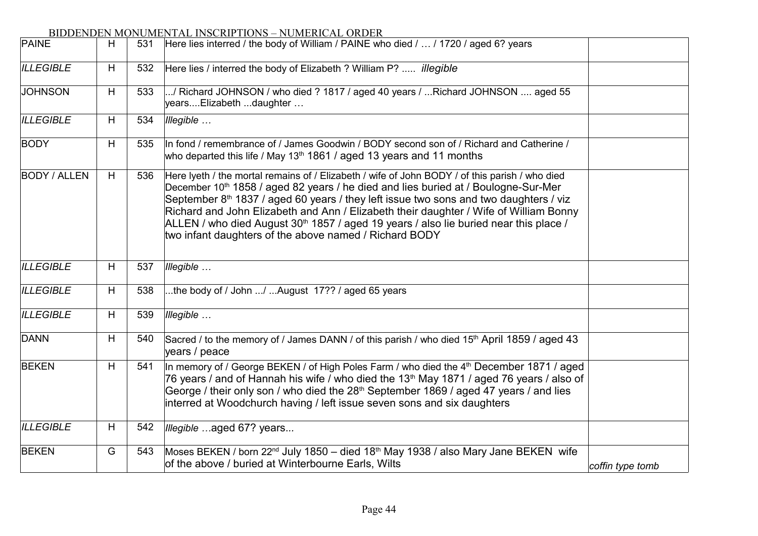# BIDDENDEN MONUMENTAL INSCRIPTIONS – NUMERICAL ORDER JAN 2011 531 Here lies interred / the body of William / PAINE who died / ... / 1720 / aged 6? years *ILLEGIBLE* H 532  $JOHNSON$  H 533 *ILLEGIBLE* H 534 *Illegible …*  $BODY$   $H | 535$  $BODY / ALLEN$   $H$  536 *ILLEGIBLE* H 537 *Illegible …*  $|$ ILLEGIBLE  $|$  H  $|$  538  $|$ ...the body of / John .../ ...August 17?? / aged 65 years *ILLEGIBLE* H 539 *Illegible …*  $DANN$   $H | 540$  $BEKEN$   $H$  541 *ILLEGIBLE* H 542  $BEKEN$   $G$  543 *coffin type tomb* Here lies / interred the body of Elizabeth ? William P? ..... *illegible* .../ Richard JOHNSON / who died ? 1817 / aged 40 years / ...Richard JOHNSON .... aged 55 years....Elizabeth ...daughter … In fond / remembrance of / James Goodwin / BODY second son of / Richard and Catherine / who departed this life / May 13<sup>th</sup> 1861 / aged 13 years and 11 months Here Iveth / the mortal remains of / Elizabeth / wife of John BODY / of this parish / who died December 10<sup>th</sup> 1858 / aged 82 years / he died and lies buried at / Boulogne-Sur-Mer September  $8<sup>th</sup>$  1837 / aged 60 years / they left issue two sons and two daughters / viz Richard and John Elizabeth and Ann / Elizabeth their daughter / Wife of William Bonny ALLEN / who died August 30<sup>th</sup> 1857 / aged 19 years / also lie buried near this place / two infant daughters of the above named / Richard BODY Sacred / to the memory of / James DANN / of this parish / who died 15<sup>th</sup> April 1859 / aged 43 years / peace In memory of / George BEKEN / of High Poles Farm / who died the  $4<sup>th</sup>$  December 1871 / aged 76 years / and of Hannah his wife / who died the 13<sup>th</sup> May 1871 / aged 76 years / also of George / their only son / who died the  $28<sup>th</sup>$  September 1869 / aged 47 years / and lies interred at Woodchurch having / left issue seven sons and six daughters *Illegible …*aged 67? years.*..* Moses BEKEN / born 22<sup>nd</sup> July 1850 – died 18<sup>th</sup> May 1938 / also Mary Jane BEKEN wife of the above / buried at Winterbourne Earls, Wilts